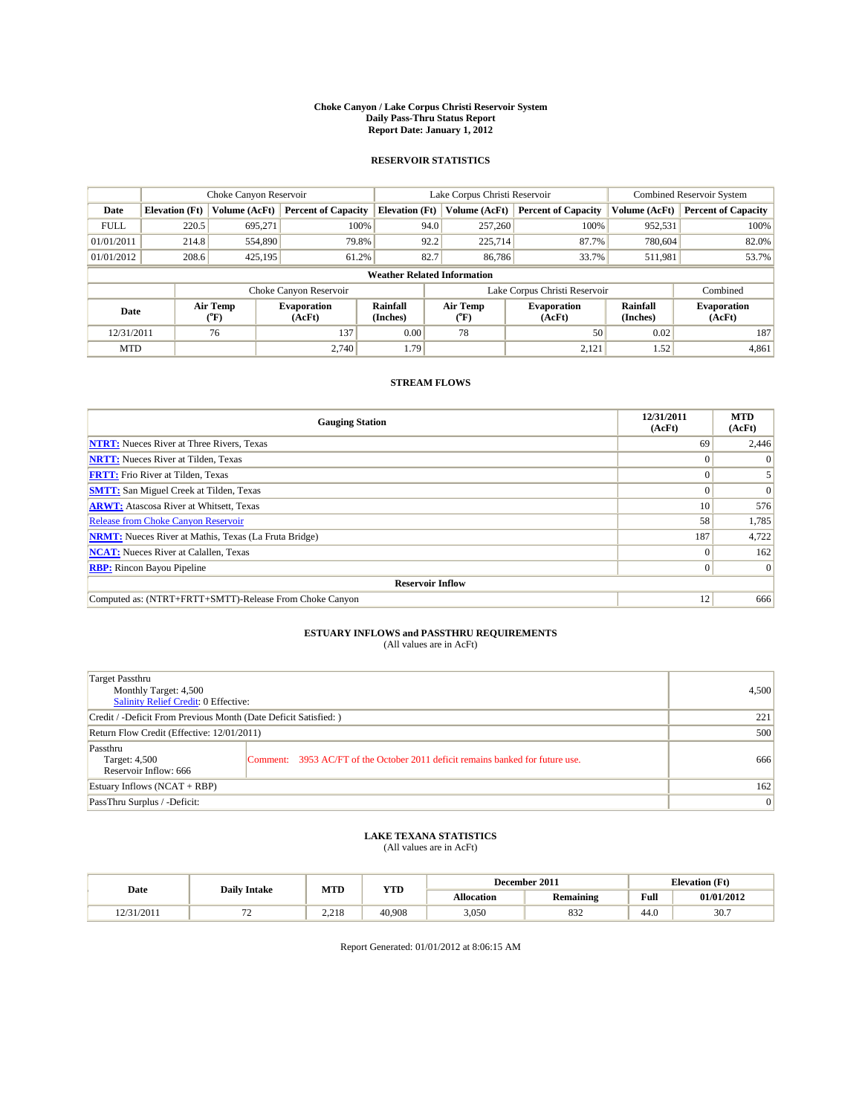#### **Choke Canyon / Lake Corpus Christi Reservoir System Daily Pass-Thru Status Report Report Date: January 1, 2012**

## **RESERVOIR STATISTICS**

|             | Choke Canyon Reservoir             |                  |                              |                             | Lake Corpus Christi Reservoir | <b>Combined Reservoir System</b> |                      |                              |  |  |
|-------------|------------------------------------|------------------|------------------------------|-----------------------------|-------------------------------|----------------------------------|----------------------|------------------------------|--|--|
| Date        | <b>Elevation</b> (Ft)              | Volume (AcFt)    | <b>Percent of Capacity</b>   | <b>Elevation</b> (Ft)       | Volume (AcFt)                 | <b>Percent of Capacity</b>       | Volume (AcFt)        | <b>Percent of Capacity</b>   |  |  |
| <b>FULL</b> | 220.5                              | 695,271          | 100%                         | 94.0                        | 257,260                       | 100%                             | 952,531              | 100%                         |  |  |
| 01/01/2011  | 214.8                              | 554,890          | 79.8%                        | 92.2                        | 225,714                       | 87.7%                            | 780.604              | 82.0%                        |  |  |
| 01/01/2012  | 208.6                              | 425,195          | 61.2%                        | 82.7                        | 86,786                        | 33.7%                            | 511,981              | 53.7%                        |  |  |
|             | <b>Weather Related Information</b> |                  |                              |                             |                               |                                  |                      |                              |  |  |
|             |                                    |                  | Choke Canyon Reservoir       |                             |                               | Lake Corpus Christi Reservoir    |                      | Combined                     |  |  |
| Date        |                                    | Air Temp<br>(°F) | <b>Evaporation</b><br>(AcFt) | <b>Rainfall</b><br>(Inches) | Air Temp<br>(°F)              | <b>Evaporation</b><br>(AcFt)     | Rainfall<br>(Inches) | <b>Evaporation</b><br>(AcFt) |  |  |
| 12/31/2011  |                                    | 76               | 137                          | 0.00                        | 78                            | 50                               | 0.02                 | 187                          |  |  |
| <b>MTD</b>  |                                    |                  | 2.740                        | 1.79                        |                               | 2,121                            | 1.52                 | 4,861                        |  |  |

## **STREAM FLOWS**

| <b>Gauging Station</b>                                       | 12/31/2011<br>(AcFt) | <b>MTD</b><br>(AcFt) |
|--------------------------------------------------------------|----------------------|----------------------|
| <b>NTRT:</b> Nueces River at Three Rivers, Texas             | 69                   | 2,446                |
| <b>NRTT:</b> Nueces River at Tilden, Texas                   |                      |                      |
| <b>FRTT:</b> Frio River at Tilden, Texas                     |                      |                      |
| <b>SMTT:</b> San Miguel Creek at Tilden, Texas               |                      | $\Omega$             |
| <b>ARWT:</b> Atascosa River at Whitsett, Texas               | 10 <sup>1</sup>      | 576                  |
| Release from Choke Canyon Reservoir                          | 58                   | 1,785                |
| <b>NRMT:</b> Nueces River at Mathis, Texas (La Fruta Bridge) | 187                  | 4,722                |
| <b>NCAT:</b> Nueces River at Calallen, Texas                 | 0                    | 162                  |
| <b>RBP:</b> Rincon Bayou Pipeline                            | $\Omega$             | $\Omega$             |
| <b>Reservoir Inflow</b>                                      |                      |                      |
| Computed as: (NTRT+FRTT+SMTT)-Release From Choke Canyon      | 12                   | 666                  |

# **ESTUARY INFLOWS and PASSTHRU REQUIREMENTS**<br>(All values are in AcFt)

| Target Passthru<br>Monthly Target: 4,500<br>Salinity Relief Credit: 0 Effective: |                                                                                | 4,500 |
|----------------------------------------------------------------------------------|--------------------------------------------------------------------------------|-------|
| Credit / -Deficit From Previous Month (Date Deficit Satisfied: )                 | 221                                                                            |       |
| Return Flow Credit (Effective: 12/01/2011)                                       | 500                                                                            |       |
| Passthru<br>Target: 4,500<br>Reservoir Inflow: 666                               | Comment: 3953 AC/FT of the October 2011 deficit remains banked for future use. | 666   |
| Estuary Inflows (NCAT + RBP)                                                     |                                                                                | 162   |
| PassThru Surplus / -Deficit:                                                     |                                                                                | 0     |

# **LAKE TEXANA STATISTICS** (All values are in AcFt)

|            |                     | MTD   | <b>YTD</b> | December 2011 |                  | <b>Elevation</b> (Ft) |            |
|------------|---------------------|-------|------------|---------------|------------------|-----------------------|------------|
| Date       | <b>Daily Intake</b> |       |            | Allocation    | <b>Remaining</b> | Full                  | 01/01/2012 |
| 12/31/2011 | . .                 | 2.218 | 40.908     | 3,050         | 832              | 44.0                  | 30.7       |

Report Generated: 01/01/2012 at 8:06:15 AM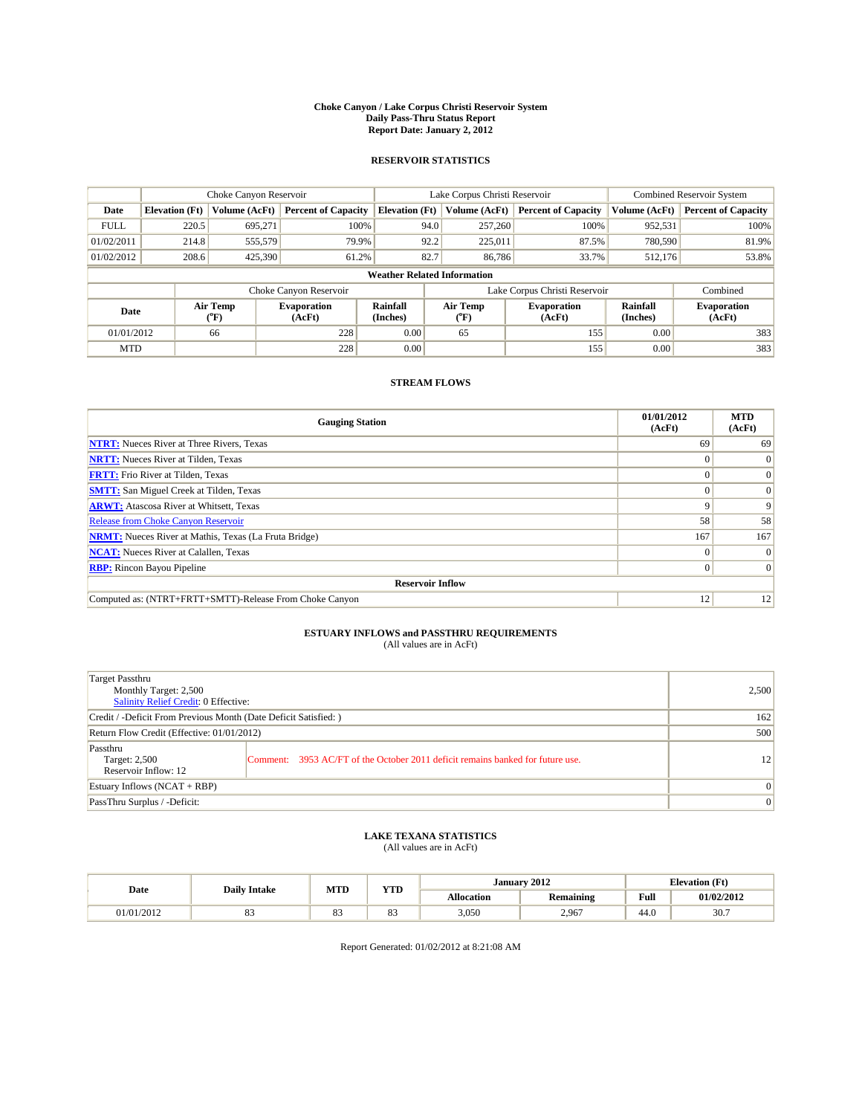#### **Choke Canyon / Lake Corpus Christi Reservoir System Daily Pass-Thru Status Report Report Date: January 2, 2012**

## **RESERVOIR STATISTICS**

|             | Choke Canyon Reservoir             |                                           |                              |                       | Lake Corpus Christi Reservoir | <b>Combined Reservoir System</b> |                      |                              |  |  |
|-------------|------------------------------------|-------------------------------------------|------------------------------|-----------------------|-------------------------------|----------------------------------|----------------------|------------------------------|--|--|
| Date        | <b>Elevation</b> (Ft)              | Volume (AcFt)                             | <b>Percent of Capacity</b>   | <b>Elevation</b> (Ft) | Volume (AcFt)                 | <b>Percent of Capacity</b>       | Volume (AcFt)        | <b>Percent of Capacity</b>   |  |  |
| <b>FULL</b> | 220.5                              | 695.271                                   | 100%                         | 94.0                  | 257,260                       | 100%                             | 952,531              | 100%                         |  |  |
| 01/02/2011  | 214.8                              | 555,579                                   | 79.9%                        | 92.2                  | 225.011                       | 87.5%                            | 780,590              | 81.9%                        |  |  |
| 01/02/2012  | 208.6                              | 425,390                                   | 61.2%                        | 82.7                  | 86,786                        | 33.7%                            | 512,176              | 53.8%                        |  |  |
|             | <b>Weather Related Information</b> |                                           |                              |                       |                               |                                  |                      |                              |  |  |
|             |                                    |                                           | Choke Canyon Reservoir       |                       |                               | Lake Corpus Christi Reservoir    |                      | Combined                     |  |  |
| Date        |                                    | Air Temp<br>$({}^{\mathrm{o}}\mathrm{F})$ | <b>Evaporation</b><br>(AcFt) | Rainfall<br>(Inches)  | Air Temp<br>(°F)              | <b>Evaporation</b><br>(AcFt)     | Rainfall<br>(Inches) | <b>Evaporation</b><br>(AcFt) |  |  |
| 01/01/2012  |                                    | 66                                        | 228                          | 0.00                  | 65                            | 155                              | 0.00                 | 383                          |  |  |
| <b>MTD</b>  |                                    |                                           | 228                          | 0.00                  |                               | 155                              | 0.00                 | 383                          |  |  |

## **STREAM FLOWS**

| <b>Gauging Station</b>                                       | 01/01/2012<br>(AcFt) | <b>MTD</b><br>(AcFt) |
|--------------------------------------------------------------|----------------------|----------------------|
| <b>NTRT:</b> Nueces River at Three Rivers, Texas             | 69                   | 69                   |
| <b>NRTT:</b> Nueces River at Tilden, Texas                   |                      |                      |
| <b>FRTT:</b> Frio River at Tilden, Texas                     |                      | $\Omega$             |
| <b>SMTT:</b> San Miguel Creek at Tilden, Texas               |                      | $\Omega$             |
| <b>ARWT:</b> Atascosa River at Whitsett, Texas               | 9                    | $\mathbf Q$          |
| <b>Release from Choke Canyon Reservoir</b>                   | 58                   | 58                   |
| <b>NRMT:</b> Nueces River at Mathis, Texas (La Fruta Bridge) | 167                  | 167                  |
| <b>NCAT:</b> Nueces River at Calallen, Texas                 | $\Omega$             | $\Omega$             |
| <b>RBP:</b> Rincon Bayou Pipeline                            | $\Omega$             | $\Omega$             |
| <b>Reservoir Inflow</b>                                      |                      |                      |
| Computed as: (NTRT+FRTT+SMTT)-Release From Choke Canyon      | 12                   | 12                   |

# **ESTUARY INFLOWS and PASSTHRU REQUIREMENTS**<br>(All values are in AcFt)

| Target Passthru<br>Monthly Target: 2,500<br>Salinity Relief Credit: 0 Effective: |                                                                                | 2,500        |
|----------------------------------------------------------------------------------|--------------------------------------------------------------------------------|--------------|
| Credit / -Deficit From Previous Month (Date Deficit Satisfied: )                 | 162                                                                            |              |
| Return Flow Credit (Effective: 01/01/2012)                                       | 500                                                                            |              |
| Passthru<br>Target: 2,500<br>Reservoir Inflow: 12                                | Comment: 3953 AC/FT of the October 2011 deficit remains banked for future use. | 12           |
| Estuary Inflows (NCAT + RBP)                                                     |                                                                                | $\Omega$     |
| PassThru Surplus / -Deficit:                                                     |                                                                                | $\mathbf{0}$ |

# **LAKE TEXANA STATISTICS** (All values are in AcFt)

|           |                     | MTD            | <b>TIMP</b><br>1 I.D | January 2012 |                  |                                                | <b>Elevation (Ft)</b> |
|-----------|---------------------|----------------|----------------------|--------------|------------------|------------------------------------------------|-----------------------|
| Date      | <b>Daily Intake</b> |                |                      | Allocation   | <b>Remaining</b> | <b>Full</b><br>the contract of the contract of | 01/02/2012            |
| 1/01/2012 | o.,                 | $\Omega$<br>63 | $\sim$<br>o.,        | 3,050        | 2,967            | 44.0                                           | 30.7                  |

Report Generated: 01/02/2012 at 8:21:08 AM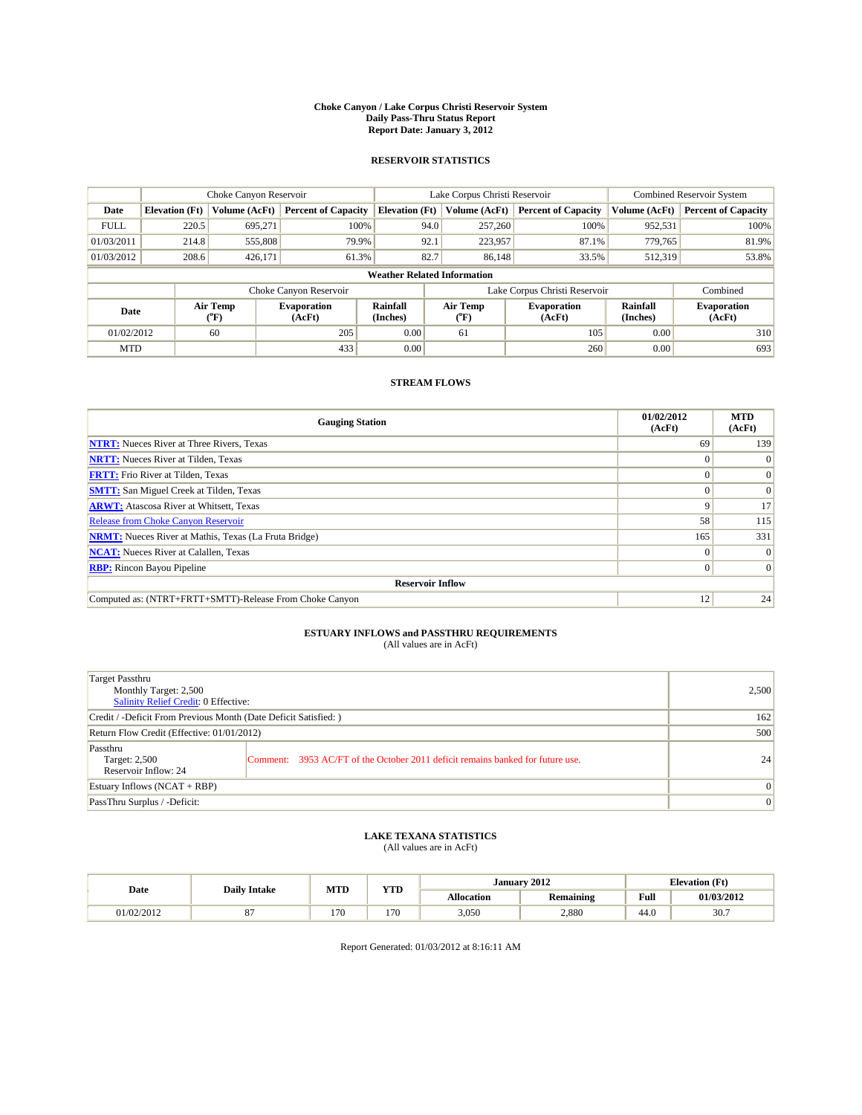#### **Choke Canyon / Lake Corpus Christi Reservoir System Daily Pass-Thru Status Report Report Date: January 3, 2012**

## **RESERVOIR STATISTICS**

|             | Choke Canyon Reservoir             |                                           |                              |                       | Lake Corpus Christi Reservoir | <b>Combined Reservoir System</b> |                      |                              |  |  |
|-------------|------------------------------------|-------------------------------------------|------------------------------|-----------------------|-------------------------------|----------------------------------|----------------------|------------------------------|--|--|
| Date        | <b>Elevation</b> (Ft)              | Volume (AcFt)                             | <b>Percent of Capacity</b>   | <b>Elevation</b> (Ft) | Volume (AcFt)                 | <b>Percent of Capacity</b>       | Volume (AcFt)        | <b>Percent of Capacity</b>   |  |  |
| <b>FULL</b> | 220.5                              | 695.271                                   | 100%                         | 94.0                  | 257,260                       | 100%                             | 952,531              | 100%                         |  |  |
| 01/03/2011  | 214.8                              | 555,808                                   | 79.9%                        | 92.1                  | 223,957                       | 87.1%                            | 779.765              | 81.9%                        |  |  |
| 01/03/2012  | 208.6                              | 426,171                                   | 61.3%                        | 82.7                  | 86,148                        | 33.5%                            | 512,319              | 53.8%                        |  |  |
|             | <b>Weather Related Information</b> |                                           |                              |                       |                               |                                  |                      |                              |  |  |
|             |                                    |                                           | Choke Canyon Reservoir       |                       |                               | Lake Corpus Christi Reservoir    |                      | Combined                     |  |  |
| Date        |                                    | Air Temp<br>$({}^{\mathrm{o}}\mathrm{F})$ | <b>Evaporation</b><br>(AcFt) | Rainfall<br>(Inches)  | Air Temp<br>(°F)              | <b>Evaporation</b><br>(AcFt)     | Rainfall<br>(Inches) | <b>Evaporation</b><br>(AcFt) |  |  |
| 01/02/2012  |                                    | 60                                        | 205                          | 0.00                  | 61                            | 105                              | 0.00                 | 310                          |  |  |
| <b>MTD</b>  |                                    |                                           | 433                          | 0.00                  |                               | 260                              | 0.00                 | 693                          |  |  |

## **STREAM FLOWS**

| <b>Gauging Station</b>                                       | 01/02/2012<br>(AcFt) | <b>MTD</b><br>(AcFt) |
|--------------------------------------------------------------|----------------------|----------------------|
| <b>NTRT:</b> Nueces River at Three Rivers, Texas             | 69                   | 139                  |
| <b>NRTT:</b> Nueces River at Tilden, Texas                   | $\theta$             |                      |
| <b>FRTT:</b> Frio River at Tilden, Texas                     |                      | $\Omega$             |
| <b>SMTT:</b> San Miguel Creek at Tilden, Texas               |                      | $\Omega$             |
| <b>ARWT:</b> Atascosa River at Whitsett, Texas               | 9                    | 17                   |
| <b>Release from Choke Canyon Reservoir</b>                   | 58                   | 115                  |
| <b>NRMT:</b> Nueces River at Mathis, Texas (La Fruta Bridge) | 165                  | 331                  |
| <b>NCAT:</b> Nueces River at Calallen, Texas                 | $\Omega$             | $\Omega$             |
| <b>RBP:</b> Rincon Bayou Pipeline                            | $\Omega$             | $\Omega$             |
| <b>Reservoir Inflow</b>                                      |                      |                      |
| Computed as: (NTRT+FRTT+SMTT)-Release From Choke Canyon      | 12                   | 24                   |

# **ESTUARY INFLOWS and PASSTHRU REQUIREMENTS**<br>(All values are in AcFt)

| Target Passthru<br>Monthly Target: 2,500<br>Salinity Relief Credit: 0 Effective: |                                                                                | 2,500        |
|----------------------------------------------------------------------------------|--------------------------------------------------------------------------------|--------------|
| Credit / -Deficit From Previous Month (Date Deficit Satisfied: )                 | 162                                                                            |              |
| Return Flow Credit (Effective: 01/01/2012)                                       | 500                                                                            |              |
| Passthru<br>Target: 2,500<br>Reservoir Inflow: 24                                | Comment: 3953 AC/FT of the October 2011 deficit remains banked for future use. | 24           |
| Estuary Inflows (NCAT + RBP)                                                     |                                                                                | $\mathbf{0}$ |
| PassThru Surplus / -Deficit:                                                     |                                                                                | $\mathbf{0}$ |

## **LAKE TEXANA STATISTICS** (All values are in AcFt)

|            | <b>Daily Intake</b> | MTD | T/TID<br>1 I D |            | January 2012     | <b>Elevation</b> (Ft)                       |            |
|------------|---------------------|-----|----------------|------------|------------------|---------------------------------------------|------------|
| Date       |                     |     |                | Allocation | <b>Remaining</b> | Full<br>the contract of the contract of the | 01/03/2012 |
| 01/02/2012 |                     | 170 | 170            | 3,050      | 2,880            | 44.0                                        | 30.7       |

Report Generated: 01/03/2012 at 8:16:11 AM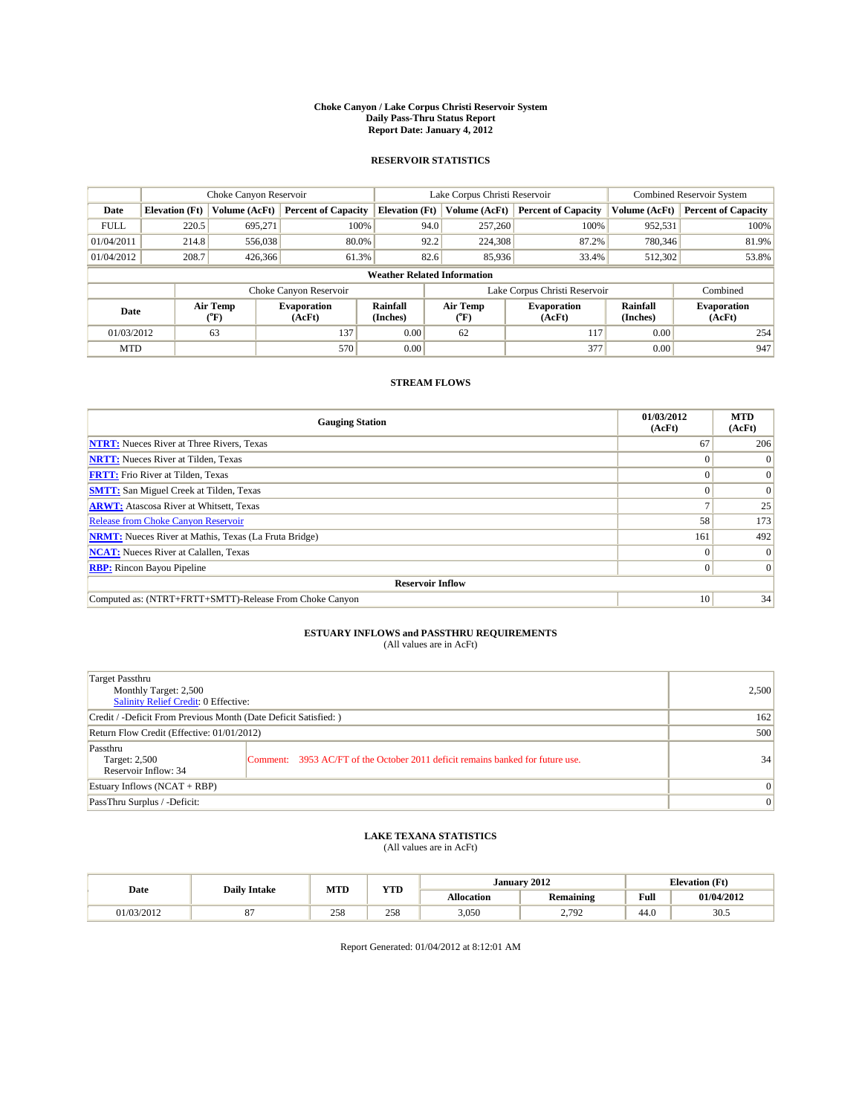#### **Choke Canyon / Lake Corpus Christi Reservoir System Daily Pass-Thru Status Report Report Date: January 4, 2012**

## **RESERVOIR STATISTICS**

|             | Choke Canyon Reservoir             |                  |                              |                             | Lake Corpus Christi Reservoir | <b>Combined Reservoir System</b> |                      |                              |  |  |
|-------------|------------------------------------|------------------|------------------------------|-----------------------------|-------------------------------|----------------------------------|----------------------|------------------------------|--|--|
| Date        | <b>Elevation</b> (Ft)              | Volume (AcFt)    | <b>Percent of Capacity</b>   | <b>Elevation</b> (Ft)       | Volume (AcFt)                 | <b>Percent of Capacity</b>       | Volume (AcFt)        | <b>Percent of Capacity</b>   |  |  |
| <b>FULL</b> | 220.5                              | 695,271          | 100%                         | 94.0                        | 257,260                       | 100%                             | 952,531              | 100%                         |  |  |
| 01/04/2011  | 214.8                              | 556,038          | 80.0%                        | 92.2                        | 224,308                       | 87.2%                            | 780,346              | 81.9%                        |  |  |
| 01/04/2012  | 208.7                              | 426,366          | 61.3%                        | 82.6                        | 85,936                        | 33.4%                            | 512,302              | 53.8%                        |  |  |
|             | <b>Weather Related Information</b> |                  |                              |                             |                               |                                  |                      |                              |  |  |
|             |                                    |                  | Choke Canyon Reservoir       |                             |                               | Lake Corpus Christi Reservoir    |                      | Combined                     |  |  |
| Date        |                                    | Air Temp<br>(°F) | <b>Evaporation</b><br>(AcFt) | <b>Rainfall</b><br>(Inches) | Air Temp<br>(°F)              | <b>Evaporation</b><br>(AcFt)     | Rainfall<br>(Inches) | <b>Evaporation</b><br>(AcFt) |  |  |
| 01/03/2012  |                                    | 63               | 137                          | 0.00                        | 62                            | 117                              | 0.00                 | 254                          |  |  |
| <b>MTD</b>  |                                    |                  | 570                          | 0.00                        |                               | 377                              | 0.00                 | 947                          |  |  |

## **STREAM FLOWS**

| <b>Gauging Station</b>                                       | 01/03/2012<br>(AcFt) | <b>MTD</b><br>(AcFt) |
|--------------------------------------------------------------|----------------------|----------------------|
| <b>NTRT:</b> Nueces River at Three Rivers, Texas             | 67                   | 206                  |
| <b>NRTT:</b> Nueces River at Tilden, Texas                   | $\left( \right)$     |                      |
| <b>FRTT:</b> Frio River at Tilden, Texas                     |                      | $\Omega$             |
| <b>SMTT:</b> San Miguel Creek at Tilden, Texas               |                      | $\Omega$             |
| <b>ARWT:</b> Atascosa River at Whitsett, Texas               |                      | 25                   |
| <b>Release from Choke Canyon Reservoir</b>                   | 58                   | 173                  |
| <b>NRMT:</b> Nueces River at Mathis, Texas (La Fruta Bridge) | 161                  | 492                  |
| <b>NCAT:</b> Nueces River at Calallen, Texas                 | $\Omega$             | $\Omega$             |
| <b>RBP:</b> Rincon Bayou Pipeline                            | $\Omega$             | $\Omega$             |
| <b>Reservoir Inflow</b>                                      |                      |                      |
| Computed as: (NTRT+FRTT+SMTT)-Release From Choke Canyon      | 10                   | 34                   |

# **ESTUARY INFLOWS and PASSTHRU REQUIREMENTS**<br>(All values are in AcFt)

| Target Passthru<br>Monthly Target: 2,500<br>Salinity Relief Credit: 0 Effective: |                                                                                | 2,500        |
|----------------------------------------------------------------------------------|--------------------------------------------------------------------------------|--------------|
| Credit / -Deficit From Previous Month (Date Deficit Satisfied: )                 | 162                                                                            |              |
| Return Flow Credit (Effective: 01/01/2012)                                       | 500                                                                            |              |
| Passthru<br>Target: 2,500<br>Reservoir Inflow: 34                                | Comment: 3953 AC/FT of the October 2011 deficit remains banked for future use. | 34           |
| Estuary Inflows (NCAT + RBP)                                                     |                                                                                | $\mathbf{0}$ |
| PassThru Surplus / -Deficit:                                                     | $\mathbf{0}$                                                                   |              |

# **LAKE TEXANA STATISTICS** (All values are in AcFt)

|            | <b>Daily Intake</b> | MTD | T/TD  |            | January 2012     |                                             | <b>Elevation</b> (Ft) |
|------------|---------------------|-----|-------|------------|------------------|---------------------------------------------|-----------------------|
| Date       |                     |     | 1 I D | Allocation | <b>Remaining</b> | Full<br>the contract of the contract of the | 01/04/2012            |
| 01/03/2012 |                     | 258 | 258   | 3,050      | 2,792            | 44.0                                        | 30.5                  |

Report Generated: 01/04/2012 at 8:12:01 AM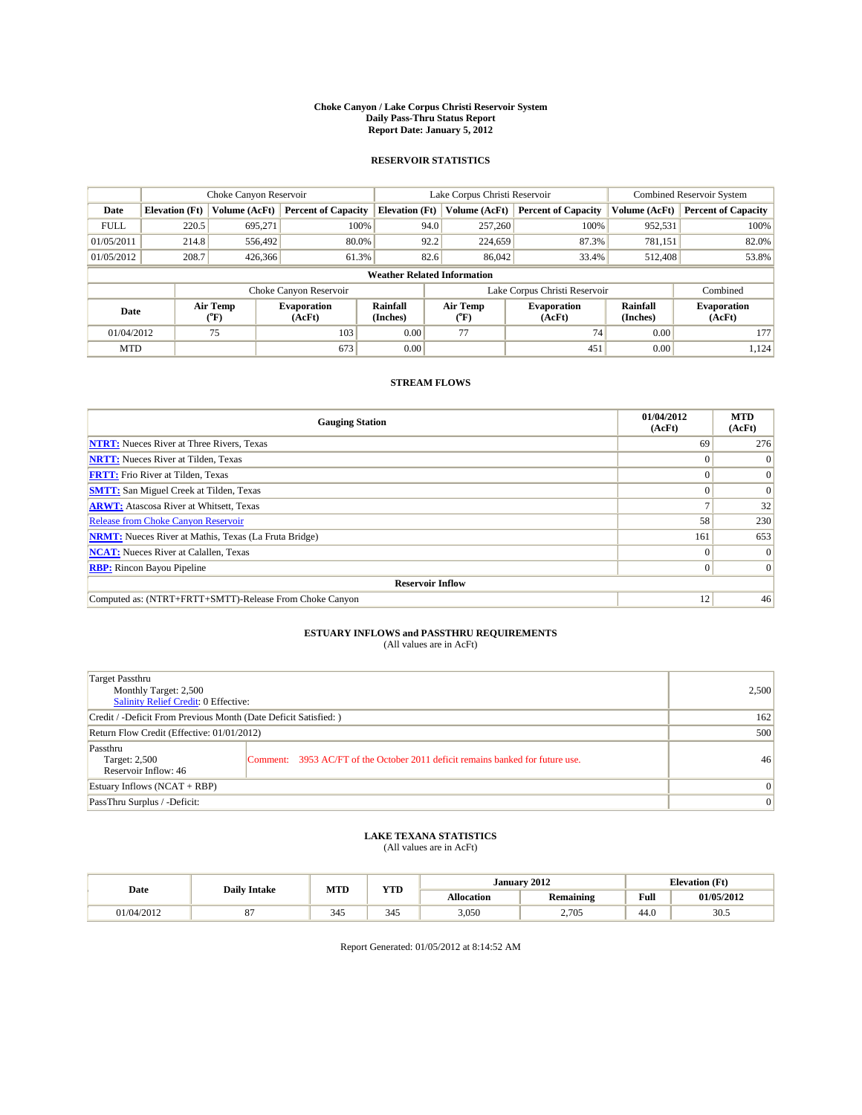#### **Choke Canyon / Lake Corpus Christi Reservoir System Daily Pass-Thru Status Report Report Date: January 5, 2012**

## **RESERVOIR STATISTICS**

|             | Choke Canyon Reservoir             |                  |                            |                             | Lake Corpus Christi Reservoir | Combined Reservoir System     |                      |                              |  |  |
|-------------|------------------------------------|------------------|----------------------------|-----------------------------|-------------------------------|-------------------------------|----------------------|------------------------------|--|--|
| Date        | <b>Elevation</b> (Ft)              | Volume (AcFt)    | <b>Percent of Capacity</b> | <b>Elevation</b> (Ft)       | Volume (AcFt)                 | <b>Percent of Capacity</b>    | Volume (AcFt)        | <b>Percent of Capacity</b>   |  |  |
| <b>FULL</b> | 220.5                              | 695,271          | 100%                       | 94.0                        | 257,260                       | 100%                          | 952,531              | 100%                         |  |  |
| 01/05/2011  | 214.8                              | 556.492          | 80.0%                      | 92.2                        | 224,659                       | 87.3%                         | 781,151              | 82.0%                        |  |  |
| 01/05/2012  | 208.7                              | 426,366          | 61.3%                      | 82.6                        | 86,042                        | 33.4%                         | 512,408              | 53.8%                        |  |  |
|             | <b>Weather Related Information</b> |                  |                            |                             |                               |                               |                      |                              |  |  |
|             |                                    |                  | Choke Canyon Reservoir     |                             |                               | Lake Corpus Christi Reservoir |                      | Combined                     |  |  |
| Date        |                                    | Air Temp<br>(°F) | Evaporation<br>(AcFt)      | <b>Rainfall</b><br>(Inches) | Air Temp<br>(°F)              | <b>Evaporation</b><br>(AcFt)  | Rainfall<br>(Inches) | <b>Evaporation</b><br>(AcFt) |  |  |
| 01/04/2012  |                                    | 75               | 103                        | 0.00                        | 77                            | 74                            | 0.00                 | 177                          |  |  |
| <b>MTD</b>  |                                    |                  | 673                        | 0.00                        |                               | 451                           | 0.00                 | 1,124                        |  |  |

## **STREAM FLOWS**

| <b>Gauging Station</b>                                       | 01/04/2012<br>(AcFt) | <b>MTD</b><br>(AcFt) |
|--------------------------------------------------------------|----------------------|----------------------|
| <b>NTRT:</b> Nueces River at Three Rivers, Texas             | 69                   | 276                  |
| <b>NRTT:</b> Nueces River at Tilden, Texas                   |                      | $\theta$             |
| <b>FRTT:</b> Frio River at Tilden, Texas                     |                      | $\Omega$             |
| <b>SMTT:</b> San Miguel Creek at Tilden, Texas               |                      | $\Omega$             |
| <b>ARWT:</b> Atascosa River at Whitsett, Texas               |                      | 32                   |
| Release from Choke Canyon Reservoir                          | 58                   | 230                  |
| <b>NRMT:</b> Nueces River at Mathis, Texas (La Fruta Bridge) | 161                  | 653                  |
| <b>NCAT:</b> Nueces River at Calallen, Texas                 | 0                    |                      |
| <b>RBP:</b> Rincon Bayou Pipeline                            | $\Omega$             | $\Omega$             |
| <b>Reservoir Inflow</b>                                      |                      |                      |
| Computed as: (NTRT+FRTT+SMTT)-Release From Choke Canyon      | 12                   | 46                   |

# **ESTUARY INFLOWS and PASSTHRU REQUIREMENTS**<br>(All values are in AcFt)

| Target Passthru<br>Monthly Target: 2,500<br>Salinity Relief Credit: 0 Effective: |                                                                                | 2,500        |
|----------------------------------------------------------------------------------|--------------------------------------------------------------------------------|--------------|
| Credit / -Deficit From Previous Month (Date Deficit Satisfied: )                 | 162                                                                            |              |
| Return Flow Credit (Effective: 01/01/2012)                                       | 500                                                                            |              |
| Passthru<br>Target: 2,500<br>Reservoir Inflow: 46                                | Comment: 3953 AC/FT of the October 2011 deficit remains banked for future use. | 46           |
| Estuary Inflows (NCAT + RBP)                                                     |                                                                                | $\mathbf{0}$ |
| PassThru Surplus / -Deficit:                                                     | $\mathbf{0}$                                                                   |              |

## **LAKE TEXANA STATISTICS** (All values are in AcFt)

|            | <b>Daily Intake</b> | MTD | T/TD<br>1 I D |            | January 2012     | <b>Elevation</b> (Ft)                       |            |
|------------|---------------------|-----|---------------|------------|------------------|---------------------------------------------|------------|
| Date       |                     |     |               | Allocation | <b>Remaining</b> | Full<br>the contract of the contract of the | 01/05/2012 |
| 01/04/2012 |                     | 345 | 345           | 3,050      | 2,705            | 44.0                                        | 30.5       |

Report Generated: 01/05/2012 at 8:14:52 AM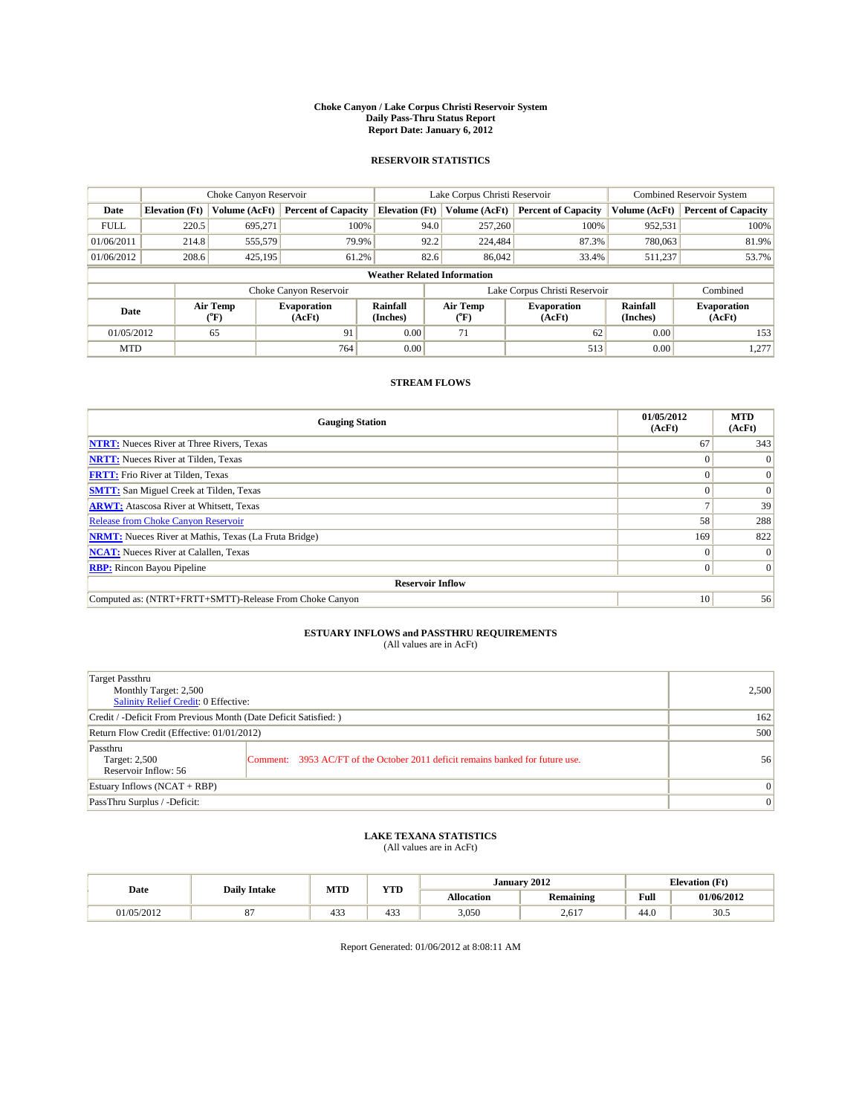#### **Choke Canyon / Lake Corpus Christi Reservoir System Daily Pass-Thru Status Report Report Date: January 6, 2012**

## **RESERVOIR STATISTICS**

|             | Choke Canyon Reservoir             |                                           |                              |                       | Lake Corpus Christi Reservoir | <b>Combined Reservoir System</b> |                      |                              |  |  |
|-------------|------------------------------------|-------------------------------------------|------------------------------|-----------------------|-------------------------------|----------------------------------|----------------------|------------------------------|--|--|
| Date        | <b>Elevation</b> (Ft)              | Volume (AcFt)                             | <b>Percent of Capacity</b>   | <b>Elevation</b> (Ft) | Volume (AcFt)                 | <b>Percent of Capacity</b>       | Volume (AcFt)        | <b>Percent of Capacity</b>   |  |  |
| <b>FULL</b> | 220.5                              | 695.271                                   | 100%                         | 94.0                  | 257,260                       | 100%                             | 952,531              | 100%                         |  |  |
| 01/06/2011  | 214.8                              | 555,579                                   | 79.9%                        | 92.2                  | 224,484                       | 87.3%                            | 780,063              | 81.9%                        |  |  |
| 01/06/2012  | 208.6                              | 425,195                                   | 61.2%                        | 82.6                  | 86,042                        | 33.4%                            | 511,237              | 53.7%                        |  |  |
|             | <b>Weather Related Information</b> |                                           |                              |                       |                               |                                  |                      |                              |  |  |
|             |                                    |                                           | Choke Canyon Reservoir       |                       |                               | Lake Corpus Christi Reservoir    |                      | Combined                     |  |  |
| Date        |                                    | Air Temp<br>$({}^{\mathrm{o}}\mathrm{F})$ | <b>Evaporation</b><br>(AcFt) | Rainfall<br>(Inches)  | Air Temp<br>(°F)              | <b>Evaporation</b><br>(AcFt)     | Rainfall<br>(Inches) | <b>Evaporation</b><br>(AcFt) |  |  |
| 01/05/2012  |                                    | 65                                        | 91                           | 0.00                  | 71                            | 62                               | 0.00                 | 153                          |  |  |
| <b>MTD</b>  |                                    |                                           | 764                          | 0.00                  |                               | 513                              | 0.00                 | 1,277                        |  |  |

## **STREAM FLOWS**

| <b>Gauging Station</b>                                       | 01/05/2012<br>(AcFt) | <b>MTD</b><br>(AcFt) |  |  |  |  |  |
|--------------------------------------------------------------|----------------------|----------------------|--|--|--|--|--|
| <b>NTRT:</b> Nueces River at Three Rivers, Texas             | 67                   | 343                  |  |  |  |  |  |
| <b>NRTT:</b> Nueces River at Tilden, Texas                   |                      |                      |  |  |  |  |  |
| <b>FRTT:</b> Frio River at Tilden, Texas                     |                      | $\Omega$             |  |  |  |  |  |
| <b>SMTT:</b> San Miguel Creek at Tilden, Texas               |                      | $\Omega$             |  |  |  |  |  |
| <b>ARWT:</b> Atascosa River at Whitsett, Texas               |                      | 39                   |  |  |  |  |  |
| <b>Release from Choke Canyon Reservoir</b>                   | 58                   | 288                  |  |  |  |  |  |
| <b>NRMT:</b> Nueces River at Mathis, Texas (La Fruta Bridge) | 169                  | 822                  |  |  |  |  |  |
| <b>NCAT:</b> Nueces River at Calallen, Texas                 | $\Omega$             |                      |  |  |  |  |  |
| <b>RBP:</b> Rincon Bayou Pipeline                            | $\Omega$             |                      |  |  |  |  |  |
| <b>Reservoir Inflow</b>                                      |                      |                      |  |  |  |  |  |
| Computed as: (NTRT+FRTT+SMTT)-Release From Choke Canyon      | 10 <sup>1</sup>      | 56                   |  |  |  |  |  |

# **ESTUARY INFLOWS and PASSTHRU REQUIREMENTS**<br>(All values are in AcFt)

| Target Passthru<br>Monthly Target: 2,500<br>Salinity Relief Credit: 0 Effective: |                                                                                | 2,500        |
|----------------------------------------------------------------------------------|--------------------------------------------------------------------------------|--------------|
| Credit / -Deficit From Previous Month (Date Deficit Satisfied: )                 | 162                                                                            |              |
| Return Flow Credit (Effective: 01/01/2012)                                       | 500                                                                            |              |
| Passthru<br>Target: 2,500<br>Reservoir Inflow: 56                                | Comment: 3953 AC/FT of the October 2011 deficit remains banked for future use. | 56           |
| Estuary Inflows (NCAT + RBP)                                                     |                                                                                | $\mathbf{0}$ |
| PassThru Surplus / -Deficit:                                                     | $\mathbf{0}$                                                                   |              |

## **LAKE TEXANA STATISTICS** (All values are in AcFt)

|            | <b>Daily Intake</b> | MTD | <b>TIMP</b><br>1 I D |            | January 2012     | <b>Elevation</b> (Ft)                   |            |
|------------|---------------------|-----|----------------------|------------|------------------|-----------------------------------------|------------|
| Date       |                     |     |                      | Allocation | <b>Remaining</b> | Full<br>the contract of the contract of | 01/06/2012 |
| 01/05/2012 |                     | 433 | $\sim$<br>433        | 3,050      | 2,617            | 44.0                                    | 30.5       |

Report Generated: 01/06/2012 at 8:08:11 AM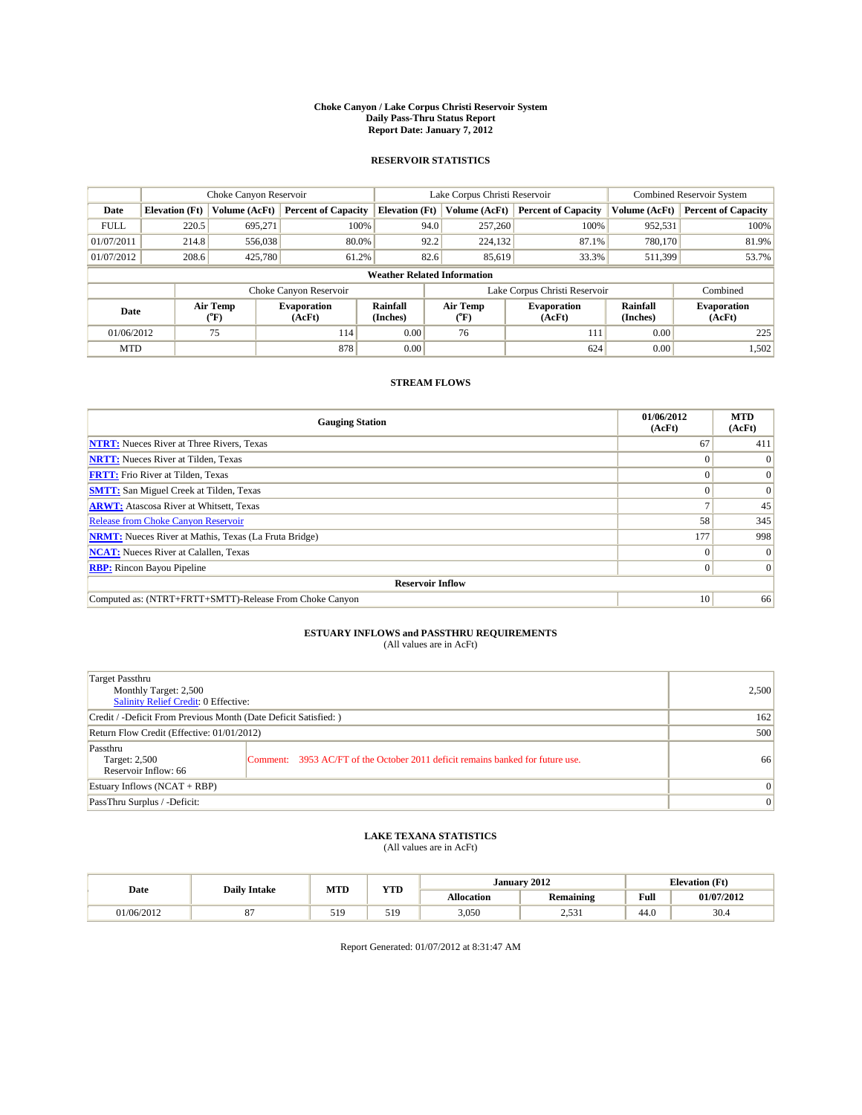#### **Choke Canyon / Lake Corpus Christi Reservoir System Daily Pass-Thru Status Report Report Date: January 7, 2012**

## **RESERVOIR STATISTICS**

|             | Choke Canyon Reservoir             |                                           |                              |                       | Lake Corpus Christi Reservoir | <b>Combined Reservoir System</b> |                      |                              |  |  |
|-------------|------------------------------------|-------------------------------------------|------------------------------|-----------------------|-------------------------------|----------------------------------|----------------------|------------------------------|--|--|
| Date        | <b>Elevation</b> (Ft)              | Volume (AcFt)                             | <b>Percent of Capacity</b>   | <b>Elevation</b> (Ft) | Volume (AcFt)                 | <b>Percent of Capacity</b>       | Volume (AcFt)        | <b>Percent of Capacity</b>   |  |  |
| <b>FULL</b> | 220.5                              | 695.271                                   | 100%                         | 94.0                  | 257,260                       | 100%                             | 952,531              | 100%                         |  |  |
| 01/07/2011  | 214.8                              | 556,038                                   | 80.0%                        | 92.2                  | 224,132                       | 87.1%                            | 780,170              | 81.9%                        |  |  |
| 01/07/2012  | 208.6                              | 425,780                                   | 61.2%                        | 82.6                  | 85,619                        | 33.3%                            | 511,399              | 53.7%                        |  |  |
|             | <b>Weather Related Information</b> |                                           |                              |                       |                               |                                  |                      |                              |  |  |
|             |                                    |                                           | Choke Canyon Reservoir       |                       |                               | Lake Corpus Christi Reservoir    |                      | Combined                     |  |  |
| Date        |                                    | Air Temp<br>$({}^{\mathrm{o}}\mathrm{F})$ | <b>Evaporation</b><br>(AcFt) | Rainfall<br>(Inches)  | Air Temp<br>(°F)              | <b>Evaporation</b><br>(AcFt)     | Rainfall<br>(Inches) | <b>Evaporation</b><br>(AcFt) |  |  |
| 01/06/2012  |                                    | 75                                        | 114                          | 0.00                  | 76                            | 111                              | 0.00                 | 225                          |  |  |
| <b>MTD</b>  |                                    |                                           | 878                          | 0.00                  |                               | 624                              | 0.00                 | 1,502                        |  |  |

## **STREAM FLOWS**

| <b>Gauging Station</b>                                       | 01/06/2012<br>(AcFt) | <b>MTD</b><br>(AcFt) |
|--------------------------------------------------------------|----------------------|----------------------|
| <b>NTRT:</b> Nueces River at Three Rivers, Texas             | 67                   | 411                  |
| <b>NRTT:</b> Nueces River at Tilden, Texas                   |                      |                      |
| <b>FRTT:</b> Frio River at Tilden, Texas                     |                      | $\Omega$             |
| <b>SMTT:</b> San Miguel Creek at Tilden, Texas               |                      | $\Omega$             |
| <b>ARWT:</b> Atascosa River at Whitsett, Texas               |                      | 45                   |
| <b>Release from Choke Canyon Reservoir</b>                   | 58                   | 345                  |
| <b>NRMT:</b> Nueces River at Mathis, Texas (La Fruta Bridge) | 177                  | 998                  |
| <b>NCAT:</b> Nueces River at Calallen, Texas                 | $\Omega$             | $\Omega$             |
| <b>RBP:</b> Rincon Bayou Pipeline                            | $\Omega$             |                      |
| <b>Reservoir Inflow</b>                                      |                      |                      |
| Computed as: (NTRT+FRTT+SMTT)-Release From Choke Canyon      | 10 <sup>1</sup>      | 66                   |

# **ESTUARY INFLOWS and PASSTHRU REQUIREMENTS**<br>(All values are in AcFt)

| Target Passthru<br>Monthly Target: 2,500<br>Salinity Relief Credit: 0 Effective: |                                                                                | 2,500        |
|----------------------------------------------------------------------------------|--------------------------------------------------------------------------------|--------------|
| Credit / -Deficit From Previous Month (Date Deficit Satisfied: )                 | 162                                                                            |              |
| Return Flow Credit (Effective: 01/01/2012)                                       | 500                                                                            |              |
| Passthru<br>Target: 2,500<br>Reservoir Inflow: 66                                | Comment: 3953 AC/FT of the October 2011 deficit remains banked for future use. | 66           |
| Estuary Inflows (NCAT + RBP)                                                     |                                                                                | $\mathbf{0}$ |
| PassThru Surplus / -Deficit:                                                     |                                                                                | $\mathbf{0}$ |

## **LAKE TEXANA STATISTICS** (All values are in AcFt)

|            | <b>Daily Intake</b> | <b>MTD</b> | <b>YTD</b> | January 2012 |                  |                                         | <b>Elevation</b> (Ft) |  |
|------------|---------------------|------------|------------|--------------|------------------|-----------------------------------------|-----------------------|--|
| Date       | $\sim$              |            |            | Allocation   | <b>Remaining</b> | Full<br>the contract of the contract of | 01/07/2012            |  |
| 01/06/2012 |                     | 519        | 519        | 3,050        | 2.531<br>1 ت ب   | 44.0                                    | 30.4                  |  |

Report Generated: 01/07/2012 at 8:31:47 AM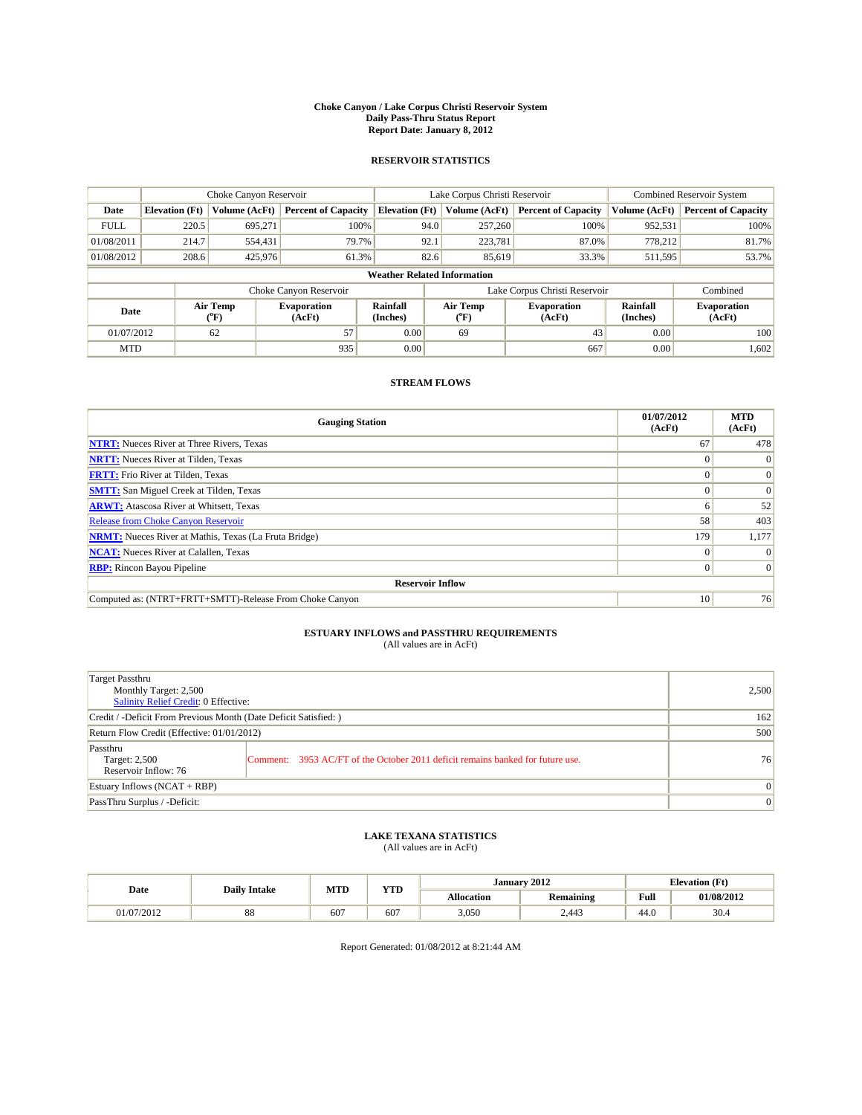#### **Choke Canyon / Lake Corpus Christi Reservoir System Daily Pass-Thru Status Report Report Date: January 8, 2012**

## **RESERVOIR STATISTICS**

|             | Choke Canyon Reservoir             |                  |                              |                             | Lake Corpus Christi Reservoir |                               |                      | <b>Combined Reservoir System</b> |  |  |
|-------------|------------------------------------|------------------|------------------------------|-----------------------------|-------------------------------|-------------------------------|----------------------|----------------------------------|--|--|
| Date        | <b>Elevation</b> (Ft)              | Volume (AcFt)    | <b>Percent of Capacity</b>   | <b>Elevation</b> (Ft)       | Volume (AcFt)                 | <b>Percent of Capacity</b>    | Volume (AcFt)        | <b>Percent of Capacity</b>       |  |  |
| <b>FULL</b> | 220.5                              | 695,271          | 100%                         | 94.0                        | 257,260                       | 100%                          | 952,531              | 100%                             |  |  |
| 01/08/2011  | 214.7                              | 554,431          | 79.7%                        | 92.1                        | 223,781                       | 87.0%                         | 778,212              | 81.7%                            |  |  |
| 01/08/2012  | 208.6                              | 425,976          | 61.3%                        |                             | 82.6<br>85,619                | 33.3%                         | 511,595              | 53.7%                            |  |  |
|             | <b>Weather Related Information</b> |                  |                              |                             |                               |                               |                      |                                  |  |  |
|             |                                    |                  | Choke Canyon Reservoir       |                             |                               | Lake Corpus Christi Reservoir |                      | Combined                         |  |  |
| Date        |                                    | Air Temp<br>(°F) | <b>Evaporation</b><br>(AcFt) | <b>Rainfall</b><br>(Inches) | Air Temp<br>(°F)              | <b>Evaporation</b><br>(AcFt)  | Rainfall<br>(Inches) | <b>Evaporation</b><br>(AcFt)     |  |  |
| 01/07/2012  |                                    | 62               | 57                           | 0.00                        | 69                            | 43                            | 0.00                 | 100                              |  |  |
| <b>MTD</b>  |                                    |                  | 935                          | 0.00                        |                               | 667                           | 0.00                 | 1,602                            |  |  |

## **STREAM FLOWS**

| <b>Gauging Station</b>                                       | 01/07/2012<br>(AcFt) | <b>MTD</b><br>(AcFt) |
|--------------------------------------------------------------|----------------------|----------------------|
| <b>NTRT:</b> Nueces River at Three Rivers, Texas             | 67                   | 478                  |
| <b>NRTT:</b> Nueces River at Tilden, Texas                   |                      | $\theta$             |
| <b>FRTT:</b> Frio River at Tilden, Texas                     |                      | $\Omega$             |
| <b>SMTT:</b> San Miguel Creek at Tilden, Texas               |                      | $\Omega$             |
| <b>ARWT:</b> Atascosa River at Whitsett, Texas               | o                    | 52                   |
| <b>Release from Choke Canyon Reservoir</b>                   | 58                   | 403                  |
| <b>NRMT:</b> Nueces River at Mathis, Texas (La Fruta Bridge) | 179                  | 1,177                |
| <b>NCAT:</b> Nueces River at Calallen, Texas                 | $^{\circ}$           |                      |
| <b>RBP:</b> Rincon Bayou Pipeline                            | $\overline{0}$       | $\Omega$             |
| <b>Reservoir Inflow</b>                                      |                      |                      |
| Computed as: (NTRT+FRTT+SMTT)-Release From Choke Canyon      | 10                   | 76                   |

# **ESTUARY INFLOWS and PASSTHRU REQUIREMENTS**<br>(All values are in AcFt)

| Target Passthru<br>Monthly Target: 2,500<br>Salinity Relief Credit: 0 Effective: |                                                                                | 2,500           |
|----------------------------------------------------------------------------------|--------------------------------------------------------------------------------|-----------------|
| Credit / -Deficit From Previous Month (Date Deficit Satisfied: )                 | 162                                                                            |                 |
| Return Flow Credit (Effective: 01/01/2012)                                       | 500                                                                            |                 |
| Passthru<br>Target: 2,500<br>Reservoir Inflow: 76                                | Comment: 3953 AC/FT of the October 2011 deficit remains banked for future use. | 76              |
| Estuary Inflows (NCAT + RBP)                                                     |                                                                                | $\vert 0 \vert$ |
| PassThru Surplus / -Deficit:                                                     | $\mathbf{0}$                                                                   |                 |

## **LAKE TEXANA STATISTICS** (All values are in AcFt)

|            | <b>Daily Intake</b> | MTD | T/TD  |            | January 2012     |                                         | <b>Elevation</b> (Ft) |
|------------|---------------------|-----|-------|------------|------------------|-----------------------------------------|-----------------------|
| Date       |                     |     | 1 I D | Allocation | <b>Remaining</b> | Full<br>the contract of the contract of | 01/08/2012            |
| 01/07/2012 | $\circ$<br>ðð       | 607 | $60-$ | 3,050      | 2.443            | 44.0                                    | 30.4                  |

Report Generated: 01/08/2012 at 8:21:44 AM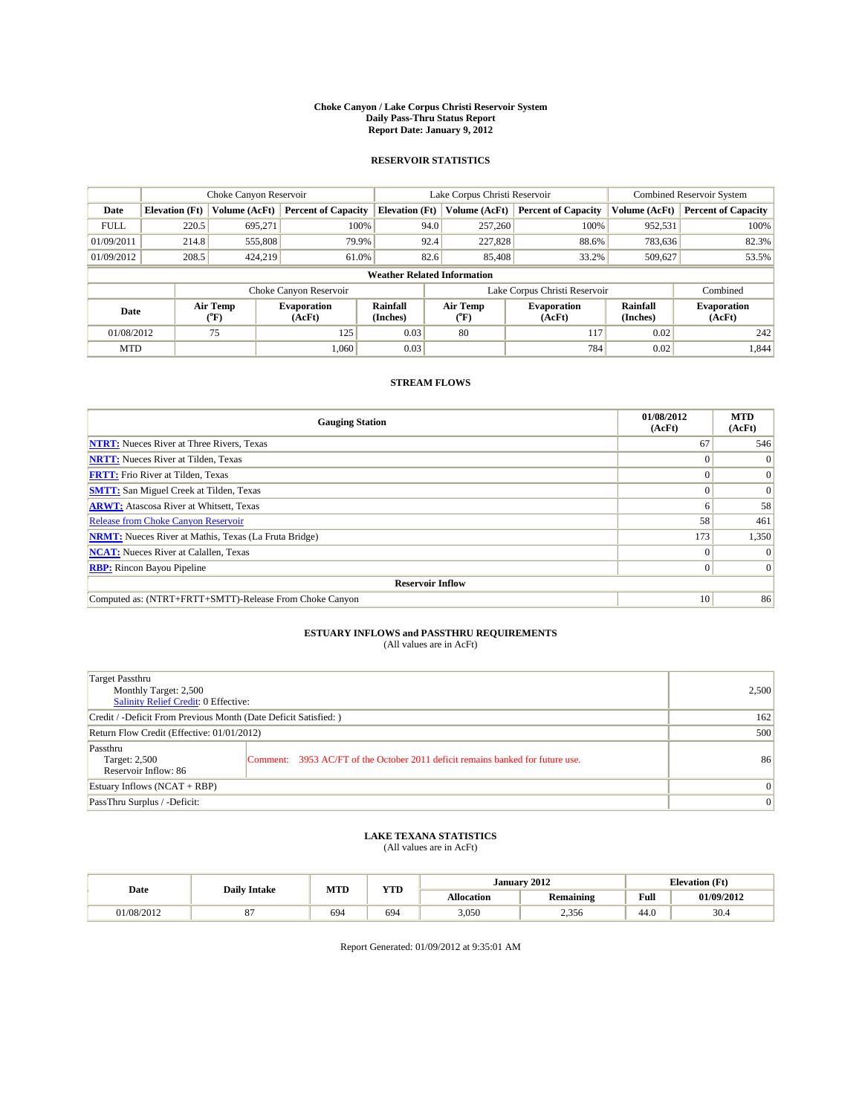#### **Choke Canyon / Lake Corpus Christi Reservoir System Daily Pass-Thru Status Report Report Date: January 9, 2012**

## **RESERVOIR STATISTICS**

|             | Choke Canyon Reservoir             |                                           |                              |                       | Lake Corpus Christi Reservoir           | <b>Combined Reservoir System</b> |                      |                              |  |  |
|-------------|------------------------------------|-------------------------------------------|------------------------------|-----------------------|-----------------------------------------|----------------------------------|----------------------|------------------------------|--|--|
| Date        | <b>Elevation</b> (Ft)              | Volume (AcFt)                             | <b>Percent of Capacity</b>   | <b>Elevation</b> (Ft) | Volume (AcFt)                           | <b>Percent of Capacity</b>       | Volume (AcFt)        | <b>Percent of Capacity</b>   |  |  |
| <b>FULL</b> | 220.5                              | 695.271                                   | 100%                         | 94.0                  | 257,260                                 | 100%                             | 952,531              | 100%                         |  |  |
| 01/09/2011  | 214.8                              | 555,808                                   | 79.9%                        | 92.4                  | 227,828                                 | 88.6%                            | 783,636              | 82.3%                        |  |  |
| 01/09/2012  | 208.5                              | 424,219                                   | 61.0%                        | 82.6                  | 85,408                                  | 33.2%                            | 509,627              | 53.5%                        |  |  |
|             | <b>Weather Related Information</b> |                                           |                              |                       |                                         |                                  |                      |                              |  |  |
|             |                                    |                                           | Choke Canyon Reservoir       |                       |                                         | Lake Corpus Christi Reservoir    |                      | Combined                     |  |  |
| Date        |                                    | Air Temp<br>$({}^{\mathrm{o}}\mathrm{F})$ | <b>Evaporation</b><br>(AcFt) | Rainfall<br>(Inches)  | Air Temp<br>$(^{\mathrm{o}}\mathrm{F})$ | <b>Evaporation</b><br>(AcFt)     | Rainfall<br>(Inches) | <b>Evaporation</b><br>(AcFt) |  |  |
| 01/08/2012  |                                    | 75                                        | 125                          | 0.03                  | 80                                      | 117                              | 0.02                 | 242                          |  |  |
| <b>MTD</b>  |                                    |                                           | 1,060                        | 0.03                  |                                         | 784                              | 0.02                 | 1,844                        |  |  |

## **STREAM FLOWS**

| <b>Gauging Station</b>                                       | 01/08/2012<br>(AcFt) | <b>MTD</b><br>(AcFt) |
|--------------------------------------------------------------|----------------------|----------------------|
| <b>NTRT:</b> Nueces River at Three Rivers, Texas             | 67                   | 546                  |
| <b>NRTT:</b> Nueces River at Tilden, Texas                   |                      |                      |
| <b>FRTT:</b> Frio River at Tilden, Texas                     |                      | $\Omega$             |
| <b>SMTT:</b> San Miguel Creek at Tilden, Texas               |                      | $\Omega$             |
| <b>ARWT:</b> Atascosa River at Whitsett, Texas               | n                    | 58                   |
| <b>Release from Choke Canyon Reservoir</b>                   | 58                   | 461                  |
| <b>NRMT:</b> Nueces River at Mathis, Texas (La Fruta Bridge) | 173                  | 1,350                |
| <b>NCAT:</b> Nueces River at Calallen, Texas                 | $\Omega$             |                      |
| <b>RBP:</b> Rincon Bayou Pipeline                            | $\Omega$             |                      |
| <b>Reservoir Inflow</b>                                      |                      |                      |
| Computed as: (NTRT+FRTT+SMTT)-Release From Choke Canyon      | 10 <sup>1</sup>      | 86                   |

# **ESTUARY INFLOWS and PASSTHRU REQUIREMENTS**<br>(All values are in AcFt)

| Target Passthru<br>Monthly Target: 2,500<br>Salinity Relief Credit: 0 Effective: |                                                                                | 2,500        |
|----------------------------------------------------------------------------------|--------------------------------------------------------------------------------|--------------|
| Credit / -Deficit From Previous Month (Date Deficit Satisfied: )                 | 162                                                                            |              |
| Return Flow Credit (Effective: 01/01/2012)                                       | 500                                                                            |              |
| Passthru<br>Target: 2,500<br>Reservoir Inflow: 86                                | Comment: 3953 AC/FT of the October 2011 deficit remains banked for future use. | 86           |
| Estuary Inflows (NCAT + RBP)                                                     |                                                                                | $\mathbf{0}$ |
| PassThru Surplus / -Deficit:                                                     |                                                                                | $\mathbf{0}$ |

## **LAKE TEXANA STATISTICS** (All values are in AcFt)

|            | <b>Daily Intake</b> | MTD | <b>YTD</b> | January 2012      |                         |                                         | <b>Elevation</b> (Ft) |
|------------|---------------------|-----|------------|-------------------|-------------------------|-----------------------------------------|-----------------------|
| Date       |                     |     |            | <b>Allocation</b> | . .<br><b>Remaining</b> | Full<br>the contract of the contract of | 01/09/2012            |
| 01/08/2012 |                     | 694 | 694        | 3,050             | 2,356                   | 44.0                                    | 30.4                  |

Report Generated: 01/09/2012 at 9:35:01 AM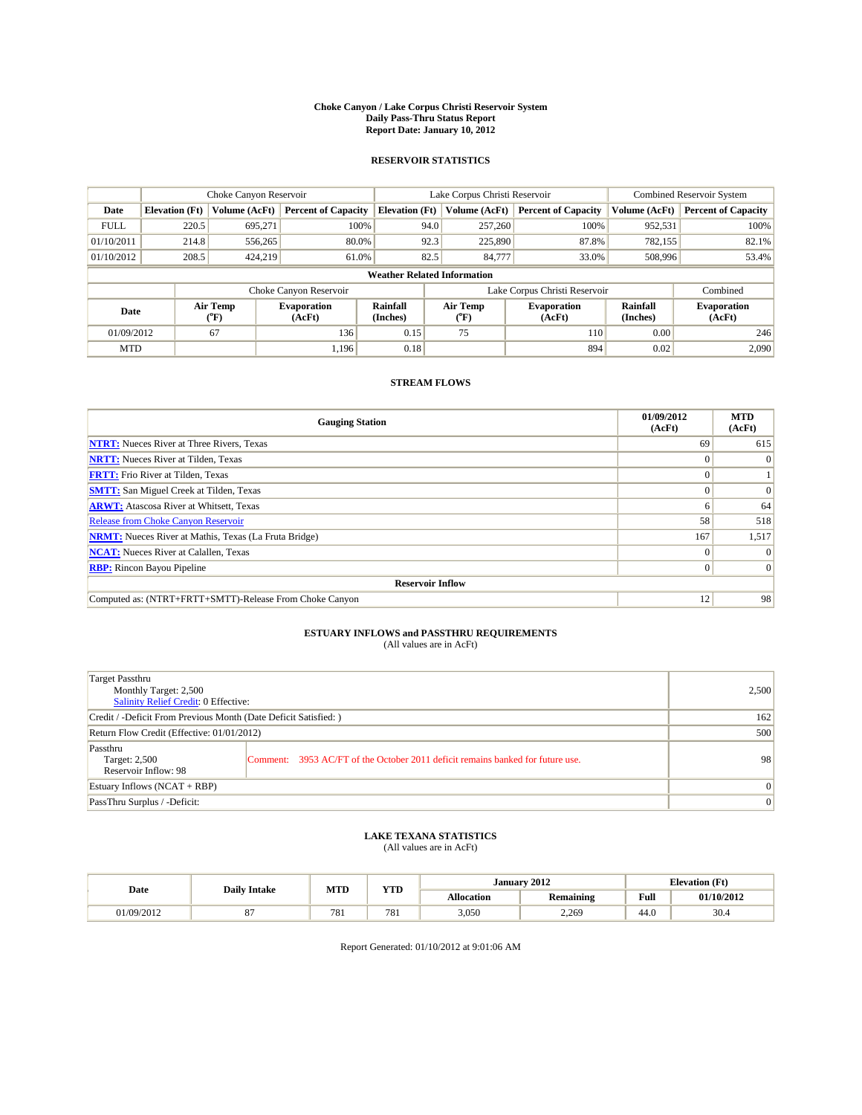#### **Choke Canyon / Lake Corpus Christi Reservoir System Daily Pass-Thru Status Report Report Date: January 10, 2012**

## **RESERVOIR STATISTICS**

|             | Choke Canyon Reservoir             |                  |                              |                             | Lake Corpus Christi Reservoir |                               |                      | <b>Combined Reservoir System</b> |  |  |
|-------------|------------------------------------|------------------|------------------------------|-----------------------------|-------------------------------|-------------------------------|----------------------|----------------------------------|--|--|
| Date        | <b>Elevation</b> (Ft)              | Volume (AcFt)    | <b>Percent of Capacity</b>   | <b>Elevation</b> (Ft)       | Volume (AcFt)                 | <b>Percent of Capacity</b>    | Volume (AcFt)        | <b>Percent of Capacity</b>       |  |  |
| <b>FULL</b> | 220.5                              | 695,271          | 100%                         | 94.0                        | 257,260                       | 100%                          | 952,531              | 100%                             |  |  |
| 01/10/2011  | 214.8                              | 556,265          | 80.0%                        | 92.3                        | 225,890                       | 87.8%                         | 782,155              | 82.1%                            |  |  |
| 01/10/2012  | 208.5                              | 424,219          | 61.0%                        | 82.5                        | 84,777                        | 33.0%                         | 508,996              | 53.4%                            |  |  |
|             | <b>Weather Related Information</b> |                  |                              |                             |                               |                               |                      |                                  |  |  |
|             |                                    |                  | Choke Canyon Reservoir       |                             |                               | Lake Corpus Christi Reservoir |                      | Combined                         |  |  |
| Date        |                                    | Air Temp<br>(°F) | <b>Evaporation</b><br>(AcFt) | <b>Rainfall</b><br>(Inches) | Air Temp<br>(°F)              | <b>Evaporation</b><br>(AcFt)  | Rainfall<br>(Inches) | <b>Evaporation</b><br>(AcFt)     |  |  |
| 01/09/2012  |                                    | 67               | 136                          | 0.15                        | 75                            | <b>110</b>                    | 0.00                 | 246                              |  |  |
| <b>MTD</b>  |                                    |                  | 1.196                        | 0.18                        |                               | 894                           | 0.02                 | 2.090                            |  |  |

## **STREAM FLOWS**

| <b>Gauging Station</b>                                       | 01/09/2012<br>(AcFt) | <b>MTD</b><br>(AcFt) |
|--------------------------------------------------------------|----------------------|----------------------|
| <b>NTRT:</b> Nueces River at Three Rivers, Texas             | 69                   | 615                  |
| <b>NRTT:</b> Nueces River at Tilden, Texas                   | $\theta$             |                      |
| <b>FRTT:</b> Frio River at Tilden, Texas                     |                      |                      |
| <b>SMTT:</b> San Miguel Creek at Tilden, Texas               |                      | $\Omega$             |
| <b>ARWT:</b> Atascosa River at Whitsett, Texas               | o                    | 64                   |
| <b>Release from Choke Canyon Reservoir</b>                   | 58                   | 518                  |
| <b>NRMT:</b> Nueces River at Mathis, Texas (La Fruta Bridge) | 167                  | 1,517                |
| <b>NCAT:</b> Nueces River at Calallen, Texas                 | $\Omega$             | $\Omega$             |
| <b>RBP:</b> Rincon Bayou Pipeline                            | $\Omega$             | $\Omega$             |
| <b>Reservoir Inflow</b>                                      |                      |                      |
| Computed as: (NTRT+FRTT+SMTT)-Release From Choke Canyon      | 12                   | 98                   |

# **ESTUARY INFLOWS and PASSTHRU REQUIREMENTS**<br>(All values are in AcFt)

| Target Passthru<br>Monthly Target: 2,500<br>Salinity Relief Credit: 0 Effective: |                                                                                | 2,500        |
|----------------------------------------------------------------------------------|--------------------------------------------------------------------------------|--------------|
| Credit / -Deficit From Previous Month (Date Deficit Satisfied: )                 | 162                                                                            |              |
| Return Flow Credit (Effective: 01/01/2012)                                       | 500                                                                            |              |
| Passthru<br>Target: 2,500<br>Reservoir Inflow: 98                                | Comment: 3953 AC/FT of the October 2011 deficit remains banked for future use. | 98           |
| Estuary Inflows (NCAT + RBP)                                                     |                                                                                | $\mathbf{0}$ |
| PassThru Surplus / -Deficit:                                                     |                                                                                | $\mathbf{0}$ |

## **LAKE TEXANA STATISTICS** (All values are in AcFt)

|            | <b>Daily Intake</b> | MTD | <b>YTD</b> | January 2012 |                         | <b>Elevation</b> (Ft)                   |            |
|------------|---------------------|-----|------------|--------------|-------------------------|-----------------------------------------|------------|
| Date       |                     |     |            | Allocation   | . .<br><b>Remaining</b> | Full<br>the contract of the contract of | 01/10/2012 |
| 01/09/2012 |                     | 781 | 781        | 3,050        | 2,269                   | 44.0                                    | 30.4       |

Report Generated: 01/10/2012 at 9:01:06 AM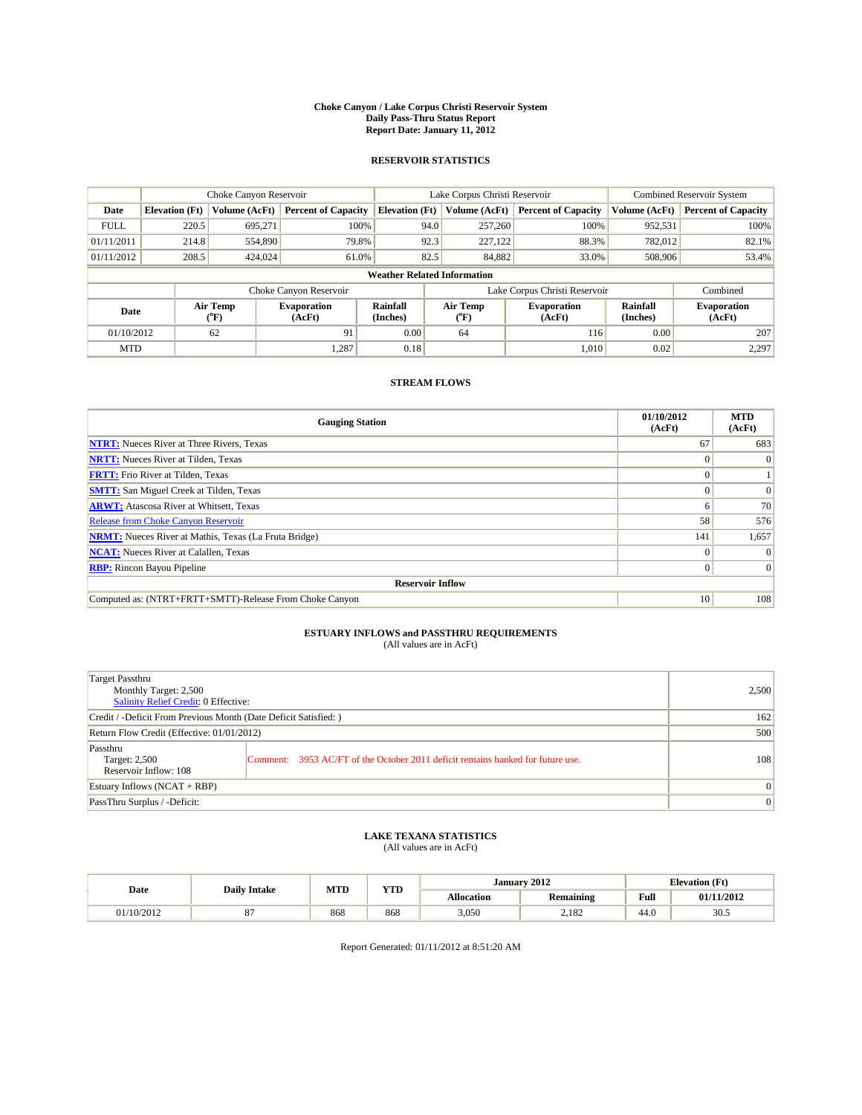#### **Choke Canyon / Lake Corpus Christi Reservoir System Daily Pass-Thru Status Report Report Date: January 11, 2012**

## **RESERVOIR STATISTICS**

|             | Choke Canyon Reservoir             |                  |                              |                             | Lake Corpus Christi Reservoir  |                               |                      | <b>Combined Reservoir System</b> |  |  |
|-------------|------------------------------------|------------------|------------------------------|-----------------------------|--------------------------------|-------------------------------|----------------------|----------------------------------|--|--|
| Date        | <b>Elevation</b> (Ft)              | Volume (AcFt)    | <b>Percent of Capacity</b>   | <b>Elevation</b> (Ft)       | Volume (AcFt)                  | <b>Percent of Capacity</b>    | Volume (AcFt)        | <b>Percent of Capacity</b>       |  |  |
| <b>FULL</b> | 220.5                              | 695,271          | 100%                         | 94.0                        | 257,260                        | 100%                          | 952,531              | 100%                             |  |  |
| 01/11/2011  | 214.8                              | 554,890          | 79.8%                        | 92.3                        | 227,122                        | 88.3%                         | 782,012              | 82.1%                            |  |  |
| 01/11/2012  | 208.5                              | 424,024          | 61.0%                        | 82.5                        | 84,882                         | 33.0%                         | 508,906              | 53.4%                            |  |  |
|             | <b>Weather Related Information</b> |                  |                              |                             |                                |                               |                      |                                  |  |  |
|             |                                    |                  | Choke Canyon Reservoir       |                             |                                | Lake Corpus Christi Reservoir |                      | Combined                         |  |  |
| Date        |                                    | Air Temp<br>(°F) | <b>Evaporation</b><br>(AcFt) | <b>Rainfall</b><br>(Inches) | Air Temp<br>$({}^o\mathrm{F})$ | <b>Evaporation</b><br>(AcFt)  | Rainfall<br>(Inches) | <b>Evaporation</b><br>(AcFt)     |  |  |
| 01/10/2012  |                                    | 62               | 91                           | 0.00                        | 64                             | 116                           | 0.00                 | 207                              |  |  |
| <b>MTD</b>  |                                    |                  | 1,287                        | 0.18                        |                                | 1.010                         | 0.02                 | 2,297                            |  |  |

## **STREAM FLOWS**

| <b>Gauging Station</b>                                       | 01/10/2012<br>(AcFt) | <b>MTD</b><br>(AcFt) |
|--------------------------------------------------------------|----------------------|----------------------|
| <b>NTRT:</b> Nueces River at Three Rivers, Texas             | 67                   | 683                  |
| <b>NRTT:</b> Nueces River at Tilden, Texas                   |                      | $\theta$             |
| <b>FRTT:</b> Frio River at Tilden, Texas                     |                      |                      |
| <b>SMTT:</b> San Miguel Creek at Tilden, Texas               |                      | $\Omega$             |
| <b>ARWT:</b> Atascosa River at Whitsett, Texas               | n                    | 70                   |
| <b>Release from Choke Canyon Reservoir</b>                   | 58                   | 576                  |
| <b>NRMT:</b> Nueces River at Mathis, Texas (La Fruta Bridge) | 141                  | 1,657                |
| <b>NCAT:</b> Nueces River at Calallen, Texas                 | $\Omega$             |                      |
| <b>RBP:</b> Rincon Bayou Pipeline                            | $\Omega$             |                      |
| <b>Reservoir Inflow</b>                                      |                      |                      |
| Computed as: (NTRT+FRTT+SMTT)-Release From Choke Canyon      | 10 <sup>1</sup>      | 108                  |

# **ESTUARY INFLOWS and PASSTHRU REQUIREMENTS**<br>(All values are in AcFt)

| Target Passthru<br>Monthly Target: 2,500<br>Salinity Relief Credit: 0 Effective: |                                                                                | 2,500        |
|----------------------------------------------------------------------------------|--------------------------------------------------------------------------------|--------------|
| Credit / -Deficit From Previous Month (Date Deficit Satisfied: )                 | 162                                                                            |              |
| Return Flow Credit (Effective: 01/01/2012)                                       | 500                                                                            |              |
| Passthru<br>Target: 2,500<br>Reservoir Inflow: 108                               | Comment: 3953 AC/FT of the October 2011 deficit remains banked for future use. | 108          |
| Estuary Inflows (NCAT + RBP)                                                     |                                                                                | $\mathbf{0}$ |
| PassThru Surplus / -Deficit:                                                     |                                                                                | $\mathbf{0}$ |

## **LAKE TEXANA STATISTICS** (All values are in AcFt)

|            | <b>Daily Intake</b> | MTD | <b>YTD</b> | January 2012 |                              |                                         | <b>Elevation</b> (Ft) |
|------------|---------------------|-----|------------|--------------|------------------------------|-----------------------------------------|-----------------------|
| Date       |                     |     |            | Allocation   | $\cdots$<br><b>Remaining</b> | Full<br>the contract of the contract of | 01/11/2012            |
| 01/10/2012 |                     | 868 | 868        | 3,050        | 2,182                        | 44.0                                    | 30.5                  |

Report Generated: 01/11/2012 at 8:51:20 AM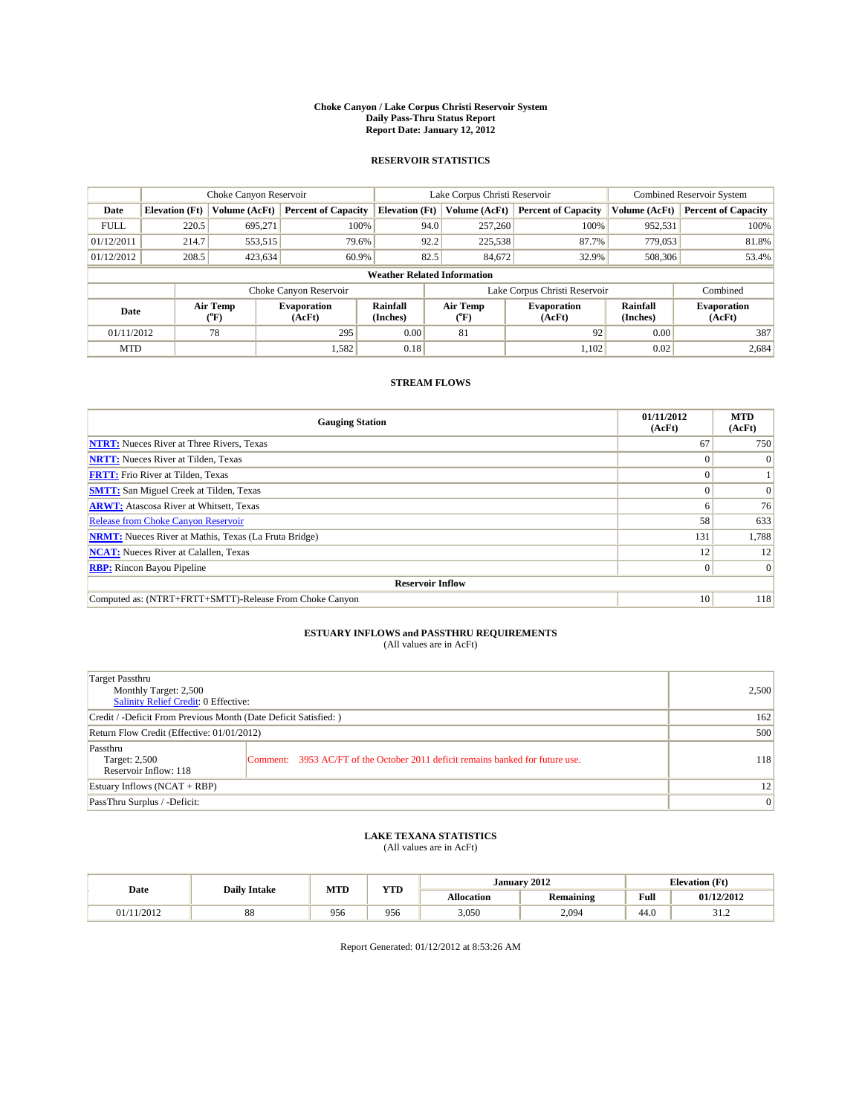#### **Choke Canyon / Lake Corpus Christi Reservoir System Daily Pass-Thru Status Report Report Date: January 12, 2012**

## **RESERVOIR STATISTICS**

|             | Choke Canyon Reservoir             |                  |                              |                             | Lake Corpus Christi Reservoir | <b>Combined Reservoir System</b> |                      |                              |  |  |
|-------------|------------------------------------|------------------|------------------------------|-----------------------------|-------------------------------|----------------------------------|----------------------|------------------------------|--|--|
| Date        | <b>Elevation</b> (Ft)              | Volume (AcFt)    | <b>Percent of Capacity</b>   | <b>Elevation</b> (Ft)       | Volume (AcFt)                 | <b>Percent of Capacity</b>       | Volume (AcFt)        | <b>Percent of Capacity</b>   |  |  |
| <b>FULL</b> | 220.5                              | 695,271          | 100%                         | 94.0                        | 257,260                       | 100%                             | 952,531              | 100%                         |  |  |
| 01/12/2011  | 214.7                              | 553,515          | 79.6%                        | 92.2                        | 225,538                       | 87.7%                            | 779,053              | 81.8%                        |  |  |
| 01/12/2012  | 208.5                              | 423,634          | 60.9%                        | 82.5                        | 84,672                        | 32.9%                            | 508,306              | 53.4%                        |  |  |
|             | <b>Weather Related Information</b> |                  |                              |                             |                               |                                  |                      |                              |  |  |
|             |                                    |                  | Choke Canyon Reservoir       |                             |                               | Lake Corpus Christi Reservoir    |                      | Combined                     |  |  |
| Date        |                                    | Air Temp<br>(°F) | <b>Evaporation</b><br>(AcFt) | <b>Rainfall</b><br>(Inches) | Air Temp<br>(°F)              | <b>Evaporation</b><br>(AcFt)     | Rainfall<br>(Inches) | <b>Evaporation</b><br>(AcFt) |  |  |
| 01/11/2012  |                                    | 78               | 295                          | 0.00                        | 81                            | 92                               | 0.00                 | 387                          |  |  |
| <b>MTD</b>  |                                    |                  | 1,582                        | 0.18                        |                               | 1,102                            | 0.02                 | 2,684                        |  |  |

## **STREAM FLOWS**

| <b>Gauging Station</b>                                       | 01/11/2012<br>(AcFt) | <b>MTD</b><br>(AcFt) |
|--------------------------------------------------------------|----------------------|----------------------|
| <b>NTRT:</b> Nueces River at Three Rivers, Texas             | 67                   | 750                  |
| <b>NRTT:</b> Nueces River at Tilden, Texas                   | $\Omega$             | $\Omega$             |
| <b>FRTT:</b> Frio River at Tilden, Texas                     |                      |                      |
| <b>SMTT:</b> San Miguel Creek at Tilden, Texas               |                      | $\Omega$             |
| <b>ARWT:</b> Atascosa River at Whitsett, Texas               | o                    | 76                   |
| <b>Release from Choke Canyon Reservoir</b>                   | 58                   | 633                  |
| <b>NRMT:</b> Nueces River at Mathis, Texas (La Fruta Bridge) | 131                  | 1,788                |
| <b>NCAT:</b> Nueces River at Calallen, Texas                 | 12                   | 12                   |
| <b>RBP:</b> Rincon Bayou Pipeline                            | $\overline{0}$       | $\Omega$             |
| <b>Reservoir Inflow</b>                                      |                      |                      |
| Computed as: (NTRT+FRTT+SMTT)-Release From Choke Canyon      | 10                   | 118                  |

# **ESTUARY INFLOWS and PASSTHRU REQUIREMENTS**<br>(All values are in AcFt)

| Target Passthru<br>Monthly Target: 2,500<br>Salinity Relief Credit: 0 Effective: |                                                                                | 2,500 |
|----------------------------------------------------------------------------------|--------------------------------------------------------------------------------|-------|
| Credit / -Deficit From Previous Month (Date Deficit Satisfied: )                 | 162                                                                            |       |
| Return Flow Credit (Effective: 01/01/2012)                                       | 500                                                                            |       |
| Passthru<br>Target: 2,500<br>Reservoir Inflow: 118                               | Comment: 3953 AC/FT of the October 2011 deficit remains banked for future use. | 118   |
| Estuary Inflows (NCAT + RBP)                                                     |                                                                                | 12    |
| PassThru Surplus / -Deficit:                                                     | $\vert 0 \vert$                                                                |       |

## **LAKE TEXANA STATISTICS** (All values are in AcFt)

|            | <b>Daily Intake</b> | MTD | <b>YTD</b> |            | January 2012     | <b>Elevation</b> (Ft)                   |            |
|------------|---------------------|-----|------------|------------|------------------|-----------------------------------------|------------|
| Date       |                     |     |            | Allocation | <b>Remaining</b> | Full<br>the contract of the contract of | 01/12/2012 |
| 01/11/2012 | $^{\circ}$<br>88    | 956 | 956        | 3,050      | 2,094            | 44.0                                    | ے ۔ د      |

Report Generated: 01/12/2012 at 8:53:26 AM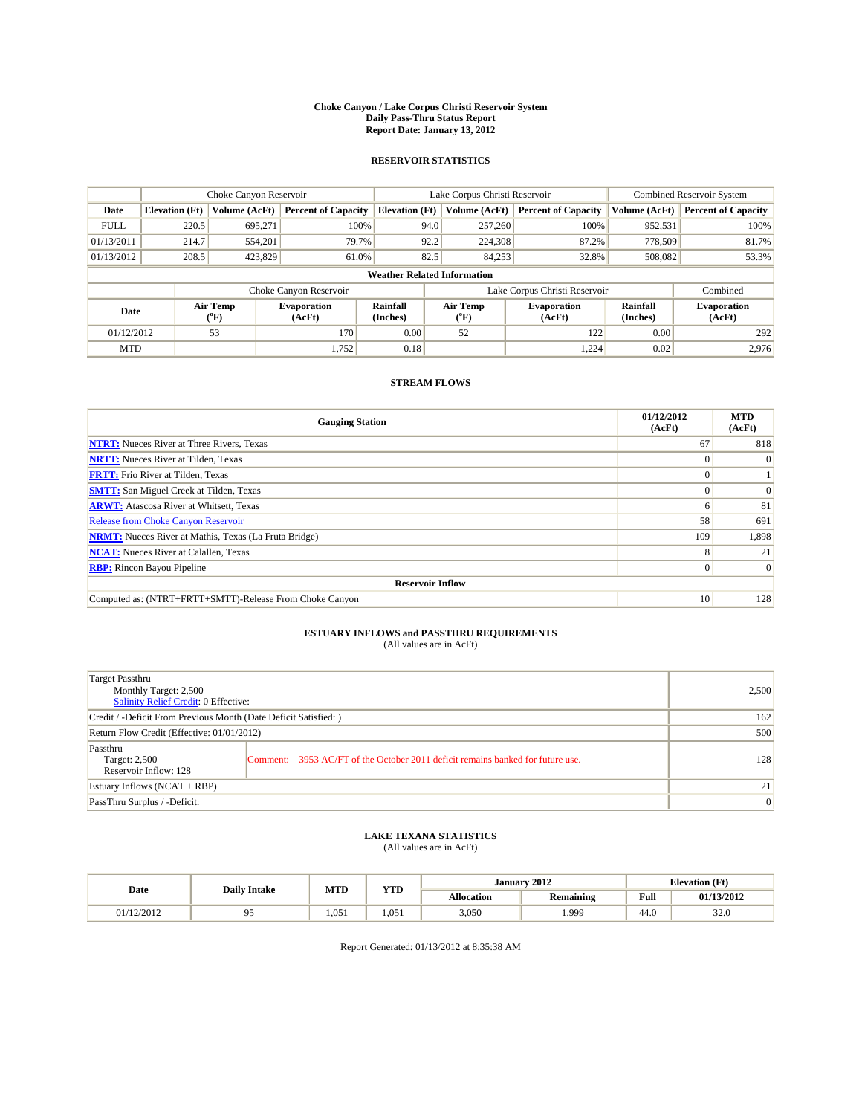#### **Choke Canyon / Lake Corpus Christi Reservoir System Daily Pass-Thru Status Report Report Date: January 13, 2012**

## **RESERVOIR STATISTICS**

|             | Choke Canyon Reservoir             |                                           |                              |                             | Lake Corpus Christi Reservoir | <b>Combined Reservoir System</b> |                      |                              |  |  |
|-------------|------------------------------------|-------------------------------------------|------------------------------|-----------------------------|-------------------------------|----------------------------------|----------------------|------------------------------|--|--|
| Date        | <b>Elevation</b> (Ft)              | Volume (AcFt)                             | <b>Percent of Capacity</b>   | <b>Elevation</b> (Ft)       | Volume (AcFt)                 | <b>Percent of Capacity</b>       | Volume (AcFt)        | <b>Percent of Capacity</b>   |  |  |
| <b>FULL</b> | 220.5                              | 695,271                                   | 100%                         | 94.0                        | 257,260                       | 100%                             | 952,531              | 100%                         |  |  |
| 01/13/2011  | 214.7                              | 554,201                                   | 79.7%                        | 92.2                        | 224,308                       | 87.2%                            | 778,509              | 81.7%                        |  |  |
| 01/13/2012  | 208.5                              | 423,829                                   | 61.0%                        | 82.5                        | 84,253                        | 32.8%                            | 508,082              | 53.3%                        |  |  |
|             | <b>Weather Related Information</b> |                                           |                              |                             |                               |                                  |                      |                              |  |  |
|             |                                    |                                           | Choke Canyon Reservoir       |                             | Lake Corpus Christi Reservoir |                                  |                      | Combined                     |  |  |
| Date        |                                    | Air Temp<br>$({}^{\mathrm{o}}\mathrm{F})$ | <b>Evaporation</b><br>(AcFt) | <b>Rainfall</b><br>(Inches) | Air Temp<br>(°F)              | <b>Evaporation</b><br>(AcFt)     | Rainfall<br>(Inches) | <b>Evaporation</b><br>(AcFt) |  |  |
| 01/12/2012  |                                    | 53                                        | 170                          | 0.00                        | 52                            | 122                              | 0.00                 | 292                          |  |  |
| <b>MTD</b>  |                                    |                                           | 1,752                        | 0.18                        |                               | 1.224                            | 0.02                 | 2.976                        |  |  |

## **STREAM FLOWS**

| <b>Gauging Station</b>                                       | 01/12/2012<br>(AcFt) | <b>MTD</b><br>(AcFt) |
|--------------------------------------------------------------|----------------------|----------------------|
| <b>NTRT:</b> Nueces River at Three Rivers, Texas             | 67                   | 818                  |
| <b>NRTT:</b> Nueces River at Tilden, Texas                   |                      | $\Omega$             |
| <b>FRTT:</b> Frio River at Tilden, Texas                     |                      |                      |
| <b>SMTT:</b> San Miguel Creek at Tilden, Texas               |                      | $\Omega$             |
| <b>ARWT:</b> Atascosa River at Whitsett, Texas               | o                    | 81                   |
| <b>Release from Choke Canyon Reservoir</b>                   | 58                   | 691                  |
| <b>NRMT:</b> Nueces River at Mathis, Texas (La Fruta Bridge) | 109                  | 1,898                |
| <b>NCAT:</b> Nueces River at Calallen, Texas                 | 8                    | 21                   |
| <b>RBP:</b> Rincon Bayou Pipeline                            | $\overline{0}$       | $\Omega$             |
| <b>Reservoir Inflow</b>                                      |                      |                      |
| Computed as: (NTRT+FRTT+SMTT)-Release From Choke Canyon      | 10                   | 128                  |

# **ESTUARY INFLOWS and PASSTHRU REQUIREMENTS**<br>(All values are in AcFt)

| Target Passthru<br>Monthly Target: 2,500<br>Salinity Relief Credit: 0 Effective: |                                                                                | 2,500 |
|----------------------------------------------------------------------------------|--------------------------------------------------------------------------------|-------|
| Credit / -Deficit From Previous Month (Date Deficit Satisfied: )                 | 162                                                                            |       |
| Return Flow Credit (Effective: 01/01/2012)                                       | 500                                                                            |       |
| Passthru<br>Target: 2,500<br>Reservoir Inflow: 128                               | Comment: 3953 AC/FT of the October 2011 deficit remains banked for future use. | 128   |
| Estuary Inflows (NCAT + RBP)                                                     | 21                                                                             |       |
| PassThru Surplus / -Deficit:                                                     | $\vert 0 \vert$                                                                |       |

## **LAKE TEXANA STATISTICS** (All values are in AcFt)

|            | <b>Daily Intake</b> | MTD   | <b>XZOD</b> |                   | January 2012     | <b>Elevation</b> (Ft)                   |                |
|------------|---------------------|-------|-------------|-------------------|------------------|-----------------------------------------|----------------|
| Date       |                     |       | 1 I.D       | <b>Allocation</b> | <b>Remaining</b> | Full<br>the contract of the contract of | 01/13/2012     |
| 01/12/2012 |                     | 1.051 | 1.051       | 3,050             | 1,999            | 44.0                                    | $\sim$<br>ں ∠ر |

Report Generated: 01/13/2012 at 8:35:38 AM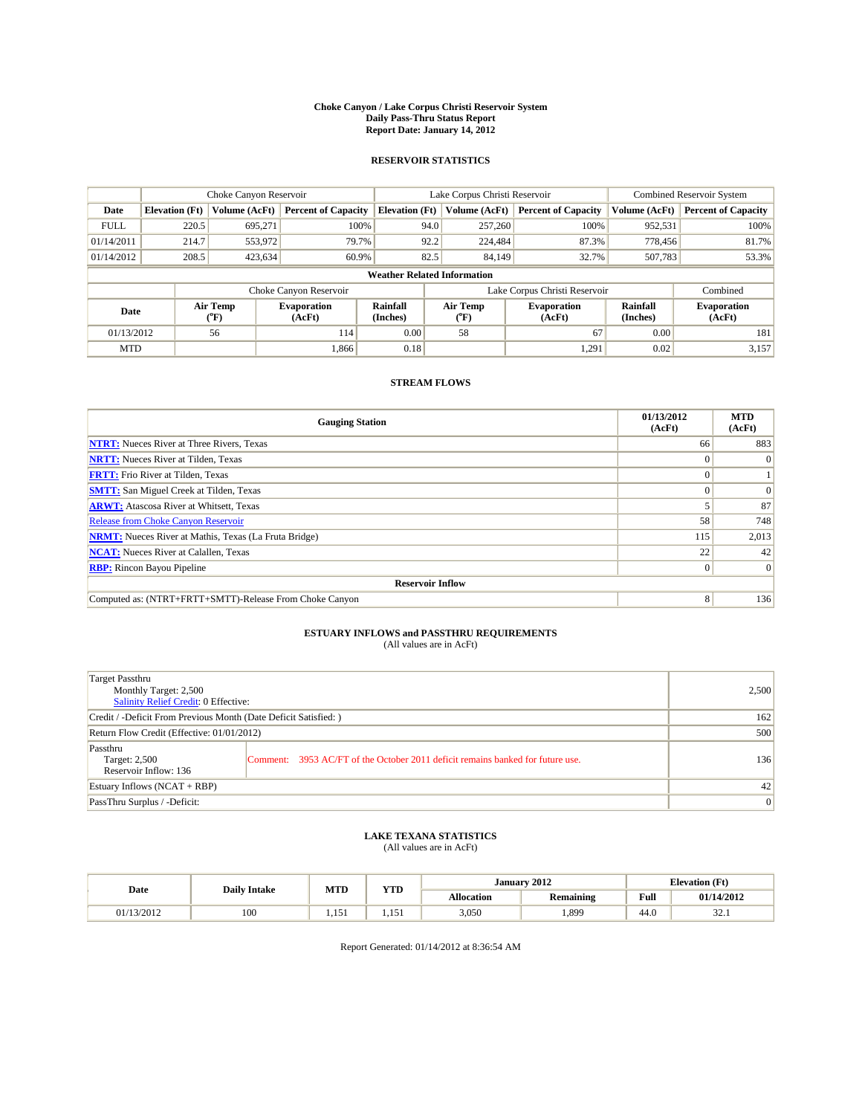#### **Choke Canyon / Lake Corpus Christi Reservoir System Daily Pass-Thru Status Report Report Date: January 14, 2012**

## **RESERVOIR STATISTICS**

|             | Choke Canyon Reservoir             |                                           |                              |                       | Lake Corpus Christi Reservoir  | <b>Combined Reservoir System</b> |                      |                              |  |  |
|-------------|------------------------------------|-------------------------------------------|------------------------------|-----------------------|--------------------------------|----------------------------------|----------------------|------------------------------|--|--|
| Date        | <b>Elevation</b> (Ft)              | Volume (AcFt)                             | <b>Percent of Capacity</b>   | <b>Elevation</b> (Ft) | Volume (AcFt)                  | <b>Percent of Capacity</b>       | Volume (AcFt)        | <b>Percent of Capacity</b>   |  |  |
| <b>FULL</b> | 220.5                              | 695.271                                   | 100%                         | 94.0                  | 257,260                        | 100%                             | 952,531              | 100%                         |  |  |
| 01/14/2011  | 214.7                              | 553,972                                   | 79.7%                        | 92.2                  | 224,484                        | 87.3%                            | 778.456              | 81.7%                        |  |  |
| 01/14/2012  | 208.5                              | 423,634                                   | 60.9%                        | 82.5                  | 84.149                         | 32.7%                            | 507,783              | 53.3%                        |  |  |
|             | <b>Weather Related Information</b> |                                           |                              |                       |                                |                                  |                      |                              |  |  |
|             |                                    |                                           | Choke Canyon Reservoir       |                       | Lake Corpus Christi Reservoir  |                                  |                      | Combined                     |  |  |
| Date        |                                    | Air Temp<br>$({}^{\mathrm{o}}\mathrm{F})$ | <b>Evaporation</b><br>(AcFt) | Rainfall<br>(Inches)  | Air Temp<br>$({}^o\mathrm{F})$ | <b>Evaporation</b><br>(AcFt)     | Rainfall<br>(Inches) | <b>Evaporation</b><br>(AcFt) |  |  |
| 01/13/2012  |                                    | 56                                        | 114                          | 0.00                  | 58                             | 67                               | 0.00                 | 181                          |  |  |
| <b>MTD</b>  |                                    |                                           | 1.866                        | 0.18                  |                                | 1,291                            | 0.02                 | 3,157                        |  |  |

## **STREAM FLOWS**

| <b>Gauging Station</b>                                       | 01/13/2012<br>(AcFt) | <b>MTD</b><br>(AcFt) |
|--------------------------------------------------------------|----------------------|----------------------|
| <b>NTRT:</b> Nueces River at Three Rivers, Texas             | 66                   | 883                  |
| <b>NRTT:</b> Nueces River at Tilden, Texas                   | $\theta$             |                      |
| <b>FRTT:</b> Frio River at Tilden, Texas                     |                      |                      |
| <b>SMTT:</b> San Miguel Creek at Tilden, Texas               |                      | $\Omega$             |
| <b>ARWT:</b> Atascosa River at Whitsett, Texas               |                      | 87                   |
| <b>Release from Choke Canyon Reservoir</b>                   | 58                   | 748                  |
| <b>NRMT:</b> Nueces River at Mathis, Texas (La Fruta Bridge) | 115                  | 2,013                |
| <b>NCAT:</b> Nueces River at Calallen, Texas                 | 22                   | 42                   |
| <b>RBP:</b> Rincon Bayou Pipeline                            | $\Omega$             | $\Omega$             |
| <b>Reservoir Inflow</b>                                      |                      |                      |
| Computed as: (NTRT+FRTT+SMTT)-Release From Choke Canyon      | 8                    | 136                  |

# **ESTUARY INFLOWS and PASSTHRU REQUIREMENTS**<br>(All values are in AcFt)

| Target Passthru<br>Monthly Target: 2,500<br>Salinity Relief Credit: 0 Effective: |                                                                                | 2,500 |
|----------------------------------------------------------------------------------|--------------------------------------------------------------------------------|-------|
| Credit / -Deficit From Previous Month (Date Deficit Satisfied: )                 | 162                                                                            |       |
| Return Flow Credit (Effective: 01/01/2012)                                       | 500                                                                            |       |
| Passthru<br>Target: 2,500<br>Reservoir Inflow: 136                               | Comment: 3953 AC/FT of the October 2011 deficit remains banked for future use. | 136   |
| Estuary Inflows (NCAT + RBP)                                                     | 42                                                                             |       |
| PassThru Surplus / -Deficit:                                                     | $\vert 0 \vert$                                                                |       |

## **LAKE TEXANA STATISTICS** (All values are in AcFt)

|            | <b>Daily Intake</b> | MTD              | VTD   |                   | January 2012     | <b>Elevation</b> (Ft)                   |                |
|------------|---------------------|------------------|-------|-------------------|------------------|-----------------------------------------|----------------|
| Date       |                     |                  | 1 I.D | <b>Allocation</b> | <b>Remaining</b> | Full<br>the contract of the contract of | 01/14/2012     |
| 01/13/2012 | 100                 | $\sim$<br>1.1.71 | 1.1.1 | 3,050             | 1,899            | 44.0                                    | $\sim$<br>34.1 |

Report Generated: 01/14/2012 at 8:36:54 AM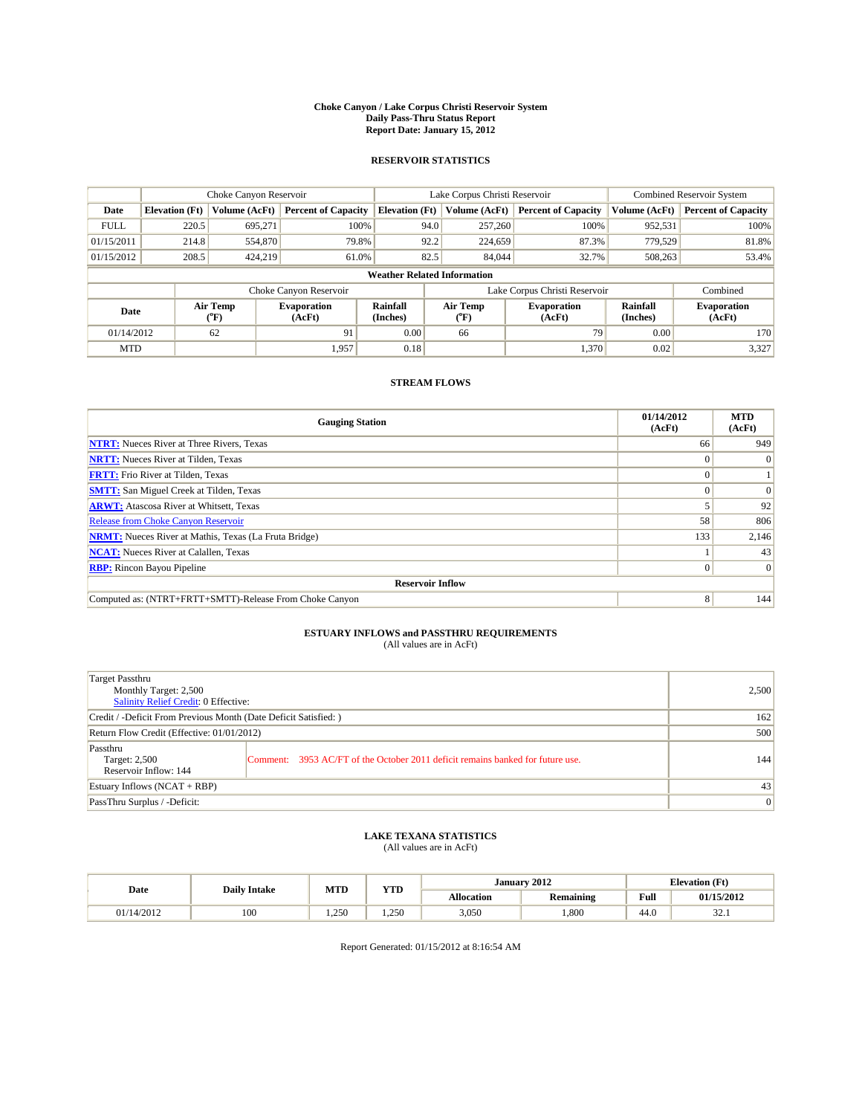#### **Choke Canyon / Lake Corpus Christi Reservoir System Daily Pass-Thru Status Report Report Date: January 15, 2012**

## **RESERVOIR STATISTICS**

|             | Choke Canyon Reservoir             |                  |                              |                             | Lake Corpus Christi Reservoir  | <b>Combined Reservoir System</b> |                      |                              |  |  |
|-------------|------------------------------------|------------------|------------------------------|-----------------------------|--------------------------------|----------------------------------|----------------------|------------------------------|--|--|
| Date        | <b>Elevation</b> (Ft)              | Volume (AcFt)    | <b>Percent of Capacity</b>   | <b>Elevation</b> (Ft)       | Volume (AcFt)                  | <b>Percent of Capacity</b>       | Volume (AcFt)        | <b>Percent of Capacity</b>   |  |  |
| <b>FULL</b> | 220.5                              | 695,271          | 100%                         | 94.0                        | 257,260                        | 100%                             | 952,531              | 100%                         |  |  |
| 01/15/2011  | 214.8                              | 554,870          | 79.8%                        | 92.2                        | 224,659                        | 87.3%                            | 779,529              | 81.8%                        |  |  |
| 01/15/2012  | 208.5                              | 424,219          | 61.0%                        | 82.5                        | 84,044                         | 32.7%                            | 508,263              | 53.4%                        |  |  |
|             | <b>Weather Related Information</b> |                  |                              |                             |                                |                                  |                      |                              |  |  |
|             |                                    |                  | Choke Canyon Reservoir       |                             | Lake Corpus Christi Reservoir  |                                  |                      | Combined                     |  |  |
| Date        |                                    | Air Temp<br>(°F) | <b>Evaporation</b><br>(AcFt) | <b>Rainfall</b><br>(Inches) | Air Temp<br>$({}^o\mathrm{F})$ | <b>Evaporation</b><br>(AcFt)     | Rainfall<br>(Inches) | <b>Evaporation</b><br>(AcFt) |  |  |
| 01/14/2012  |                                    | 62               | 91                           | 0.00                        | 66                             | 79                               | 0.00                 | 170                          |  |  |
| <b>MTD</b>  |                                    |                  | 1,957                        | 0.18                        |                                | 1.370                            | 0.02                 | 3,327                        |  |  |

## **STREAM FLOWS**

| <b>Gauging Station</b>                                       | 01/14/2012<br>(AcFt) | <b>MTD</b><br>(AcFt) |  |  |  |  |  |
|--------------------------------------------------------------|----------------------|----------------------|--|--|--|--|--|
| <b>NTRT:</b> Nueces River at Three Rivers, Texas             | 66                   | 949                  |  |  |  |  |  |
| <b>NRTT:</b> Nueces River at Tilden, Texas                   |                      |                      |  |  |  |  |  |
| <b>FRTT:</b> Frio River at Tilden, Texas                     | $\Omega$             |                      |  |  |  |  |  |
| <b>SMTT:</b> San Miguel Creek at Tilden, Texas               |                      | $\Omega$             |  |  |  |  |  |
| <b>ARWT:</b> Atascosa River at Whitsett, Texas               |                      | 92                   |  |  |  |  |  |
| <b>Release from Choke Canyon Reservoir</b>                   | 58                   | 806                  |  |  |  |  |  |
| <b>NRMT:</b> Nueces River at Mathis, Texas (La Fruta Bridge) | 133                  | 2,146                |  |  |  |  |  |
| <b>NCAT:</b> Nueces River at Calallen, Texas                 |                      | 43                   |  |  |  |  |  |
| <b>RBP:</b> Rincon Bayou Pipeline                            | $\overline{0}$       | $\Omega$             |  |  |  |  |  |
| <b>Reservoir Inflow</b>                                      |                      |                      |  |  |  |  |  |
| Computed as: (NTRT+FRTT+SMTT)-Release From Choke Canyon      | 8                    | 144                  |  |  |  |  |  |

# **ESTUARY INFLOWS and PASSTHRU REQUIREMENTS**<br>(All values are in AcFt)

| Target Passthru<br>Monthly Target: 2,500<br>Salinity Relief Credit: 0 Effective: | 2,500                                                                          |     |
|----------------------------------------------------------------------------------|--------------------------------------------------------------------------------|-----|
| Credit / -Deficit From Previous Month (Date Deficit Satisfied: )                 | 162                                                                            |     |
| Return Flow Credit (Effective: 01/01/2012)                                       | 500                                                                            |     |
| Passthru<br>Target: 2,500<br>Reservoir Inflow: 144                               | Comment: 3953 AC/FT of the October 2011 deficit remains banked for future use. | 144 |
| Estuary Inflows (NCAT + RBP)                                                     | 43                                                                             |     |
| PassThru Surplus / -Deficit:                                                     | $\vert 0 \vert$                                                                |     |

## **LAKE TEXANA STATISTICS** (All values are in AcFt)

|            | <b>Daily Intake</b> | <b>MTD</b> | <b>YTD</b> |                   | January 2012     | <b>Elevation</b> (Ft) |                |
|------------|---------------------|------------|------------|-------------------|------------------|-----------------------|----------------|
| Date       |                     |            |            | <b>Allocation</b> | <b>Remaining</b> | Full                  | 01/15/2012     |
| 01/14/2012 | 100                 | 1.250      | .250       | 3,050             | .800             | 44.0                  | $\sim$<br>32.1 |

Report Generated: 01/15/2012 at 8:16:54 AM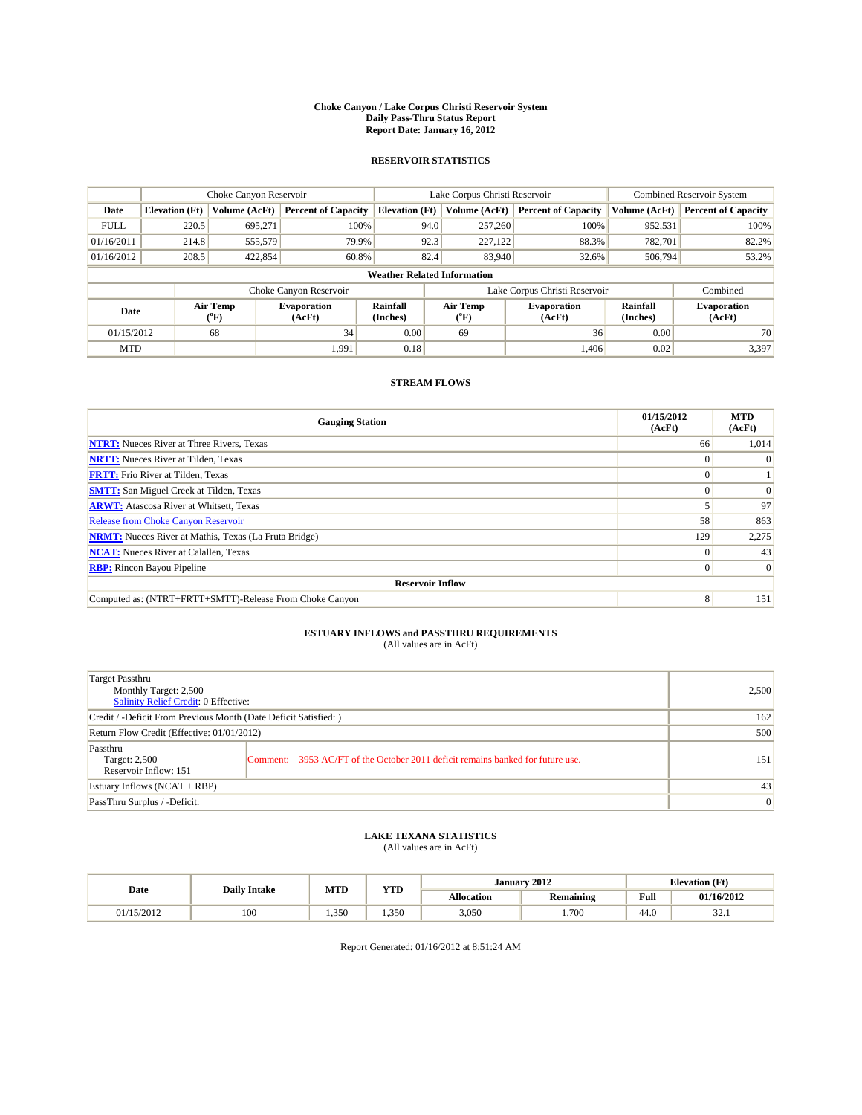#### **Choke Canyon / Lake Corpus Christi Reservoir System Daily Pass-Thru Status Report Report Date: January 16, 2012**

## **RESERVOIR STATISTICS**

|             | Choke Canyon Reservoir             |                  |                              |                             | Lake Corpus Christi Reservoir |                               |                      | Combined Reservoir System    |  |  |
|-------------|------------------------------------|------------------|------------------------------|-----------------------------|-------------------------------|-------------------------------|----------------------|------------------------------|--|--|
| Date        | <b>Elevation</b> (Ft)              | Volume (AcFt)    | <b>Percent of Capacity</b>   | <b>Elevation</b> (Ft)       | Volume (AcFt)                 | <b>Percent of Capacity</b>    | Volume (AcFt)        | <b>Percent of Capacity</b>   |  |  |
| <b>FULL</b> | 220.5                              | 695,271          | 100%                         |                             | 257,260<br>94.0               | 100%                          | 952,531              | 100%                         |  |  |
| 01/16/2011  | 214.8                              | 555,579          | 79.9%                        |                             | 92.3<br>227,122               | 88.3%                         | 782,701              | 82.2%                        |  |  |
| 01/16/2012  | 208.5                              | 422,854          | 60.8%                        |                             | 82.4<br>83,940                | 32.6%                         | 506,794              | 53.2%                        |  |  |
|             | <b>Weather Related Information</b> |                  |                              |                             |                               |                               |                      |                              |  |  |
|             |                                    |                  | Choke Canyon Reservoir       |                             |                               | Lake Corpus Christi Reservoir |                      | Combined                     |  |  |
| Date        |                                    | Air Temp<br>(°F) | <b>Evaporation</b><br>(AcFt) | <b>Rainfall</b><br>(Inches) | Air Temp<br>(°F)              | <b>Evaporation</b><br>(AcFt)  | Rainfall<br>(Inches) | <b>Evaporation</b><br>(AcFt) |  |  |
| 01/15/2012  |                                    | 68               | 34                           | 0.00                        | 69                            | 36                            | 0.00                 | 70                           |  |  |
| <b>MTD</b>  |                                    |                  | 1,991                        | 0.18                        |                               | 1,406                         | 0.02                 | 3,397                        |  |  |

## **STREAM FLOWS**

| <b>Gauging Station</b>                                       | 01/15/2012<br>(AcFt) | <b>MTD</b><br>(AcFt) |
|--------------------------------------------------------------|----------------------|----------------------|
| <b>NTRT:</b> Nueces River at Three Rivers, Texas             | 66                   | 1,014                |
| <b>NRTT:</b> Nueces River at Tilden, Texas                   |                      |                      |
| <b>FRTT:</b> Frio River at Tilden, Texas                     |                      |                      |
| <b>SMTT:</b> San Miguel Creek at Tilden, Texas               |                      |                      |
| <b>ARWT:</b> Atascosa River at Whitsett, Texas               |                      | 97                   |
| Release from Choke Canyon Reservoir                          | 58                   | 863                  |
| <b>NRMT:</b> Nueces River at Mathis, Texas (La Fruta Bridge) | 129                  | 2,275                |
| <b>NCAT:</b> Nueces River at Calallen, Texas                 | $\Omega$             | 43                   |
| <b>RBP:</b> Rincon Bayou Pipeline                            | $\Omega$             | $\Omega$             |
| <b>Reservoir Inflow</b>                                      |                      |                      |
| Computed as: (NTRT+FRTT+SMTT)-Release From Choke Canyon      | 8                    | 151                  |

# **ESTUARY INFLOWS and PASSTHRU REQUIREMENTS**<br>(All values are in AcFt)

| Target Passthru<br>Monthly Target: 2,500<br>Salinity Relief Credit: 0 Effective: |                                                                                | 2,500 |
|----------------------------------------------------------------------------------|--------------------------------------------------------------------------------|-------|
| Credit / -Deficit From Previous Month (Date Deficit Satisfied: )                 | 162                                                                            |       |
| Return Flow Credit (Effective: 01/01/2012)                                       | 500                                                                            |       |
| Passthru<br>Target: 2,500<br>Reservoir Inflow: 151                               | Comment: 3953 AC/FT of the October 2011 deficit remains banked for future use. | 151   |
| Estuary Inflows (NCAT + RBP)                                                     |                                                                                | 43    |
| PassThru Surplus / -Deficit:                                                     | $\vert 0 \vert$                                                                |       |

## **LAKE TEXANA STATISTICS** (All values are in AcFt)

| Date       | <b>Daily Intake</b> | <b>MTD</b> | <b>YTD</b> |                   | January 2012     | <b>Elevation</b> (Ft) |                |  |
|------------|---------------------|------------|------------|-------------------|------------------|-----------------------|----------------|--|
|            |                     |            |            | <b>Allocation</b> | <b>Remaining</b> | Full                  | 01/16/2012     |  |
| 01/15/2012 | 100                 | 1.350      | 1.350      | 3,050             | .700             | 44.0                  | $\sim$<br>32.1 |  |

Report Generated: 01/16/2012 at 8:51:24 AM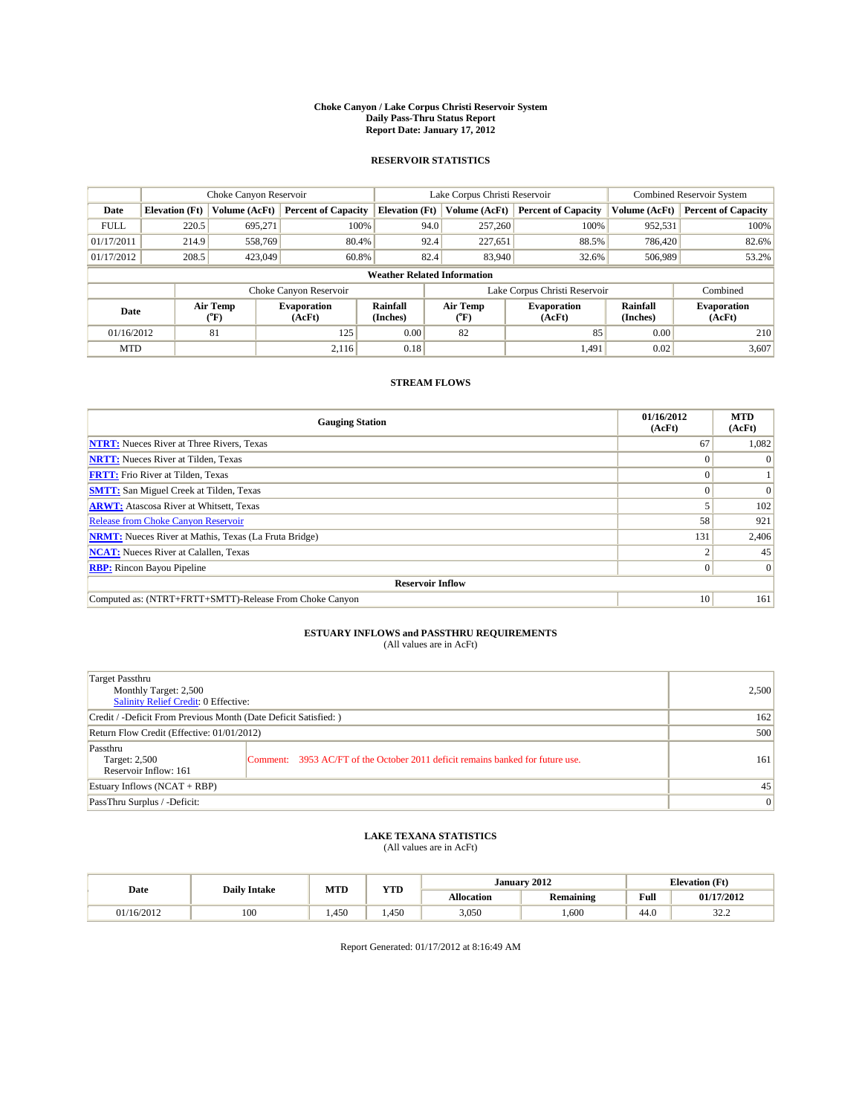#### **Choke Canyon / Lake Corpus Christi Reservoir System Daily Pass-Thru Status Report Report Date: January 17, 2012**

## **RESERVOIR STATISTICS**

|             | Choke Canyon Reservoir             |                  |                              |                             | Lake Corpus Christi Reservoir |         |                               |                      | Combined Reservoir System    |  |
|-------------|------------------------------------|------------------|------------------------------|-----------------------------|-------------------------------|---------|-------------------------------|----------------------|------------------------------|--|
| Date        | <b>Elevation</b> (Ft)              | Volume (AcFt)    | <b>Percent of Capacity</b>   | <b>Elevation</b> (Ft)       | Volume (AcFt)                 |         | <b>Percent of Capacity</b>    | Volume (AcFt)        | <b>Percent of Capacity</b>   |  |
| <b>FULL</b> | 220.5                              | 695,271          | 100%                         |                             | 94.0                          | 257,260 | 100%                          | 952,531              | 100%                         |  |
| 01/17/2011  | 214.9                              | 558,769          | 80.4%                        |                             | 92.4                          | 227,651 | 88.5%                         | 786,420              | 82.6%                        |  |
| 01/17/2012  | 208.5                              | 423,049          | 60.8%                        |                             | 82.4                          | 83,940  | 32.6%                         | 506,989              | 53.2%                        |  |
|             | <b>Weather Related Information</b> |                  |                              |                             |                               |         |                               |                      |                              |  |
|             |                                    |                  | Choke Canyon Reservoir       |                             |                               |         | Lake Corpus Christi Reservoir |                      | Combined                     |  |
| Date        |                                    | Air Temp<br>(°F) | <b>Evaporation</b><br>(AcFt) | <b>Rainfall</b><br>(Inches) | Air Temp<br>(°F)              |         | <b>Evaporation</b><br>(AcFt)  | Rainfall<br>(Inches) | <b>Evaporation</b><br>(AcFt) |  |
| 01/16/2012  |                                    | 81               | 125                          | 0.00                        | 82                            |         | 85                            | 0.00                 | 210                          |  |
| <b>MTD</b>  |                                    |                  | 2.116                        | 0.18                        |                               |         | 1,491                         | 0.02                 | 3,607                        |  |

## **STREAM FLOWS**

| <b>Gauging Station</b>                                       | 01/16/2012<br>(AcFt) | <b>MTD</b><br>(AcFt) |
|--------------------------------------------------------------|----------------------|----------------------|
| <b>NTRT:</b> Nueces River at Three Rivers, Texas             | 67                   | 1,082                |
| <b>NRTT:</b> Nueces River at Tilden, Texas                   |                      |                      |
| <b>FRTT:</b> Frio River at Tilden, Texas                     |                      |                      |
| <b>SMTT:</b> San Miguel Creek at Tilden, Texas               |                      | $\Omega$             |
| <b>ARWT:</b> Atascosa River at Whitsett, Texas               |                      | 102                  |
| <b>Release from Choke Canyon Reservoir</b>                   | 58                   | 921                  |
| <b>NRMT:</b> Nueces River at Mathis, Texas (La Fruta Bridge) | 131                  | 2,406                |
| <b>NCAT:</b> Nueces River at Calallen, Texas                 |                      | 45                   |
| <b>RBP:</b> Rincon Bayou Pipeline                            | $\Omega$             | $\Omega$             |
| <b>Reservoir Inflow</b>                                      |                      |                      |
| Computed as: (NTRT+FRTT+SMTT)-Release From Choke Canyon      | 10                   | 161                  |

# **ESTUARY INFLOWS and PASSTHRU REQUIREMENTS**<br>(All values are in AcFt)

| Target Passthru<br>Monthly Target: 2,500<br>Salinity Relief Credit: 0 Effective: |                                                                                | 2,500 |
|----------------------------------------------------------------------------------|--------------------------------------------------------------------------------|-------|
| Credit / -Deficit From Previous Month (Date Deficit Satisfied: )                 | 162                                                                            |       |
| Return Flow Credit (Effective: 01/01/2012)                                       | 500                                                                            |       |
| Passthru<br>Target: 2,500<br>Reservoir Inflow: 161                               | Comment: 3953 AC/FT of the October 2011 deficit remains banked for future use. | 161   |
| Estuary Inflows (NCAT + RBP)                                                     |                                                                                | 45    |
| PassThru Surplus / -Deficit:                                                     | $\vert 0 \vert$                                                                |       |

## **LAKE TEXANA STATISTICS** (All values are in AcFt)

| Date       | <b>Daily Intake</b> | <b>MTD</b> | <b>YTD</b> |                   | January 2012     |      | <b>Elevation</b> (Ft) |
|------------|---------------------|------------|------------|-------------------|------------------|------|-----------------------|
|            |                     |            |            | <b>Allocation</b> | <b>Remaining</b> | Full | 01/17/2012            |
| 01/16/2012 | 100                 | 1.450      | .450       | 3,050             | .600             | 44.0 | 22a<br>ے ۔ے د         |

Report Generated: 01/17/2012 at 8:16:49 AM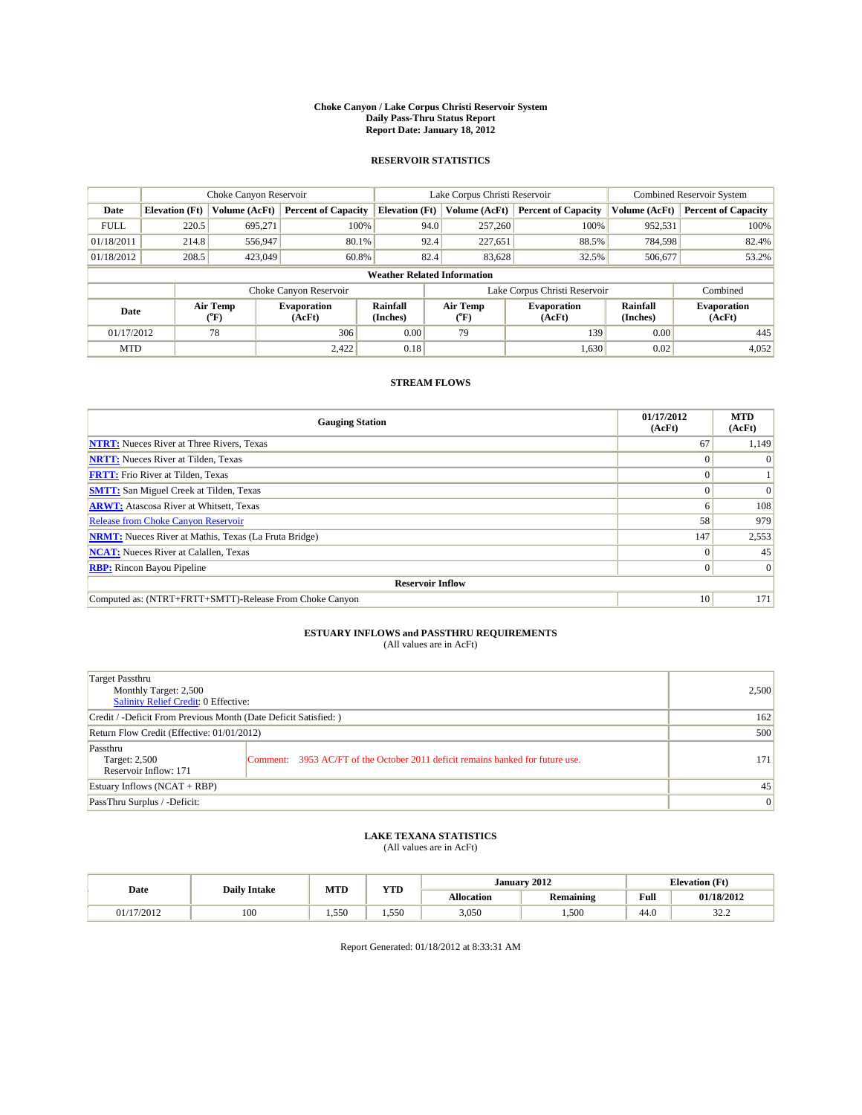#### **Choke Canyon / Lake Corpus Christi Reservoir System Daily Pass-Thru Status Report Report Date: January 18, 2012**

## **RESERVOIR STATISTICS**

|             | Choke Canyon Reservoir             |                  |                              |                             | Lake Corpus Christi Reservoir | <b>Combined Reservoir System</b> |                      |                              |  |  |
|-------------|------------------------------------|------------------|------------------------------|-----------------------------|-------------------------------|----------------------------------|----------------------|------------------------------|--|--|
| Date        | <b>Elevation</b> (Ft)              | Volume (AcFt)    | <b>Percent of Capacity</b>   | <b>Elevation</b> (Ft)       | Volume (AcFt)                 | <b>Percent of Capacity</b>       | Volume (AcFt)        | <b>Percent of Capacity</b>   |  |  |
| <b>FULL</b> | 220.5                              | 695,271          | 100%                         | 94.0                        | 257,260                       | 100%                             | 952,531              | 100%                         |  |  |
| 01/18/2011  | 214.8                              | 556,947          | 80.1%                        | 92.4                        | 227,651                       | 88.5%                            | 784,598              | 82.4%                        |  |  |
| 01/18/2012  | 208.5                              | 423,049          | 60.8%                        | 82.4                        | 83,628                        | 32.5%                            | 506,677              | 53.2%                        |  |  |
|             | <b>Weather Related Information</b> |                  |                              |                             |                               |                                  |                      |                              |  |  |
|             |                                    |                  | Choke Canyon Reservoir       |                             |                               | Lake Corpus Christi Reservoir    |                      | Combined                     |  |  |
| Date        |                                    | Air Temp<br>(°F) | <b>Evaporation</b><br>(AcFt) | <b>Rainfall</b><br>(Inches) | Air Temp<br>(°F)              | <b>Evaporation</b><br>(AcFt)     | Rainfall<br>(Inches) | <b>Evaporation</b><br>(AcFt) |  |  |
| 01/17/2012  |                                    | 78               | 306                          | 0.00                        | 79                            | 139                              | 0.00                 | 445                          |  |  |
| <b>MTD</b>  |                                    |                  | 2.422                        | 0.18                        |                               | 1,630                            | 0.02                 | 4,052                        |  |  |

## **STREAM FLOWS**

| <b>Gauging Station</b>                                       | 01/17/2012<br>(AcFt) | <b>MTD</b><br>(AcFt) |
|--------------------------------------------------------------|----------------------|----------------------|
| <b>NTRT:</b> Nueces River at Three Rivers, Texas             | 67                   | 1,149                |
| <b>NRTT:</b> Nueces River at Tilden, Texas                   |                      |                      |
| <b>FRTT:</b> Frio River at Tilden, Texas                     |                      |                      |
| <b>SMTT:</b> San Miguel Creek at Tilden, Texas               |                      | $\Omega$             |
| <b>ARWT:</b> Atascosa River at Whitsett, Texas               | o                    | 108                  |
| <b>Release from Choke Canyon Reservoir</b>                   | 58                   | 979                  |
| <b>NRMT:</b> Nueces River at Mathis, Texas (La Fruta Bridge) | 147                  | 2,553                |
| <b>NCAT:</b> Nueces River at Calallen, Texas                 | $\Omega$             | 45                   |
| <b>RBP:</b> Rincon Bayou Pipeline                            | $\overline{0}$       | $\Omega$             |
| <b>Reservoir Inflow</b>                                      |                      |                      |
| Computed as: (NTRT+FRTT+SMTT)-Release From Choke Canyon      | 10                   | 171                  |

# **ESTUARY INFLOWS and PASSTHRU REQUIREMENTS**<br>(All values are in AcFt)

| Target Passthru<br>Monthly Target: 2,500<br>Salinity Relief Credit: 0 Effective: |                                                                                | 2,500 |
|----------------------------------------------------------------------------------|--------------------------------------------------------------------------------|-------|
| Credit / -Deficit From Previous Month (Date Deficit Satisfied: )                 | 162                                                                            |       |
| Return Flow Credit (Effective: 01/01/2012)                                       | 500                                                                            |       |
| Passthru<br>Target: 2,500<br>Reservoir Inflow: 171                               | Comment: 3953 AC/FT of the October 2011 deficit remains banked for future use. | 171   |
| Estuary Inflows (NCAT + RBP)                                                     |                                                                                | 45    |
| PassThru Surplus / -Deficit:                                                     |                                                                                | 0     |

# **LAKE TEXANA STATISTICS** (All values are in AcFt)

| Date       | <b>Daily Intake</b> | MTD   | VTD<br>1 I.D | January 2012      |                  |                                         | <b>Elevation</b> (Ft) |  |  |
|------------|---------------------|-------|--------------|-------------------|------------------|-----------------------------------------|-----------------------|--|--|
|            |                     |       |              | <b>Allocation</b> | <b>Remaining</b> | Full<br>the contract of the contract of | 01/18/2012            |  |  |
| )1/17/2012 | 100                 | 1.550 | 1.550        | 3,050             | 1,500            | $\sim$<br>-44.6                         | $\sim$<br>ے کے ف      |  |  |

Report Generated: 01/18/2012 at 8:33:31 AM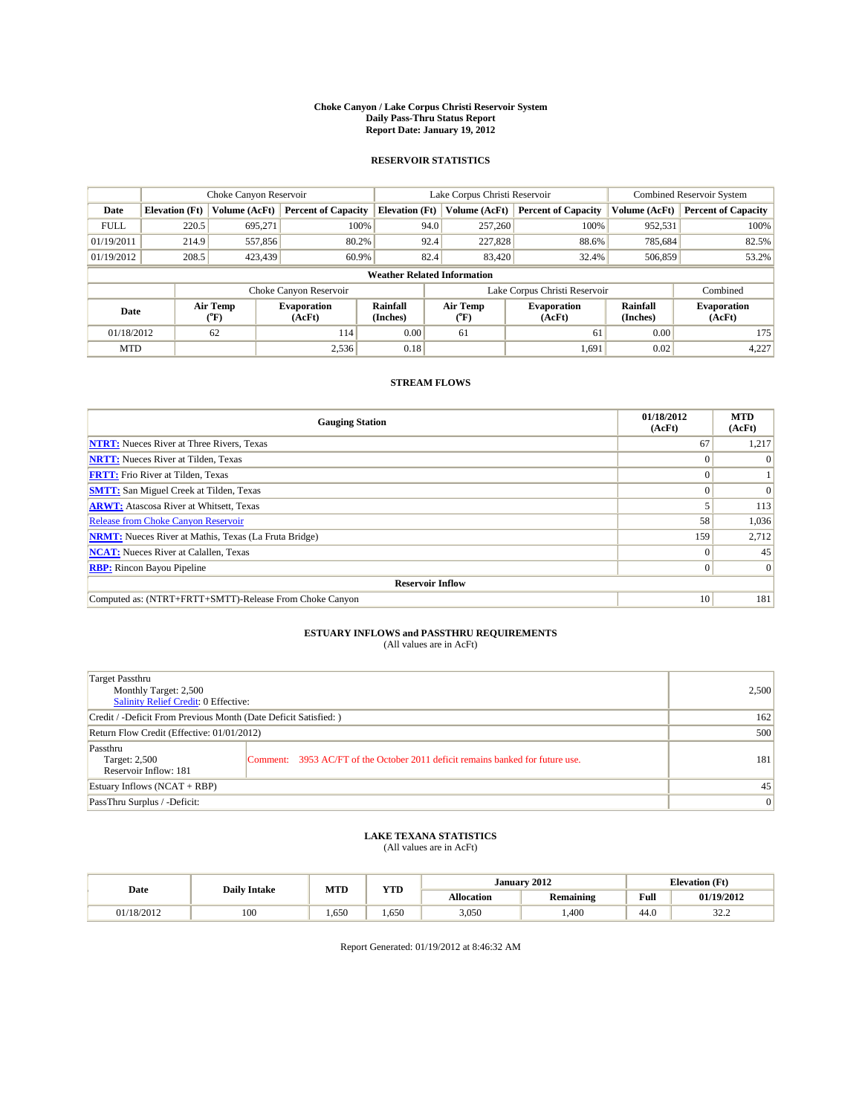#### **Choke Canyon / Lake Corpus Christi Reservoir System Daily Pass-Thru Status Report Report Date: January 19, 2012**

## **RESERVOIR STATISTICS**

|             | Choke Canyon Reservoir             |                                           |                              |                       | Lake Corpus Christi Reservoir  | <b>Combined Reservoir System</b> |                      |                              |  |  |
|-------------|------------------------------------|-------------------------------------------|------------------------------|-----------------------|--------------------------------|----------------------------------|----------------------|------------------------------|--|--|
| Date        | <b>Elevation</b> (Ft)              | Volume (AcFt)                             | <b>Percent of Capacity</b>   | <b>Elevation</b> (Ft) | Volume (AcFt)                  | <b>Percent of Capacity</b>       | Volume (AcFt)        | <b>Percent of Capacity</b>   |  |  |
| <b>FULL</b> | 220.5                              | 695.271                                   | 100%                         | 94.0                  | 257,260                        | 100%                             | 952,531              | 100%                         |  |  |
| 01/19/2011  | 214.9                              | 557,856                                   | 80.2%                        | 92.4                  | 227,828                        | 88.6%                            | 785.684              | 82.5%                        |  |  |
| 01/19/2012  | 208.5                              | 423,439                                   | 60.9%                        | 82.4                  | 83,420                         | 32.4%                            | 506,859              | 53.2%                        |  |  |
|             | <b>Weather Related Information</b> |                                           |                              |                       |                                |                                  |                      |                              |  |  |
|             |                                    |                                           | Choke Canyon Reservoir       |                       | Lake Corpus Christi Reservoir  |                                  |                      | Combined                     |  |  |
| Date        |                                    | Air Temp<br>$({}^{\mathrm{o}}\mathrm{F})$ | <b>Evaporation</b><br>(AcFt) | Rainfall<br>(Inches)  | Air Temp<br>$({}^o\mathrm{F})$ | <b>Evaporation</b><br>(AcFt)     | Rainfall<br>(Inches) | <b>Evaporation</b><br>(AcFt) |  |  |
| 01/18/2012  |                                    | 62                                        | 114                          | 0.00                  | 61                             | 61                               | 0.00                 | 175                          |  |  |
| <b>MTD</b>  |                                    |                                           | 2,536                        | 0.18                  |                                | 1,691                            | 0.02                 | 4,227                        |  |  |

## **STREAM FLOWS**

| <b>Gauging Station</b>                                       | 01/18/2012<br>(AcFt) | <b>MTD</b><br>(AcFt) |
|--------------------------------------------------------------|----------------------|----------------------|
| <b>NTRT:</b> Nueces River at Three Rivers, Texas             | 67                   | 1,217                |
| <b>NRTT:</b> Nueces River at Tilden, Texas                   |                      |                      |
| <b>FRTT:</b> Frio River at Tilden, Texas                     |                      |                      |
| <b>SMTT:</b> San Miguel Creek at Tilden, Texas               | 0                    | $\Omega$             |
| <b>ARWT:</b> Atascosa River at Whitsett, Texas               |                      | 113                  |
| <b>Release from Choke Canyon Reservoir</b>                   | 58                   | 1,036                |
| <b>NRMT:</b> Nueces River at Mathis, Texas (La Fruta Bridge) | 159                  | 2,712                |
| <b>NCAT:</b> Nueces River at Calallen, Texas                 | $\Omega$             | 45                   |
| <b>RBP:</b> Rincon Bayou Pipeline                            | $\overline{0}$       | $\Omega$             |
| <b>Reservoir Inflow</b>                                      |                      |                      |
| Computed as: (NTRT+FRTT+SMTT)-Release From Choke Canyon      | 10 <sup>1</sup>      | 181                  |

# **ESTUARY INFLOWS and PASSTHRU REQUIREMENTS**<br>(All values are in AcFt)

| Target Passthru<br>Monthly Target: 2,500<br>Salinity Relief Credit: 0 Effective: |                                                                                | 2,500 |
|----------------------------------------------------------------------------------|--------------------------------------------------------------------------------|-------|
| Credit / -Deficit From Previous Month (Date Deficit Satisfied: )                 | 162                                                                            |       |
| Return Flow Credit (Effective: 01/01/2012)                                       | 500                                                                            |       |
| Passthru<br>Target: 2,500<br>Reservoir Inflow: 181                               | Comment: 3953 AC/FT of the October 2011 deficit remains banked for future use. | 181   |
| Estuary Inflows (NCAT + RBP)                                                     | 45                                                                             |       |
| PassThru Surplus / -Deficit:                                                     | $\vert 0 \vert$                                                                |       |

## **LAKE TEXANA STATISTICS** (All values are in AcFt)

|            | <b>Daily Intake</b> | MTD  | <b>XZOD</b> | January 2012      |                  |                                         | <b>Elevation</b> (Ft) |  |
|------------|---------------------|------|-------------|-------------------|------------------|-----------------------------------------|-----------------------|--|
| Date       |                     |      | 1 I.D       | <b>Allocation</b> | <b>Remaining</b> | Full<br>the contract of the contract of | 01/19/2012            |  |
| 01/18/2012 | 100                 | .650 | 650         | 3.050             | .400             | 44.0                                    | 222<br>ے ۔ے د         |  |

Report Generated: 01/19/2012 at 8:46:32 AM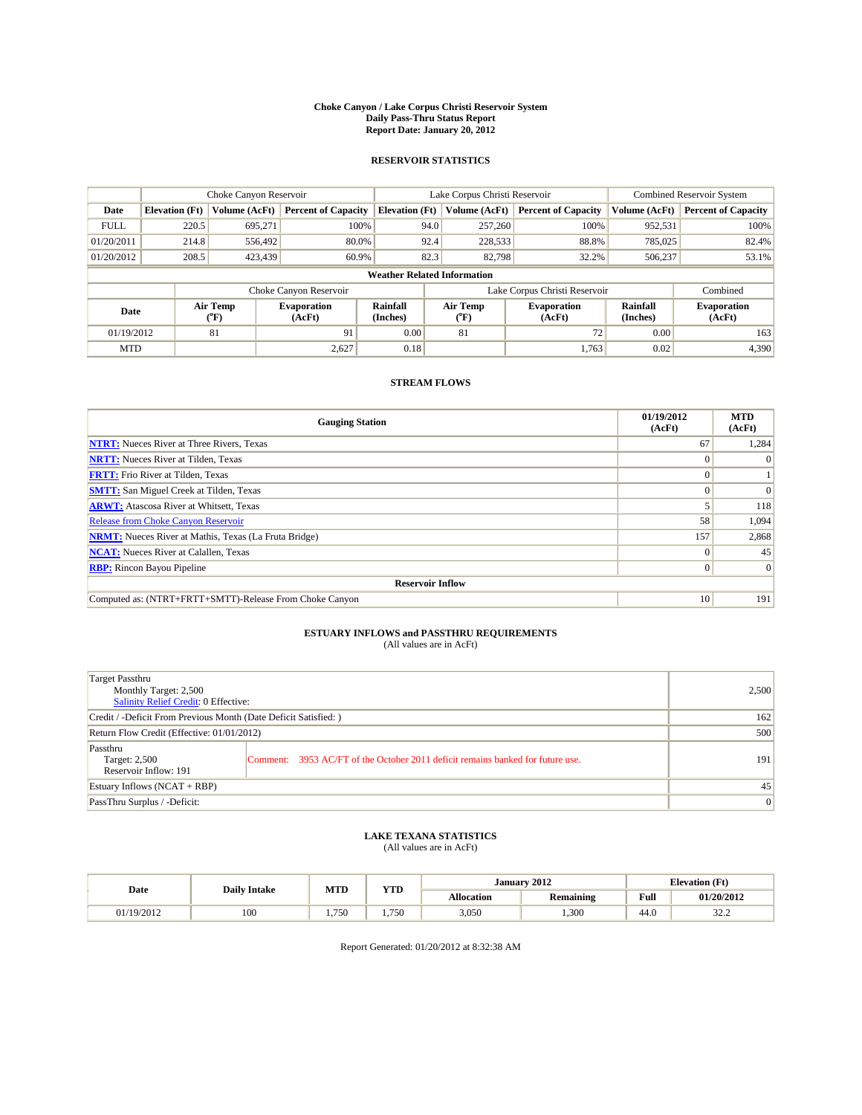#### **Choke Canyon / Lake Corpus Christi Reservoir System Daily Pass-Thru Status Report Report Date: January 20, 2012**

## **RESERVOIR STATISTICS**

|             | Choke Canyon Reservoir             |                                           |                              |                       | Lake Corpus Christi Reservoir  | <b>Combined Reservoir System</b> |                      |                              |  |  |  |
|-------------|------------------------------------|-------------------------------------------|------------------------------|-----------------------|--------------------------------|----------------------------------|----------------------|------------------------------|--|--|--|
| Date        | <b>Elevation</b> (Ft)              | Volume (AcFt)                             | <b>Percent of Capacity</b>   | <b>Elevation</b> (Ft) | Volume (AcFt)                  | <b>Percent of Capacity</b>       | Volume (AcFt)        | <b>Percent of Capacity</b>   |  |  |  |
| <b>FULL</b> | 220.5                              | 695.271                                   | 100%                         | 94.0                  | 257,260                        | 100%                             | 952,531              | 100%                         |  |  |  |
| 01/20/2011  | 214.8                              | 556,492                                   | 80.0%                        | 92.4                  | 228,533                        | 88.8%                            | 785,025              | 82.4%                        |  |  |  |
| 01/20/2012  | 208.5                              | 423,439                                   | 60.9%                        | 82.3                  | 82,798                         | 32.2%                            | 506,237              | 53.1%                        |  |  |  |
|             | <b>Weather Related Information</b> |                                           |                              |                       |                                |                                  |                      |                              |  |  |  |
|             |                                    |                                           | Choke Canyon Reservoir       |                       | Lake Corpus Christi Reservoir  |                                  |                      | Combined                     |  |  |  |
| Date        |                                    | Air Temp<br>$({}^{\mathrm{o}}\mathrm{F})$ | <b>Evaporation</b><br>(AcFt) | Rainfall<br>(Inches)  | Air Temp<br>$({}^o\mathrm{F})$ | <b>Evaporation</b><br>(AcFt)     | Rainfall<br>(Inches) | <b>Evaporation</b><br>(AcFt) |  |  |  |
| 01/19/2012  |                                    | 81                                        | 91                           | 0.00                  | 81                             | 72                               | 0.00                 | 163                          |  |  |  |
| <b>MTD</b>  |                                    |                                           | 2,627                        | 0.18                  |                                | 1.763                            | 0.02                 | 4,390                        |  |  |  |

## **STREAM FLOWS**

| <b>Gauging Station</b>                                       | 01/19/2012<br>(AcFt) | <b>MTD</b><br>(AcFt) |
|--------------------------------------------------------------|----------------------|----------------------|
| <b>NTRT:</b> Nueces River at Three Rivers, Texas             | 67                   | 1,284                |
| <b>NRTT:</b> Nueces River at Tilden, Texas                   |                      |                      |
| <b>FRTT:</b> Frio River at Tilden, Texas                     |                      |                      |
| <b>SMTT:</b> San Miguel Creek at Tilden, Texas               | 0                    | $\Omega$             |
| <b>ARWT:</b> Atascosa River at Whitsett, Texas               |                      | 118                  |
| <b>Release from Choke Canyon Reservoir</b>                   | 58                   | 1,094                |
| <b>NRMT:</b> Nueces River at Mathis, Texas (La Fruta Bridge) | 157                  | 2,868                |
| <b>NCAT:</b> Nueces River at Calallen, Texas                 | $\Omega$             | 45                   |
| <b>RBP:</b> Rincon Bayou Pipeline                            | $\overline{0}$       | $\Omega$             |
| <b>Reservoir Inflow</b>                                      |                      |                      |
| Computed as: (NTRT+FRTT+SMTT)-Release From Choke Canyon      | 10 <sup>1</sup>      | 191                  |

# **ESTUARY INFLOWS and PASSTHRU REQUIREMENTS**<br>(All values are in AcFt)

| Target Passthru<br>Monthly Target: 2,500<br>Salinity Relief Credit: 0 Effective: |                                                                                | 2,500 |
|----------------------------------------------------------------------------------|--------------------------------------------------------------------------------|-------|
| Credit / -Deficit From Previous Month (Date Deficit Satisfied: )                 | 162                                                                            |       |
| Return Flow Credit (Effective: 01/01/2012)                                       | 500                                                                            |       |
| Passthru<br>Target: 2,500<br>Reservoir Inflow: 191                               | Comment: 3953 AC/FT of the October 2011 deficit remains banked for future use. | 191   |
| Estuary Inflows (NCAT + RBP)                                                     | 45                                                                             |       |
| PassThru Surplus / -Deficit:                                                     | $\vert 0 \vert$                                                                |       |

## **LAKE TEXANA STATISTICS** (All values are in AcFt)

|            | <b>Daily Intake</b> | <b>MTD</b> | <b>YTD</b> | January 2012      |                  |      | <b>Elevation</b> (Ft) |  |
|------------|---------------------|------------|------------|-------------------|------------------|------|-----------------------|--|
| Date       |                     |            |            | <b>Allocation</b> | <b>Remaining</b> | Full | 01/20/2012            |  |
| 01/19/2012 | 100                 | .750       | 1.750      | 3,050             | .300             | 44.0 | 22a<br>ے ۔ے د         |  |

Report Generated: 01/20/2012 at 8:32:38 AM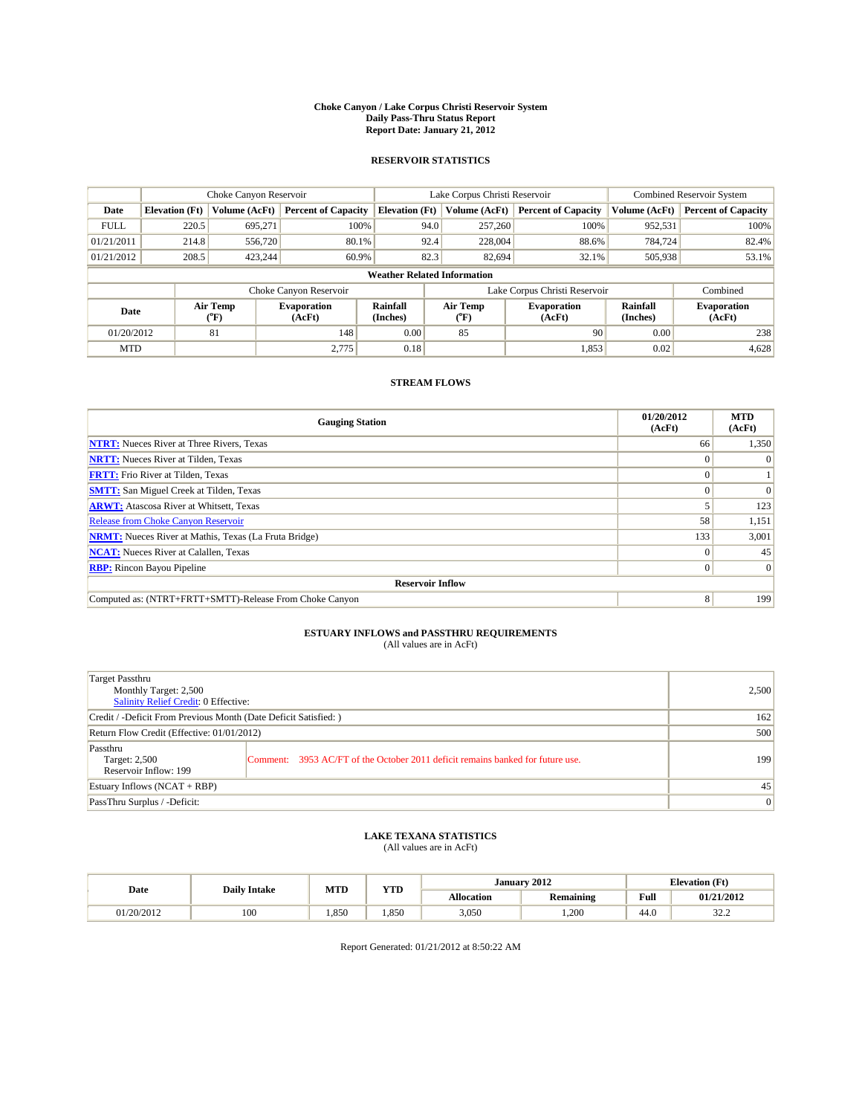#### **Choke Canyon / Lake Corpus Christi Reservoir System Daily Pass-Thru Status Report Report Date: January 21, 2012**

## **RESERVOIR STATISTICS**

|             | Choke Canyon Reservoir             |                                           |                              |                       | Lake Corpus Christi Reservoir     |         |                              |                      | Combined Reservoir System    |  |  |
|-------------|------------------------------------|-------------------------------------------|------------------------------|-----------------------|-----------------------------------|---------|------------------------------|----------------------|------------------------------|--|--|
| Date        | <b>Elevation</b> (Ft)              | Volume (AcFt)                             | <b>Percent of Capacity</b>   | <b>Elevation</b> (Ft) | Volume (AcFt)                     |         | <b>Percent of Capacity</b>   | Volume (AcFt)        | <b>Percent of Capacity</b>   |  |  |
| <b>FULL</b> | 220.5                              | 695.271                                   | 100%                         |                       | 94.0<br>257,260                   |         | 100%                         | 952,531              | 100%                         |  |  |
| 01/21/2011  | 214.8                              | 556,720                                   | 80.1%                        |                       | 92.4                              | 228,004 | 88.6%                        | 784,724              | 82.4%                        |  |  |
| 01/21/2012  | 208.5                              | 423,244                                   | 60.9%                        |                       | 82.3                              | 82,694  | 32.1%                        | 505,938              | 53.1%                        |  |  |
|             | <b>Weather Related Information</b> |                                           |                              |                       |                                   |         |                              |                      |                              |  |  |
|             |                                    |                                           | Choke Canyon Reservoir       |                       | Lake Corpus Christi Reservoir     |         |                              | Combined             |                              |  |  |
| Date        |                                    | Air Temp<br>$({}^{\mathrm{o}}\mathrm{F})$ | <b>Evaporation</b><br>(AcFt) | Rainfall<br>(Inches)  | Air Temp<br>$({}^{\circ}{\rm F})$ |         | <b>Evaporation</b><br>(AcFt) | Rainfall<br>(Inches) | <b>Evaporation</b><br>(AcFt) |  |  |
| 01/20/2012  |                                    | 81                                        | 148                          | 0.00                  | 85                                |         | 90                           | 0.00                 | 238                          |  |  |
| <b>MTD</b>  |                                    |                                           | 2.775                        | 0.18                  |                                   |         | 1,853                        | 0.02                 | 4,628                        |  |  |

## **STREAM FLOWS**

| <b>Gauging Station</b>                                       | 01/20/2012<br>(AcFt) | <b>MTD</b><br>(AcFt) |
|--------------------------------------------------------------|----------------------|----------------------|
| <b>NTRT:</b> Nueces River at Three Rivers, Texas             | 66                   | 1,350                |
| <b>NRTT:</b> Nueces River at Tilden, Texas                   |                      |                      |
| <b>FRTT:</b> Frio River at Tilden, Texas                     |                      |                      |
| <b>SMTT:</b> San Miguel Creek at Tilden, Texas               |                      | $\Omega$             |
| <b>ARWT:</b> Atascosa River at Whitsett, Texas               |                      | 123                  |
| Release from Choke Canyon Reservoir                          | 58                   | 1,151                |
| <b>NRMT:</b> Nueces River at Mathis, Texas (La Fruta Bridge) | 133                  | 3,001                |
| <b>NCAT:</b> Nueces River at Calallen, Texas                 | 0                    | 45                   |
| <b>RBP:</b> Rincon Bayou Pipeline                            | $\Omega$             | $\Omega$             |
| <b>Reservoir Inflow</b>                                      |                      |                      |
| Computed as: (NTRT+FRTT+SMTT)-Release From Choke Canyon      | 8                    | 199                  |

# **ESTUARY INFLOWS and PASSTHRU REQUIREMENTS**<br>(All values are in AcFt)

| Target Passthru<br>Monthly Target: 2,500<br>Salinity Relief Credit: 0 Effective: |                                                                                | 2,500 |
|----------------------------------------------------------------------------------|--------------------------------------------------------------------------------|-------|
| Credit / -Deficit From Previous Month (Date Deficit Satisfied: )                 | 162                                                                            |       |
| Return Flow Credit (Effective: 01/01/2012)                                       | 500                                                                            |       |
| Passthru<br>Target: 2,500<br>Reservoir Inflow: 199                               | Comment: 3953 AC/FT of the October 2011 deficit remains banked for future use. | 199   |
| Estuary Inflows (NCAT + RBP)                                                     |                                                                                | 45    |
| PassThru Surplus / -Deficit:                                                     | $\vert 0 \vert$                                                                |       |

## **LAKE TEXANA STATISTICS** (All values are in AcFt)

|            | <b>Daily Intake</b> | <b>MTD</b> | <b>YTD</b> |                   | January 2012     |      | <b>Elevation</b> (Ft) |
|------------|---------------------|------------|------------|-------------------|------------------|------|-----------------------|
| Date       |                     |            |            | <b>Allocation</b> | <b>Remaining</b> | Full | 01/21/2012            |
| 01/20/2012 | 100                 | 1.850      | .850       | 3,050             | .200             | 44.0 | 22a<br>ے ۔ے د         |

Report Generated: 01/21/2012 at 8:50:22 AM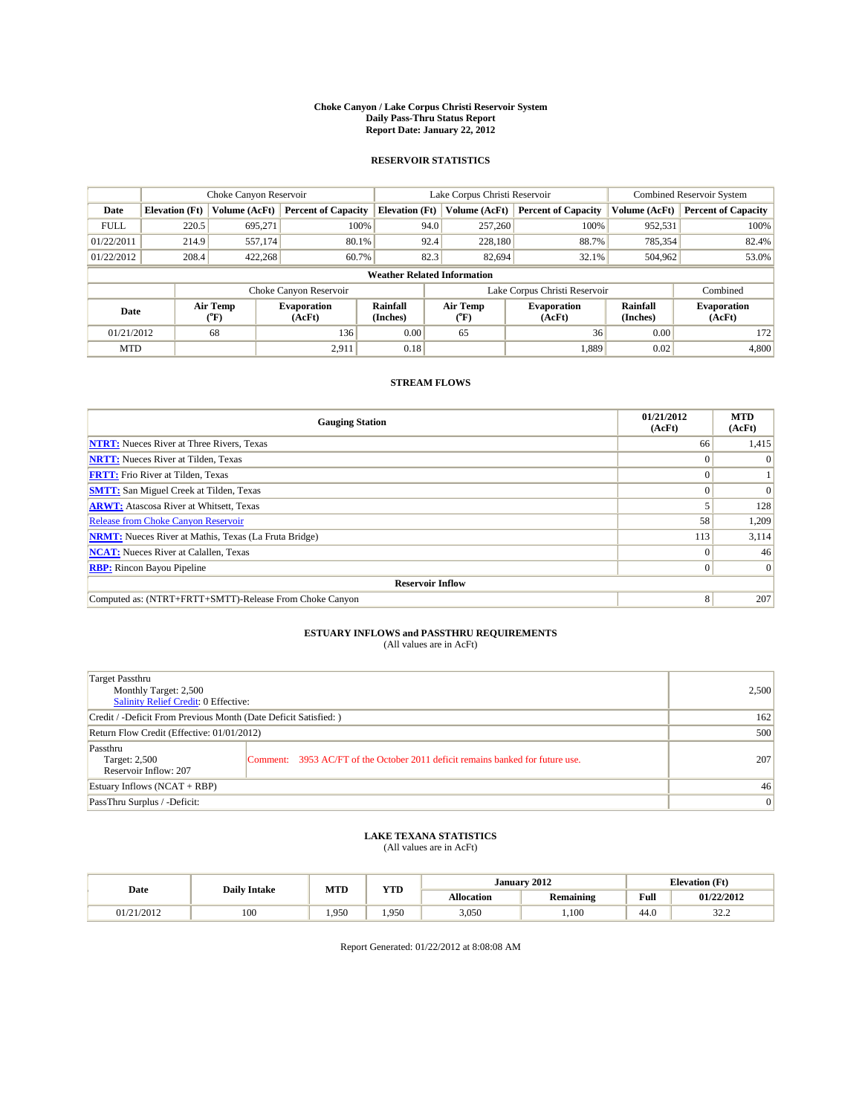#### **Choke Canyon / Lake Corpus Christi Reservoir System Daily Pass-Thru Status Report Report Date: January 22, 2012**

## **RESERVOIR STATISTICS**

|             | Choke Canyon Reservoir             |                                           |                              |                       | Lake Corpus Christi Reservoir  |                              |                      | Combined Reservoir System    |  |  |
|-------------|------------------------------------|-------------------------------------------|------------------------------|-----------------------|--------------------------------|------------------------------|----------------------|------------------------------|--|--|
| Date        | <b>Elevation</b> (Ft)              | Volume (AcFt)                             | <b>Percent of Capacity</b>   | <b>Elevation</b> (Ft) | Volume (AcFt)                  | <b>Percent of Capacity</b>   | Volume (AcFt)        | <b>Percent of Capacity</b>   |  |  |
| <b>FULL</b> | 220.5                              | 695,271                                   | 100%                         | 94.0                  | 257,260                        | 100%                         | 952,531              | 100%                         |  |  |
| 01/22/2011  | 214.9                              | 557.174                                   | 80.1%                        | 92.4                  | 228,180                        | 88.7%                        | 785,354              | 82.4%                        |  |  |
| 01/22/2012  | 208.4                              | 422,268                                   | 60.7%                        | 82.3                  | 82,694                         | 32.1%                        | 504,962              | 53.0%                        |  |  |
|             | <b>Weather Related Information</b> |                                           |                              |                       |                                |                              |                      |                              |  |  |
|             |                                    |                                           | Choke Canyon Reservoir       |                       | Lake Corpus Christi Reservoir  |                              |                      | Combined                     |  |  |
| Date        |                                    | Air Temp<br>$({}^{\mathrm{o}}\mathrm{F})$ | <b>Evaporation</b><br>(AcFt) | Rainfall<br>(Inches)  | Air Temp<br>$({}^o\mathrm{F})$ | <b>Evaporation</b><br>(AcFt) | Rainfall<br>(Inches) | <b>Evaporation</b><br>(AcFt) |  |  |
| 01/21/2012  |                                    | 68                                        | 136                          | 0.00                  | 65                             | 36                           | 0.00                 | 172                          |  |  |
| <b>MTD</b>  |                                    |                                           | 2,911                        | 0.18                  |                                | 1,889                        | 0.02                 | 4,800                        |  |  |

## **STREAM FLOWS**

| <b>Gauging Station</b>                                       | 01/21/2012<br>(AcFt) | <b>MTD</b><br>(AcFt) |
|--------------------------------------------------------------|----------------------|----------------------|
| <b>NTRT:</b> Nueces River at Three Rivers, Texas             | 66                   | 1,415                |
| <b>NRTT:</b> Nueces River at Tilden, Texas                   | $\theta$             |                      |
| <b>FRTT:</b> Frio River at Tilden, Texas                     |                      |                      |
| <b>SMTT:</b> San Miguel Creek at Tilden, Texas               |                      | $\Omega$             |
| <b>ARWT:</b> Atascosa River at Whitsett, Texas               |                      | 128                  |
| <b>Release from Choke Canyon Reservoir</b>                   | 58                   | 1,209                |
| <b>NRMT:</b> Nueces River at Mathis, Texas (La Fruta Bridge) | 113                  | 3,114                |
| <b>NCAT:</b> Nueces River at Calallen, Texas                 | $\Omega$             | 46                   |
| <b>RBP:</b> Rincon Bayou Pipeline                            | $\Omega$             | $\Omega$             |
| <b>Reservoir Inflow</b>                                      |                      |                      |
| Computed as: (NTRT+FRTT+SMTT)-Release From Choke Canyon      | 8                    | 207                  |

# **ESTUARY INFLOWS and PASSTHRU REQUIREMENTS**<br>(All values are in AcFt)

| Target Passthru<br>Monthly Target: 2,500<br>Salinity Relief Credit: 0 Effective: |                                                                                | 2,500 |
|----------------------------------------------------------------------------------|--------------------------------------------------------------------------------|-------|
| Credit / -Deficit From Previous Month (Date Deficit Satisfied: )                 | 162                                                                            |       |
| Return Flow Credit (Effective: 01/01/2012)                                       | 500                                                                            |       |
| Passthru<br>Target: 2,500<br>Reservoir Inflow: 207                               | Comment: 3953 AC/FT of the October 2011 deficit remains banked for future use. | 207   |
| Estuary Inflows (NCAT + RBP)                                                     | 46                                                                             |       |
| PassThru Surplus / -Deficit:                                                     | $\vert 0 \vert$                                                                |       |

## **LAKE TEXANA STATISTICS** (All values are in AcFt)

| Date       | <b>Daily Intake</b> | MTD   | <b>TIME</b><br>1 I.D | January 2012      |                  |                                         | <b>Elevation</b> (Ft) |  |
|------------|---------------------|-------|----------------------|-------------------|------------------|-----------------------------------------|-----------------------|--|
|            |                     |       |                      | <b>Allocation</b> | <b>Remaining</b> | Full<br>the contract of the contract of | 01/22/2012            |  |
| 01/21/2012 | 100                 | 1.950 | 1.950                | 3,050             | 1.100            | 44.0                                    | 222<br>ے ۔ے د         |  |

Report Generated: 01/22/2012 at 8:08:08 AM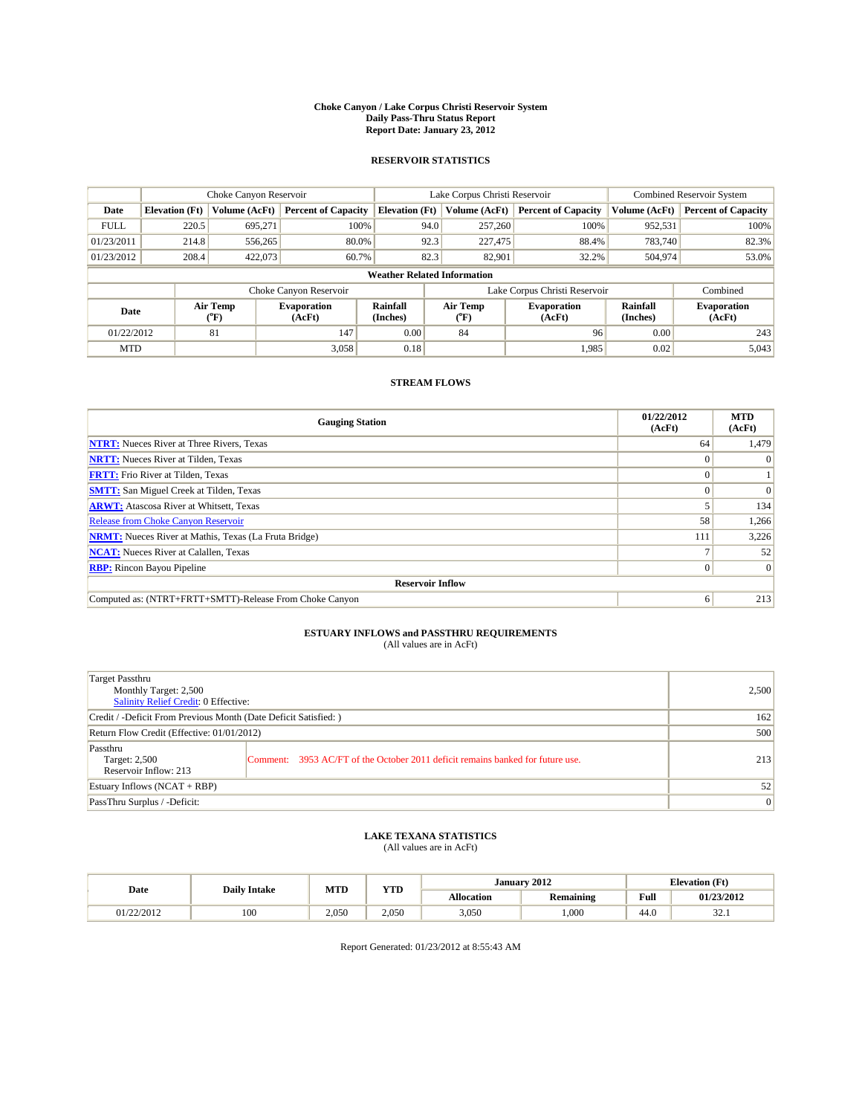#### **Choke Canyon / Lake Corpus Christi Reservoir System Daily Pass-Thru Status Report Report Date: January 23, 2012**

## **RESERVOIR STATISTICS**

|             | Choke Canyon Reservoir             |                  |                              |                       | Lake Corpus Christi Reservoir |         |                              |                             | <b>Combined Reservoir System</b> |  |  |
|-------------|------------------------------------|------------------|------------------------------|-----------------------|-------------------------------|---------|------------------------------|-----------------------------|----------------------------------|--|--|
| Date        | <b>Elevation</b> (Ft)              | Volume (AcFt)    | <b>Percent of Capacity</b>   | <b>Elevation</b> (Ft) | Volume (AcFt)                 |         | <b>Percent of Capacity</b>   | Volume (AcFt)               | <b>Percent of Capacity</b>       |  |  |
| <b>FULL</b> | 220.5                              | 695,271          | 100%                         |                       | 94.0                          | 257,260 | 100%                         | 952,531                     | 100%                             |  |  |
| 01/23/2011  | 214.8                              | 556,265          | 80.0%                        |                       | 92.3                          | 227,475 | 88.4%                        | 783.740                     | 82.3%                            |  |  |
| 01/23/2012  | 208.4                              | 422,073          | 60.7%                        |                       | 82.3                          | 82,901  | 32.2%                        | 504,974                     | 53.0%                            |  |  |
|             | <b>Weather Related Information</b> |                  |                              |                       |                               |         |                              |                             |                                  |  |  |
|             |                                    |                  | Choke Canyon Reservoir       |                       | Lake Corpus Christi Reservoir |         |                              |                             | Combined                         |  |  |
| Date        |                                    | Air Temp<br>(°F) | <b>Evaporation</b><br>(AcFt) | Rainfall<br>(Inches)  | Air Temp<br>("F)              |         | <b>Evaporation</b><br>(AcFt) | <b>Rainfall</b><br>(Inches) | <b>Evaporation</b><br>(AcFt)     |  |  |
| 01/22/2012  |                                    | 81               | 147                          | 0.00                  | 84                            |         | 96                           | 0.00                        | 243                              |  |  |
| <b>MTD</b>  |                                    |                  | 3,058                        | 0.18                  |                               |         | 1.985                        | 0.02                        | 5,043                            |  |  |

## **STREAM FLOWS**

| <b>Gauging Station</b>                                       | 01/22/2012<br>(AcFt) | <b>MTD</b><br>(AcFt) |
|--------------------------------------------------------------|----------------------|----------------------|
| <b>NTRT:</b> Nueces River at Three Rivers, Texas             | 64                   | 1,479                |
| <b>NRTT:</b> Nueces River at Tilden, Texas                   | $\Omega$             |                      |
| <b>FRTT:</b> Frio River at Tilden, Texas                     |                      |                      |
| <b>SMTT:</b> San Miguel Creek at Tilden, Texas               |                      | $\Omega$             |
| <b>ARWT:</b> Atascosa River at Whitsett, Texas               |                      | 134                  |
| <b>Release from Choke Canyon Reservoir</b>                   | 58                   | 1,266                |
| <b>NRMT:</b> Nueces River at Mathis, Texas (La Fruta Bridge) | 111                  | 3,226                |
| <b>NCAT:</b> Nueces River at Calallen, Texas                 |                      | 52                   |
| <b>RBP:</b> Rincon Bayou Pipeline                            | $\overline{0}$       | $\Omega$             |
| <b>Reservoir Inflow</b>                                      |                      |                      |
| Computed as: (NTRT+FRTT+SMTT)-Release From Choke Canyon      | 6                    | 213                  |

# **ESTUARY INFLOWS and PASSTHRU REQUIREMENTS**<br>(All values are in AcFt)

| Target Passthru<br>Monthly Target: 2,500<br>Salinity Relief Credit: 0 Effective: |                                                                                | 2,500 |
|----------------------------------------------------------------------------------|--------------------------------------------------------------------------------|-------|
| Credit / -Deficit From Previous Month (Date Deficit Satisfied: )                 | 162                                                                            |       |
| Return Flow Credit (Effective: 01/01/2012)                                       | 500                                                                            |       |
| Passthru<br>Target: 2,500<br>Reservoir Inflow: 213                               | Comment: 3953 AC/FT of the October 2011 deficit remains banked for future use. | 213   |
| Estuary Inflows (NCAT + RBP)                                                     | 52                                                                             |       |
| PassThru Surplus / -Deficit:                                                     | $\vert 0 \vert$                                                                |       |

## **LAKE TEXANA STATISTICS** (All values are in AcFt)

| Date       | <b>Daily Intake</b> | MTD   | VTT<br>1 I.D | January 2012      |                  |                                         | <b>Elevation</b> (Ft) |  |
|------------|---------------------|-------|--------------|-------------------|------------------|-----------------------------------------|-----------------------|--|
|            |                     |       |              | <b>Allocation</b> | <b>Remaining</b> | Full<br>the contract of the contract of | 01/23/2012            |  |
| 01/22/2012 | 100                 | 2.050 | 2.050        | 3,050             | .000             | $\sim$<br>44.U                          | $\sim$<br>، ، ، ، ،   |  |

Report Generated: 01/23/2012 at 8:55:43 AM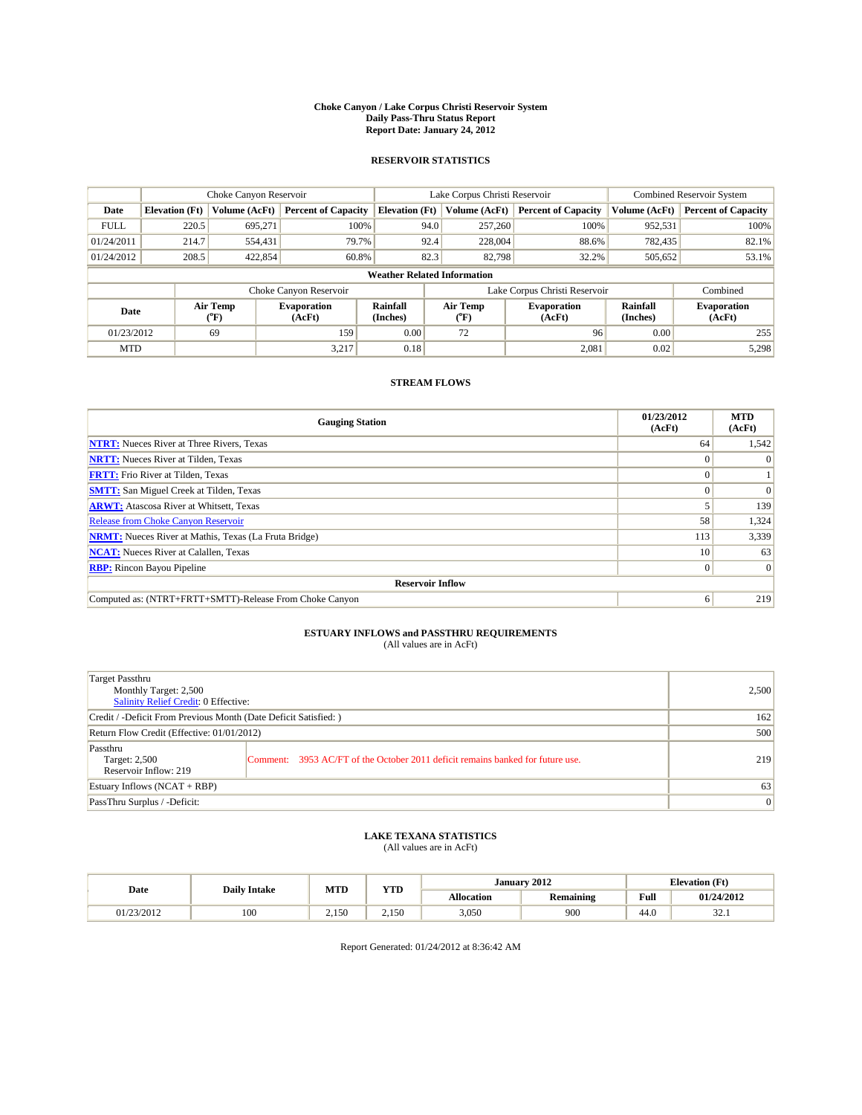#### **Choke Canyon / Lake Corpus Christi Reservoir System Daily Pass-Thru Status Report Report Date: January 24, 2012**

## **RESERVOIR STATISTICS**

|             | Choke Canyon Reservoir             |                                |                              |                       | Lake Corpus Christi Reservoir | <b>Combined Reservoir System</b> |                      |                              |  |  |
|-------------|------------------------------------|--------------------------------|------------------------------|-----------------------|-------------------------------|----------------------------------|----------------------|------------------------------|--|--|
| Date        | <b>Elevation</b> (Ft)              | Volume (AcFt)                  | <b>Percent of Capacity</b>   | <b>Elevation</b> (Ft) | Volume (AcFt)                 | <b>Percent of Capacity</b>       | Volume (AcFt)        | <b>Percent of Capacity</b>   |  |  |
| <b>FULL</b> | 220.5                              | 695.271                        | 100%                         | 94.0                  | 257,260                       | 100%                             | 952,531              | 100%                         |  |  |
| 01/24/2011  | 214.7                              | 554,431                        | 79.7%                        | 92.4                  | 228,004                       | 88.6%                            | 782,435              | 82.1%                        |  |  |
| 01/24/2012  | 208.5                              | 422,854                        | 60.8%                        | 82.3                  | 82,798                        | 32.2%                            | 505,652              | 53.1%                        |  |  |
|             | <b>Weather Related Information</b> |                                |                              |                       |                               |                                  |                      |                              |  |  |
|             |                                    |                                | Choke Canyon Reservoir       |                       | Lake Corpus Christi Reservoir |                                  |                      | Combined                     |  |  |
| Date        |                                    | Air Temp<br>$({}^o\mathrm{F})$ | <b>Evaporation</b><br>(AcFt) | Rainfall<br>(Inches)  | Air Temp<br>(°F)              | <b>Evaporation</b><br>(AcFt)     | Rainfall<br>(Inches) | <b>Evaporation</b><br>(AcFt) |  |  |
| 01/23/2012  |                                    | 69                             | 159                          | 0.00                  | 72                            | 96                               | 0.00                 | 255                          |  |  |
| <b>MTD</b>  |                                    |                                | 3.217                        | 0.18                  |                               | 2,081                            | 0.02                 | 5,298                        |  |  |

## **STREAM FLOWS**

| <b>Gauging Station</b>                                       | 01/23/2012<br>(AcFt) | <b>MTD</b><br>(AcFt) |
|--------------------------------------------------------------|----------------------|----------------------|
| <b>NTRT:</b> Nueces River at Three Rivers, Texas             | 64                   | 1,542                |
| <b>NRTT:</b> Nueces River at Tilden, Texas                   |                      |                      |
| <b>FRTT:</b> Frio River at Tilden, Texas                     |                      |                      |
| <b>SMTT:</b> San Miguel Creek at Tilden, Texas               |                      | $\Omega$             |
| <b>ARWT:</b> Atascosa River at Whitsett, Texas               |                      | 139                  |
| Release from Choke Canyon Reservoir                          | 58                   | 1,324                |
| <b>NRMT:</b> Nueces River at Mathis, Texas (La Fruta Bridge) | 113                  | 3,339                |
| <b>NCAT:</b> Nueces River at Calallen, Texas                 | 10 <sup>1</sup>      | 63                   |
| <b>RBP:</b> Rincon Bayou Pipeline                            | $\overline{0}$       | $\Omega$             |
| <b>Reservoir Inflow</b>                                      |                      |                      |
| Computed as: (NTRT+FRTT+SMTT)-Release From Choke Canyon      | 6                    | 219                  |

# **ESTUARY INFLOWS and PASSTHRU REQUIREMENTS**<br>(All values are in AcFt)

| Target Passthru<br>Monthly Target: 2,500<br>Salinity Relief Credit: 0 Effective: |                                                                                | 2,500 |
|----------------------------------------------------------------------------------|--------------------------------------------------------------------------------|-------|
| Credit / -Deficit From Previous Month (Date Deficit Satisfied: )                 | 162                                                                            |       |
| Return Flow Credit (Effective: 01/01/2012)                                       | 500                                                                            |       |
| Passthru<br>Target: 2,500<br>Reservoir Inflow: 219                               | Comment: 3953 AC/FT of the October 2011 deficit remains banked for future use. | 219   |
| Estuary Inflows (NCAT + RBP)                                                     | 63                                                                             |       |
| PassThru Surplus / -Deficit:                                                     | $\vert 0 \vert$                                                                |       |

## **LAKE TEXANA STATISTICS** (All values are in AcFt)

|            | <b>Daily Intake</b> | MTD          | <b>XZOD</b><br>1 I.D | January 2012      |                  |                                         | <b>Elevation</b> (Ft) |
|------------|---------------------|--------------|----------------------|-------------------|------------------|-----------------------------------------|-----------------------|
| Date       |                     |              |                      | <b>Allocation</b> | <b>Remaining</b> | Full<br>the contract of the contract of | 01/24/2012            |
| 01/23/2012 | 100                 | 150<br>2.150 | 2.150                | 3.050             | 900              | 44.0                                    | $\sim$<br>ہ کر ک      |

Report Generated: 01/24/2012 at 8:36:42 AM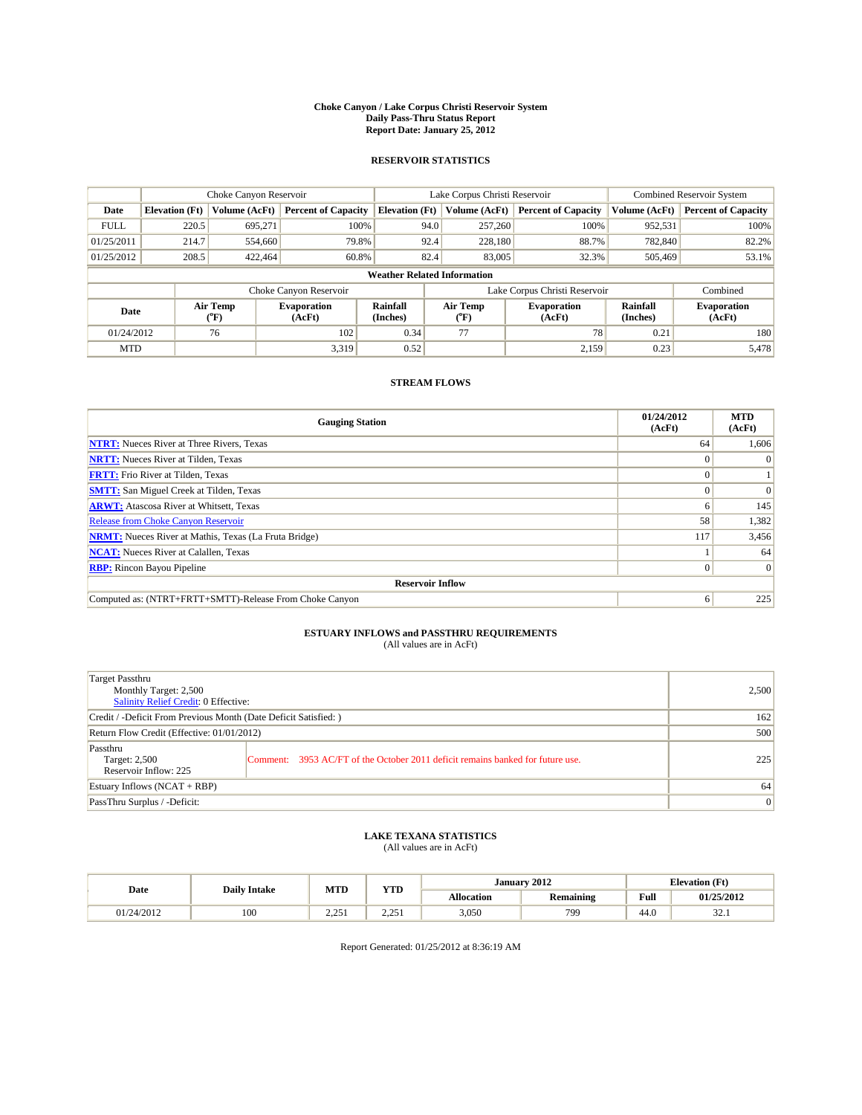#### **Choke Canyon / Lake Corpus Christi Reservoir System Daily Pass-Thru Status Report Report Date: January 25, 2012**

## **RESERVOIR STATISTICS**

|             | Choke Canyon Reservoir             |                  |                              |                       | Lake Corpus Christi Reservoir | <b>Combined Reservoir System</b> |                             |                              |  |  |
|-------------|------------------------------------|------------------|------------------------------|-----------------------|-------------------------------|----------------------------------|-----------------------------|------------------------------|--|--|
| Date        | <b>Elevation</b> (Ft)              | Volume (AcFt)    | <b>Percent of Capacity</b>   | <b>Elevation</b> (Ft) | Volume (AcFt)                 | <b>Percent of Capacity</b>       | Volume (AcFt)               | <b>Percent of Capacity</b>   |  |  |
| <b>FULL</b> | 220.5                              | 695,271          | 100%                         | 94.0                  | 257,260                       | 100%                             | 952,531                     | 100%                         |  |  |
| 01/25/2011  | 214.7                              | 554,660          | 79.8%                        | 92.4                  | 228,180                       | 88.7%                            | 782,840                     | 82.2%                        |  |  |
| 01/25/2012  | 208.5                              | 422.464          | 60.8%                        | 82.4                  | 83,005                        | 32.3%                            | 505,469                     | 53.1%                        |  |  |
|             | <b>Weather Related Information</b> |                  |                              |                       |                               |                                  |                             |                              |  |  |
|             |                                    |                  | Choke Canyon Reservoir       |                       | Lake Corpus Christi Reservoir |                                  |                             | Combined                     |  |  |
| Date        |                                    | Air Temp<br>(°F) | <b>Evaporation</b><br>(AcFt) | Rainfall<br>(Inches)  | Air Temp<br>(°F)              | <b>Evaporation</b><br>(AcFt)     | <b>Rainfall</b><br>(Inches) | <b>Evaporation</b><br>(AcFt) |  |  |
| 01/24/2012  |                                    | 76               | 102                          | 0.34                  | 77                            | 78                               | 0.21                        | 180                          |  |  |
| <b>MTD</b>  |                                    |                  | 3.319                        | 0.52                  |                               | 2.159                            | 0.23                        | 5,478                        |  |  |

## **STREAM FLOWS**

| <b>Gauging Station</b>                                       | 01/24/2012<br>(AcFt) | <b>MTD</b><br>(AcFt) |
|--------------------------------------------------------------|----------------------|----------------------|
| <b>NTRT:</b> Nueces River at Three Rivers, Texas             | 64                   | 1,606                |
| <b>NRTT:</b> Nueces River at Tilden, Texas                   |                      |                      |
| <b>FRTT:</b> Frio River at Tilden, Texas                     |                      |                      |
| <b>SMTT:</b> San Miguel Creek at Tilden, Texas               |                      | $\Omega$             |
| <b>ARWT:</b> Atascosa River at Whitsett, Texas               | <sub>0</sub>         | 145                  |
| Release from Choke Canyon Reservoir                          | 58                   | 1,382                |
| <b>NRMT:</b> Nueces River at Mathis, Texas (La Fruta Bridge) | 117                  | 3,456                |
| <b>NCAT:</b> Nueces River at Calallen, Texas                 |                      | 64                   |
| <b>RBP:</b> Rincon Bayou Pipeline                            | $\Omega$             | $\Omega$             |
| <b>Reservoir Inflow</b>                                      |                      |                      |
| Computed as: (NTRT+FRTT+SMTT)-Release From Choke Canyon      | 6                    | 225                  |

# **ESTUARY INFLOWS and PASSTHRU REQUIREMENTS**<br>(All values are in AcFt)

| Target Passthru<br>Monthly Target: 2,500<br>Salinity Relief Credit: 0 Effective: |                                                                                | 2,500 |
|----------------------------------------------------------------------------------|--------------------------------------------------------------------------------|-------|
| Credit / -Deficit From Previous Month (Date Deficit Satisfied: )                 | 162                                                                            |       |
| Return Flow Credit (Effective: 01/01/2012)                                       | 500                                                                            |       |
| Passthru<br>Target: 2,500<br>Reservoir Inflow: 225                               | Comment: 3953 AC/FT of the October 2011 deficit remains banked for future use. | 225   |
| Estuary Inflows (NCAT + RBP)                                                     | 64                                                                             |       |
| PassThru Surplus / -Deficit:                                                     | $\vert 0 \vert$                                                                |       |

## **LAKE TEXANA STATISTICS** (All values are in AcFt)

| Date       | <b>Daily Intake</b> |                    | <b>XZOD</b><br>MTD<br>1 I.D |                   | January 2012     | <b>Elevation</b> (Ft)                   |                  |
|------------|---------------------|--------------------|-----------------------------|-------------------|------------------|-----------------------------------------|------------------|
|            |                     |                    |                             | <b>Allocation</b> | <b>Remaining</b> | Full<br>the contract of the contract of | 01/25/2012       |
| 01/24/2012 | 100                 | າ າ<<br>$\sim\sim$ | 2.25<br>$\sim\sim$          | 3.050             | 799              | 44.0                                    | $\sim$<br>ہ کر ک |

Report Generated: 01/25/2012 at 8:36:19 AM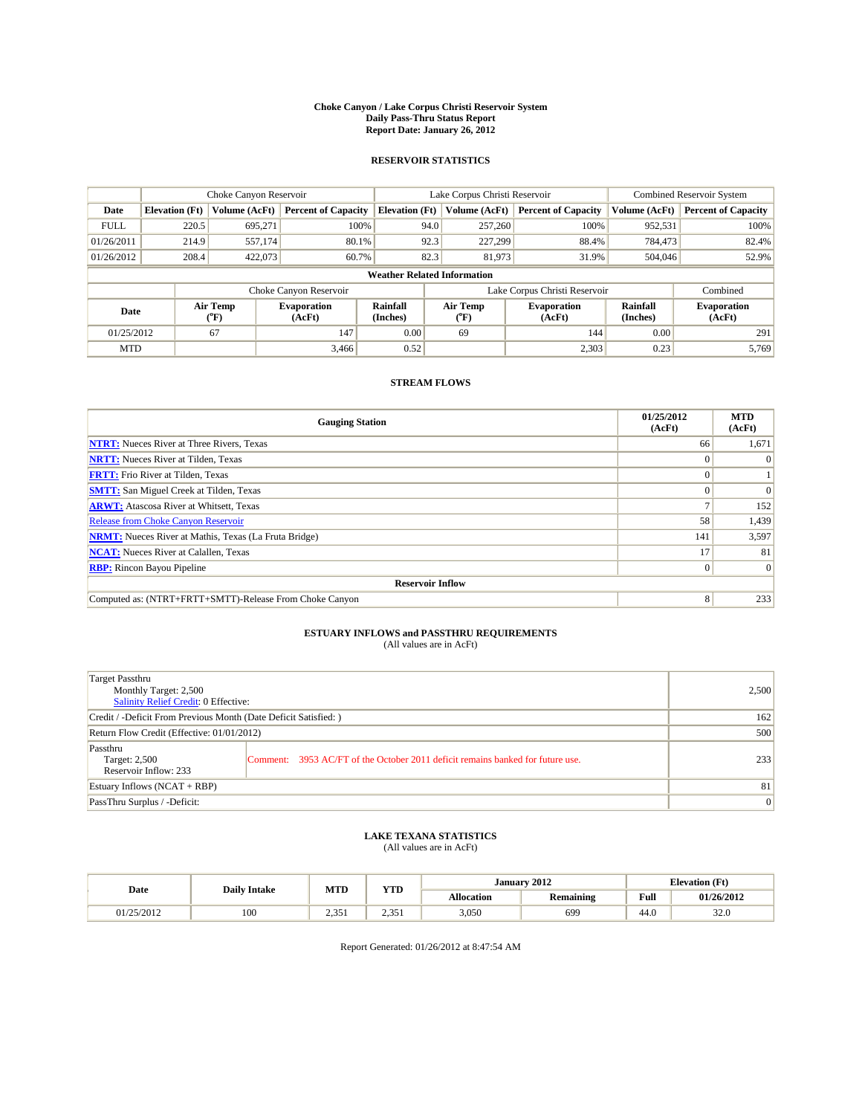#### **Choke Canyon / Lake Corpus Christi Reservoir System Daily Pass-Thru Status Report Report Date: January 26, 2012**

## **RESERVOIR STATISTICS**

|             | Choke Canyon Reservoir             |                                           |                              |                             | Lake Corpus Christi Reservoir  |         |                              |                      | <b>Combined Reservoir System</b> |  |
|-------------|------------------------------------|-------------------------------------------|------------------------------|-----------------------------|--------------------------------|---------|------------------------------|----------------------|----------------------------------|--|
| Date        | <b>Elevation</b> (Ft)              | Volume (AcFt)                             | <b>Percent of Capacity</b>   | <b>Elevation</b> (Ft)       | Volume (AcFt)                  |         | <b>Percent of Capacity</b>   | Volume (AcFt)        | <b>Percent of Capacity</b>       |  |
| <b>FULL</b> | 220.5                              | 695,271                                   | 100%                         |                             | 94.0                           | 257,260 | 100%                         | 952,531              | 100%                             |  |
| 01/26/2011  | 214.9                              | 557,174                                   | 80.1%                        |                             | 92.3                           | 227,299 | 88.4%                        | 784,473              | 82.4%                            |  |
| 01/26/2012  | 208.4                              | 422,073                                   | 60.7%                        |                             | 82.3                           | 81,973  | 31.9%                        | 504,046              | 52.9%                            |  |
|             | <b>Weather Related Information</b> |                                           |                              |                             |                                |         |                              |                      |                                  |  |
|             |                                    |                                           | Choke Canyon Reservoir       |                             | Lake Corpus Christi Reservoir  |         |                              | Combined             |                                  |  |
| Date        |                                    | Air Temp<br>$({}^{\mathrm{o}}\mathrm{F})$ | <b>Evaporation</b><br>(AcFt) | <b>Rainfall</b><br>(Inches) | Air Temp<br>$({}^o\mathrm{F})$ |         | <b>Evaporation</b><br>(AcFt) | Rainfall<br>(Inches) | <b>Evaporation</b><br>(AcFt)     |  |
| 01/25/2012  |                                    | 67                                        | 147                          | 0.00                        | 69                             |         | 144                          | 0.00                 | 291                              |  |
| <b>MTD</b>  |                                    |                                           | 3.466                        | 0.52                        |                                |         | 2,303                        | 0.23                 | 5.769                            |  |

## **STREAM FLOWS**

| <b>Gauging Station</b>                                       | 01/25/2012<br>(AcFt) | <b>MTD</b><br>(AcFt) |
|--------------------------------------------------------------|----------------------|----------------------|
| <b>NTRT:</b> Nueces River at Three Rivers, Texas             | 66                   | 1,671                |
| <b>NRTT:</b> Nueces River at Tilden, Texas                   |                      |                      |
| <b>FRTT:</b> Frio River at Tilden, Texas                     |                      |                      |
| <b>SMTT:</b> San Miguel Creek at Tilden, Texas               |                      | $\Omega$             |
| <b>ARWT:</b> Atascosa River at Whitsett, Texas               |                      | 152                  |
| Release from Choke Canyon Reservoir                          | 58                   | 1,439                |
| <b>NRMT:</b> Nueces River at Mathis, Texas (La Fruta Bridge) | 141                  | 3,597                |
| <b>NCAT:</b> Nueces River at Calallen, Texas                 | 17                   | 81                   |
| <b>RBP:</b> Rincon Bayou Pipeline                            | $\overline{0}$       | $\Omega$             |
| <b>Reservoir Inflow</b>                                      |                      |                      |
| Computed as: (NTRT+FRTT+SMTT)-Release From Choke Canyon      | 8                    | 233                  |

# **ESTUARY INFLOWS and PASSTHRU REQUIREMENTS**<br>(All values are in AcFt)

| Target Passthru<br>Monthly Target: 2,500<br>Salinity Relief Credit: 0 Effective: |                                                                                | 2,500 |
|----------------------------------------------------------------------------------|--------------------------------------------------------------------------------|-------|
| Credit / -Deficit From Previous Month (Date Deficit Satisfied: )                 | 162                                                                            |       |
| Return Flow Credit (Effective: 01/01/2012)                                       | 500                                                                            |       |
| Passthru<br>Target: 2,500<br>Reservoir Inflow: 233                               | Comment: 3953 AC/FT of the October 2011 deficit remains banked for future use. | 233   |
| Estuary Inflows (NCAT + RBP)                                                     | 81                                                                             |       |
| PassThru Surplus / -Deficit:                                                     | $\vert 0 \vert$                                                                |       |

## **LAKE TEXANA STATISTICS** (All values are in AcFt)

| Date       | <b>Daily Intake</b> | MTD          | <b>TIME</b><br>1 I D | January 2012<br><b>Elevation</b> (Ft) |                  |                                         |                       |
|------------|---------------------|--------------|----------------------|---------------------------------------|------------------|-----------------------------------------|-----------------------|
|            |                     |              |                      | Allocation                            | <b>Remaining</b> | Full<br>the contract of the contract of | 01/26/2012            |
| 01/25/2012 | 100                 | , 251<br>ہ ب | 25'<br>ہ رہے۔        | 3,050                                 | 699              | $\sqrt{2}$<br>44.U                      | $\sim$ $\sim$<br>94.U |

Report Generated: 01/26/2012 at 8:47:54 AM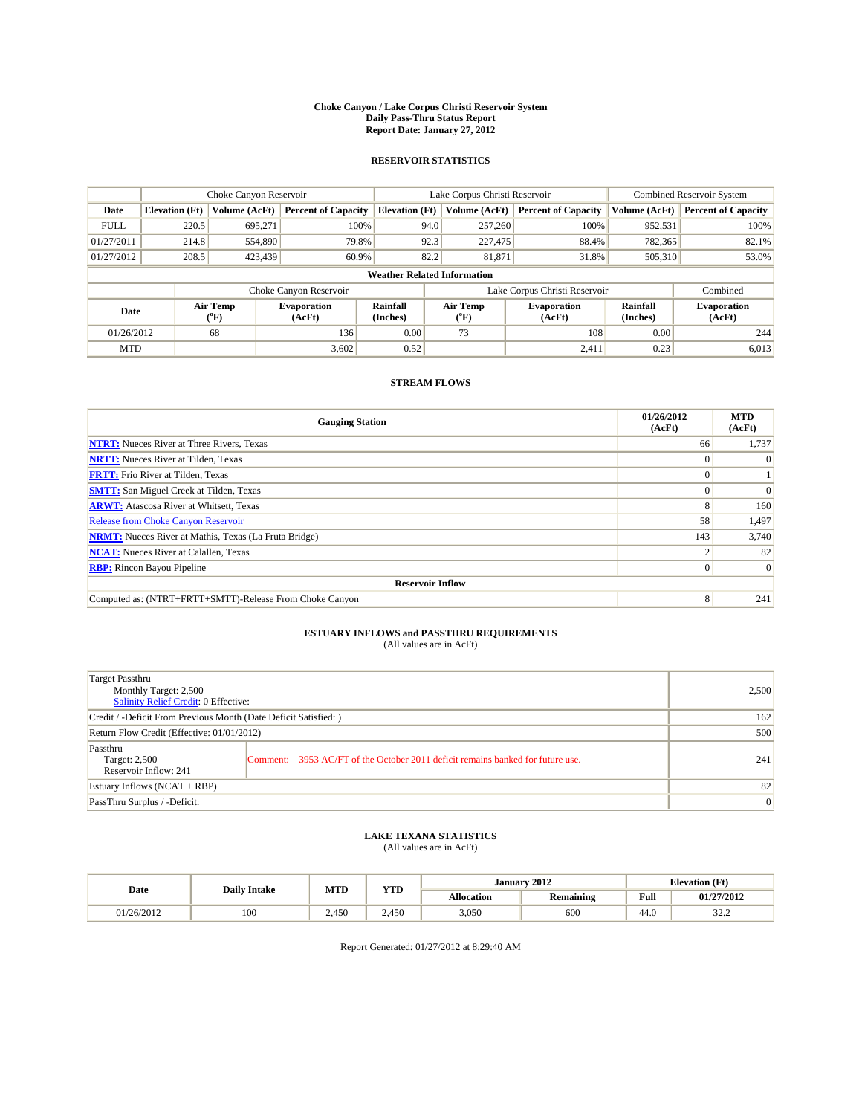#### **Choke Canyon / Lake Corpus Christi Reservoir System Daily Pass-Thru Status Report Report Date: January 27, 2012**

## **RESERVOIR STATISTICS**

|             | Choke Canyon Reservoir             |                  |                              |                       | Lake Corpus Christi Reservoir | <b>Combined Reservoir System</b> |                             |                              |  |  |
|-------------|------------------------------------|------------------|------------------------------|-----------------------|-------------------------------|----------------------------------|-----------------------------|------------------------------|--|--|
| Date        | <b>Elevation</b> (Ft)              | Volume (AcFt)    | <b>Percent of Capacity</b>   | <b>Elevation</b> (Ft) | Volume (AcFt)                 | <b>Percent of Capacity</b>       | Volume (AcFt)               | <b>Percent of Capacity</b>   |  |  |
| <b>FULL</b> | 220.5                              | 695,271          | 100%                         | 94.0                  | 257,260                       | 100%                             | 952,531                     | 100%                         |  |  |
| 01/27/2011  | 214.8                              | 554,890          | 79.8%                        | 92.3                  | 227,475                       | 88.4%                            | 782,365                     | 82.1%                        |  |  |
| 01/27/2012  | 208.5                              | 423,439          | 60.9%                        | 82.2                  | 81,871                        | 31.8%                            | 505,310                     | 53.0%                        |  |  |
|             | <b>Weather Related Information</b> |                  |                              |                       |                               |                                  |                             |                              |  |  |
|             |                                    |                  | Choke Canyon Reservoir       |                       | Lake Corpus Christi Reservoir |                                  |                             | Combined                     |  |  |
| Date        |                                    | Air Temp<br>(°F) | <b>Evaporation</b><br>(AcFt) | Rainfall<br>(Inches)  | Air Temp<br>(°F)              | <b>Evaporation</b><br>(AcFt)     | <b>Rainfall</b><br>(Inches) | <b>Evaporation</b><br>(AcFt) |  |  |
| 01/26/2012  |                                    | 68               | 136                          | 0.00                  | 73                            | 108                              | 0.00                        | 244                          |  |  |
| <b>MTD</b>  |                                    |                  | 3,602                        | 0.52                  |                               | 2,411                            | 0.23                        | 6,013                        |  |  |

## **STREAM FLOWS**

| <b>Gauging Station</b>                                       | 01/26/2012<br>(AcFt) | <b>MTD</b><br>(AcFt) |
|--------------------------------------------------------------|----------------------|----------------------|
| <b>NTRT:</b> Nueces River at Three Rivers, Texas             | 66                   | 1,737                |
| <b>NRTT:</b> Nueces River at Tilden, Texas                   | $\theta$             |                      |
| <b>FRTT:</b> Frio River at Tilden, Texas                     |                      |                      |
| <b>SMTT:</b> San Miguel Creek at Tilden, Texas               |                      | $\Omega$             |
| <b>ARWT:</b> Atascosa River at Whitsett, Texas               | 8                    | 160                  |
| <b>Release from Choke Canyon Reservoir</b>                   | 58                   | 1,497                |
| <b>NRMT:</b> Nueces River at Mathis, Texas (La Fruta Bridge) | 143                  | 3,740                |
| <b>NCAT:</b> Nueces River at Calallen, Texas                 |                      | 82                   |
| <b>RBP:</b> Rincon Bayou Pipeline                            | $\Omega$             | $\Omega$             |
| <b>Reservoir Inflow</b>                                      |                      |                      |
| Computed as: (NTRT+FRTT+SMTT)-Release From Choke Canyon      | 8                    | 241                  |

# **ESTUARY INFLOWS and PASSTHRU REQUIREMENTS**<br>(All values are in AcFt)

| Target Passthru<br>Monthly Target: 2,500<br>Salinity Relief Credit: 0 Effective: |                                                                                | 2,500 |
|----------------------------------------------------------------------------------|--------------------------------------------------------------------------------|-------|
| Credit / -Deficit From Previous Month (Date Deficit Satisfied: )                 | 162                                                                            |       |
| Return Flow Credit (Effective: 01/01/2012)                                       | 500                                                                            |       |
| Passthru<br>Target: 2,500<br>Reservoir Inflow: 241                               | Comment: 3953 AC/FT of the October 2011 deficit remains banked for future use. | 241   |
| Estuary Inflows (NCAT + RBP)                                                     | 82                                                                             |       |
| PassThru Surplus / -Deficit:                                                     | $\vert 0 \vert$                                                                |       |

# **LAKE TEXANA STATISTICS** (All values are in AcFt)

| Date       | <b>Daily Intake</b> | MTD   | <b>XZOD</b><br>1 I.D | January 2012<br><b>Elevation</b> (Ft) |                  |                                         |                  |
|------------|---------------------|-------|----------------------|---------------------------------------|------------------|-----------------------------------------|------------------|
|            |                     |       |                      | <b>Allocation</b>                     | <b>Remaining</b> | Full<br>the contract of the contract of | 01/27/2012       |
| 01/26/2012 | 100                 | 2.450 | 2.450                | 3.050                                 | 600              | 44.0                                    | $\sim$<br>ے کے ب |

Report Generated: 01/27/2012 at 8:29:40 AM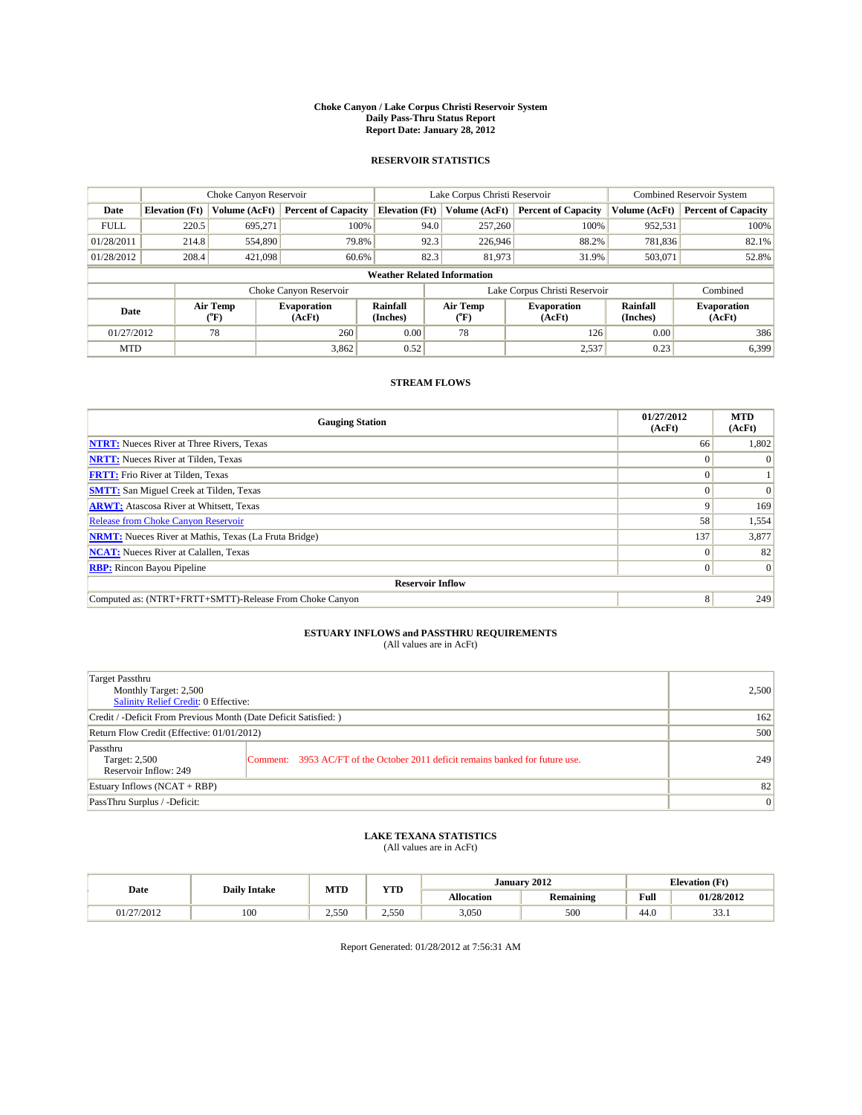#### **Choke Canyon / Lake Corpus Christi Reservoir System Daily Pass-Thru Status Report Report Date: January 28, 2012**

## **RESERVOIR STATISTICS**

|             | Choke Canyon Reservoir             |                  |                              |                             | Lake Corpus Christi Reservoir | <b>Combined Reservoir System</b> |                      |                              |  |  |
|-------------|------------------------------------|------------------|------------------------------|-----------------------------|-------------------------------|----------------------------------|----------------------|------------------------------|--|--|
| Date        | <b>Elevation</b> (Ft)              | Volume (AcFt)    | <b>Percent of Capacity</b>   | <b>Elevation</b> (Ft)       | Volume (AcFt)                 | <b>Percent of Capacity</b>       | Volume (AcFt)        | <b>Percent of Capacity</b>   |  |  |
| <b>FULL</b> | 220.5                              | 695,271          | 100%                         | 94.0                        | 257,260                       | 100%                             | 952,531              | 100%                         |  |  |
| 01/28/2011  | 214.8                              | 554,890          | 79.8%                        | 92.3                        | 226,946                       | 88.2%                            | 781,836              | 82.1%                        |  |  |
| 01/28/2012  | 208.4                              | 421,098          | 60.6%                        | 82.3                        | 81,973                        | 31.9%                            | 503,071              | 52.8%                        |  |  |
|             | <b>Weather Related Information</b> |                  |                              |                             |                               |                                  |                      |                              |  |  |
|             |                                    |                  | Choke Canyon Reservoir       |                             |                               | Lake Corpus Christi Reservoir    |                      | Combined                     |  |  |
| Date        |                                    | Air Temp<br>(°F) | <b>Evaporation</b><br>(AcFt) | <b>Rainfall</b><br>(Inches) | Air Temp<br>(°F)              | <b>Evaporation</b><br>(AcFt)     | Rainfall<br>(Inches) | <b>Evaporation</b><br>(AcFt) |  |  |
| 01/27/2012  |                                    | 78               | 260                          | 0.00                        | 78                            | 126                              | 0.00                 | 386                          |  |  |
| <b>MTD</b>  |                                    |                  | 3,862                        | 0.52                        |                               | 2,537                            | 0.23                 | 6,399                        |  |  |

## **STREAM FLOWS**

| <b>Gauging Station</b>                                       | 01/27/2012<br>(AcFt) | <b>MTD</b><br>(AcFt) |
|--------------------------------------------------------------|----------------------|----------------------|
| <b>NTRT:</b> Nueces River at Three Rivers, Texas             | 66                   | 1,802                |
| <b>NRTT:</b> Nueces River at Tilden, Texas                   |                      |                      |
| <b>FRTT:</b> Frio River at Tilden, Texas                     |                      |                      |
| <b>SMTT:</b> San Miguel Creek at Tilden, Texas               |                      | $\Omega$             |
| <b>ARWT:</b> Atascosa River at Whitsett, Texas               | 9                    | 169                  |
| Release from Choke Canyon Reservoir                          | 58                   | 1,554                |
| <b>NRMT:</b> Nueces River at Mathis, Texas (La Fruta Bridge) | 137                  | 3,877                |
| <b>NCAT:</b> Nueces River at Calallen, Texas                 | $\Omega$             | 82                   |
| <b>RBP:</b> Rincon Bayou Pipeline                            | $\Omega$             | $\Omega$             |
| <b>Reservoir Inflow</b>                                      |                      |                      |
| Computed as: (NTRT+FRTT+SMTT)-Release From Choke Canyon      | 8                    | 249                  |

# **ESTUARY INFLOWS and PASSTHRU REQUIREMENTS**<br>(All values are in AcFt)

| Target Passthru<br>Monthly Target: 2,500<br>Salinity Relief Credit: 0 Effective: |                                                                                | 2,500 |
|----------------------------------------------------------------------------------|--------------------------------------------------------------------------------|-------|
| Credit / -Deficit From Previous Month (Date Deficit Satisfied: )                 | 162                                                                            |       |
| Return Flow Credit (Effective: 01/01/2012)                                       | 500                                                                            |       |
| Passthru<br>Target: 2,500<br>Reservoir Inflow: 249                               | Comment: 3953 AC/FT of the October 2011 deficit remains banked for future use. | 249   |
| Estuary Inflows (NCAT + RBP)                                                     |                                                                                | 82    |
| PassThru Surplus / -Deficit:                                                     | $\vert 0 \vert$                                                                |       |

## **LAKE TEXANA STATISTICS** (All values are in AcFt)

|            | <b>Daily Intake</b> | MTD            | <b>XZOD</b><br>1 I.D | January 2012<br><b>Elevation</b> (Ft) |                  |                                         |                |
|------------|---------------------|----------------|----------------------|---------------------------------------|------------------|-----------------------------------------|----------------|
| Date       |                     |                |                      | <b>Allocation</b>                     | <b>Remaining</b> | Full<br>the contract of the contract of | 01/28/2012     |
| 01/27/2012 | 100                 | 255C<br>ں رہے۔ | 2.550                | 3.050                                 | 500              | 44.0                                    | $\sim$<br>JJ.1 |

Report Generated: 01/28/2012 at 7:56:31 AM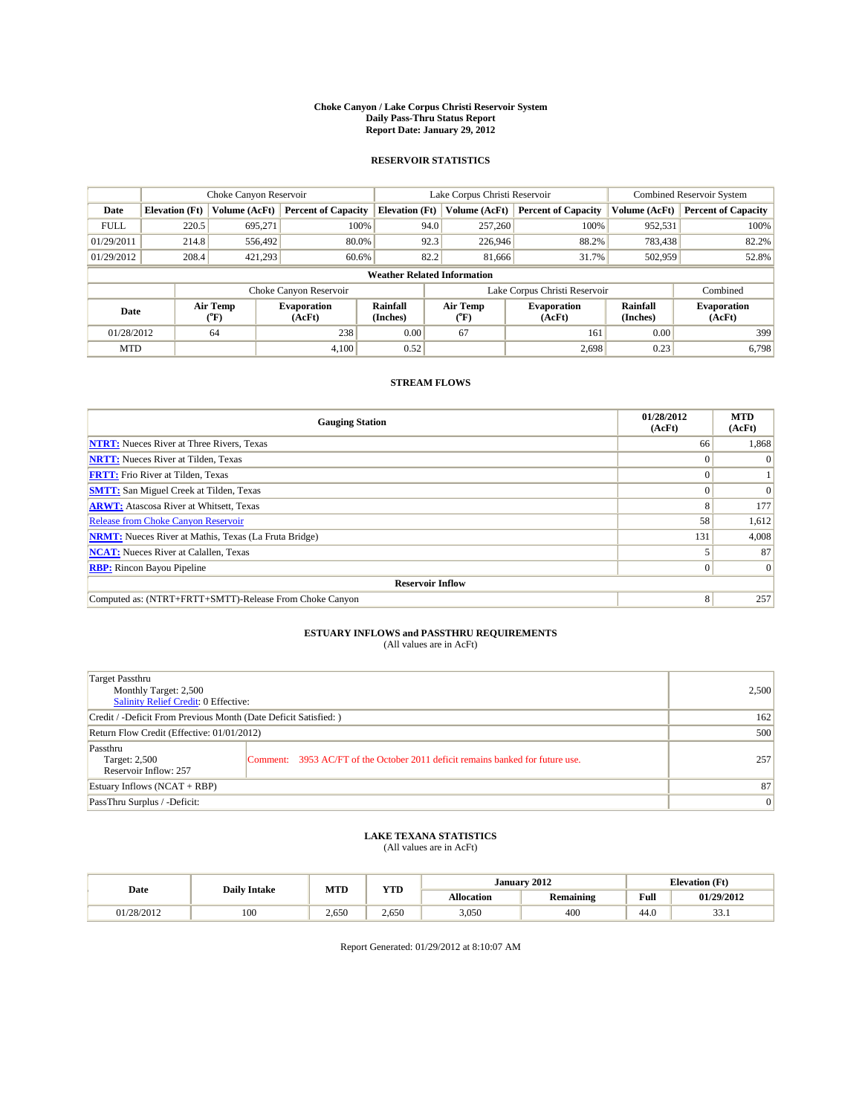#### **Choke Canyon / Lake Corpus Christi Reservoir System Daily Pass-Thru Status Report Report Date: January 29, 2012**

## **RESERVOIR STATISTICS**

|             | Choke Canyon Reservoir             |                  |                              |                       | Lake Corpus Christi Reservoir | <b>Combined Reservoir System</b> |                      |                              |  |
|-------------|------------------------------------|------------------|------------------------------|-----------------------|-------------------------------|----------------------------------|----------------------|------------------------------|--|
| Date        | <b>Elevation</b> (Ft)              | Volume (AcFt)    | <b>Percent of Capacity</b>   | <b>Elevation</b> (Ft) | Volume (AcFt)                 | <b>Percent of Capacity</b>       | Volume (AcFt)        | <b>Percent of Capacity</b>   |  |
| <b>FULL</b> | 220.5                              | 695.271          | 100%                         | 94.0                  | 257,260                       | 100%                             | 952,531              | 100%                         |  |
| 01/29/2011  | 214.8                              | 556,492          | 80.0%                        | 92.3                  | 226,946                       | 88.2%                            | 783,438              | 82.2%                        |  |
| 01/29/2012  | 208.4                              | 421,293          | 60.6%                        | 82.2                  | 81,666                        | 31.7%                            | 502,959              | 52.8%                        |  |
|             | <b>Weather Related Information</b> |                  |                              |                       |                               |                                  |                      |                              |  |
|             |                                    |                  | Choke Canyon Reservoir       |                       |                               | Lake Corpus Christi Reservoir    |                      | Combined                     |  |
| Date        |                                    | Air Temp<br>(°F) | <b>Evaporation</b><br>(AcFt) | Rainfall<br>(Inches)  | Air Temp<br>("F)              | <b>Evaporation</b><br>(AcFt)     | Rainfall<br>(Inches) | <b>Evaporation</b><br>(AcFt) |  |
| 01/28/2012  |                                    | 64               | 238                          | 0.00                  | 67                            | 161                              | 0.00                 | 399                          |  |
| <b>MTD</b>  |                                    |                  | 4.100                        | 0.52                  |                               | 2,698                            | 0.23                 | 6,798                        |  |

## **STREAM FLOWS**

| <b>Gauging Station</b>                                       | 01/28/2012<br>(AcFt) | <b>MTD</b><br>(AcFt) |
|--------------------------------------------------------------|----------------------|----------------------|
| <b>NTRT:</b> Nueces River at Three Rivers, Texas             | 66                   | 1,868                |
| <b>NRTT:</b> Nueces River at Tilden, Texas                   |                      |                      |
| <b>FRTT:</b> Frio River at Tilden, Texas                     |                      |                      |
| <b>SMTT:</b> San Miguel Creek at Tilden, Texas               |                      |                      |
| <b>ARWT:</b> Atascosa River at Whitsett, Texas               | 8                    | 177                  |
| Release from Choke Canyon Reservoir                          | 58                   | 1,612                |
| <b>NRMT:</b> Nueces River at Mathis, Texas (La Fruta Bridge) | 131                  | 4,008                |
| <b>NCAT:</b> Nueces River at Calallen, Texas                 |                      | 87                   |
| <b>RBP:</b> Rincon Bayou Pipeline                            | $\Omega$             | $\Omega$             |
| <b>Reservoir Inflow</b>                                      |                      |                      |
| Computed as: (NTRT+FRTT+SMTT)-Release From Choke Canyon      | 8                    | 257                  |

# **ESTUARY INFLOWS and PASSTHRU REQUIREMENTS**<br>(All values are in AcFt)

| Target Passthru<br>Monthly Target: 2,500<br>Salinity Relief Credit: 0 Effective: |                                                                                | 2,500 |
|----------------------------------------------------------------------------------|--------------------------------------------------------------------------------|-------|
| Credit / -Deficit From Previous Month (Date Deficit Satisfied: )                 | 162                                                                            |       |
| Return Flow Credit (Effective: 01/01/2012)                                       | 500                                                                            |       |
| Passthru<br>Target: 2,500<br>Reservoir Inflow: 257                               | Comment: 3953 AC/FT of the October 2011 deficit remains banked for future use. | 257   |
| Estuary Inflows (NCAT + RBP)                                                     |                                                                                | 87    |
| PassThru Surplus / -Deficit:                                                     | $\vert 0 \vert$                                                                |       |

## **LAKE TEXANA STATISTICS** (All values are in AcFt)

|            | <b>Daily Intake</b> | MTD   | <b>XZOD</b><br>1 I.D | January 2012<br><b>Elevation</b> (Ft) |                  |                                         |                |
|------------|---------------------|-------|----------------------|---------------------------------------|------------------|-----------------------------------------|----------------|
| Date       |                     |       |                      | <b>Allocation</b>                     | <b>Remaining</b> | Full<br>the contract of the contract of | 01/29/2012     |
| 01/28/2012 | 100                 | 2.650 | 2.650                | 3.050                                 | 400              | 44.0                                    | $\sim$<br>JJ.1 |

Report Generated: 01/29/2012 at 8:10:07 AM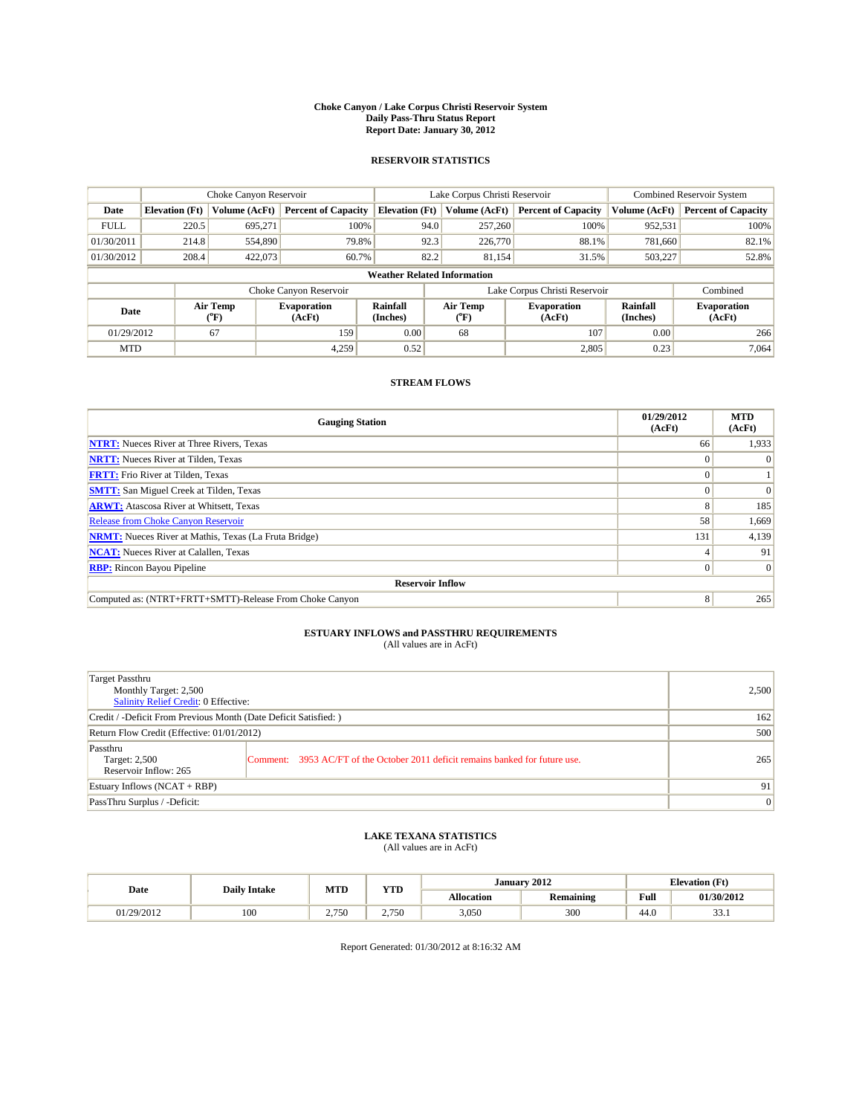#### **Choke Canyon / Lake Corpus Christi Reservoir System Daily Pass-Thru Status Report Report Date: January 30, 2012**

## **RESERVOIR STATISTICS**

|             | Choke Canyon Reservoir             |                  |                              |                             | Lake Corpus Christi Reservoir | <b>Combined Reservoir System</b> |                      |                              |  |  |
|-------------|------------------------------------|------------------|------------------------------|-----------------------------|-------------------------------|----------------------------------|----------------------|------------------------------|--|--|
| Date        | <b>Elevation</b> (Ft)              | Volume (AcFt)    | <b>Percent of Capacity</b>   | <b>Elevation</b> (Ft)       | Volume (AcFt)                 | <b>Percent of Capacity</b>       | Volume (AcFt)        | <b>Percent of Capacity</b>   |  |  |
| <b>FULL</b> | 220.5                              | 695,271          | 100%                         | 94.0                        | 257,260                       | 100%                             | 952,531              | 100%                         |  |  |
| 01/30/2011  | 214.8                              | 554,890          | 79.8%                        | 92.3                        | 226,770                       | 88.1%                            | 781.660              | 82.1%                        |  |  |
| 01/30/2012  | 208.4                              | 422,073          | 60.7%                        | 82.2                        | 81,154                        | 31.5%                            | 503,227              | 52.8%                        |  |  |
|             | <b>Weather Related Information</b> |                  |                              |                             |                               |                                  |                      |                              |  |  |
|             |                                    |                  | Choke Canyon Reservoir       |                             |                               | Lake Corpus Christi Reservoir    |                      | Combined                     |  |  |
| Date        |                                    | Air Temp<br>(°F) | <b>Evaporation</b><br>(AcFt) | <b>Rainfall</b><br>(Inches) | Air Temp<br>(°F)              | <b>Evaporation</b><br>(AcFt)     | Rainfall<br>(Inches) | <b>Evaporation</b><br>(AcFt) |  |  |
| 01/29/2012  |                                    | 67               | 159                          | 0.00                        | 68                            | 107                              | 0.00                 | 266                          |  |  |
| <b>MTD</b>  |                                    |                  | 4.259                        | 0.52                        |                               | 2,805                            | 0.23                 | 7.064                        |  |  |

## **STREAM FLOWS**

| <b>Gauging Station</b>                                       | 01/29/2012<br>(AcFt) | <b>MTD</b><br>(AcFt) |
|--------------------------------------------------------------|----------------------|----------------------|
| <b>NTRT:</b> Nueces River at Three Rivers, Texas             | 66                   | 1,933                |
| <b>NRTT:</b> Nueces River at Tilden, Texas                   |                      |                      |
| <b>FRTT:</b> Frio River at Tilden, Texas                     |                      |                      |
| <b>SMTT:</b> San Miguel Creek at Tilden, Texas               |                      | $\Omega$             |
| <b>ARWT:</b> Atascosa River at Whitsett, Texas               | 8                    | 185                  |
| Release from Choke Canyon Reservoir                          | 58                   | 1,669                |
| <b>NRMT:</b> Nueces River at Mathis, Texas (La Fruta Bridge) | 131                  | 4,139                |
| <b>NCAT:</b> Nueces River at Calallen, Texas                 |                      | 91                   |
| <b>RBP:</b> Rincon Bayou Pipeline                            | $\Omega$             | $\Omega$             |
| <b>Reservoir Inflow</b>                                      |                      |                      |
| Computed as: (NTRT+FRTT+SMTT)-Release From Choke Canyon      | 8                    | 265                  |

# **ESTUARY INFLOWS and PASSTHRU REQUIREMENTS**<br>(All values are in AcFt)

| Target Passthru<br>Monthly Target: 2,500<br>Salinity Relief Credit: 0 Effective: |                                                                                | 2,500 |
|----------------------------------------------------------------------------------|--------------------------------------------------------------------------------|-------|
| Credit / -Deficit From Previous Month (Date Deficit Satisfied: )                 | 162                                                                            |       |
| Return Flow Credit (Effective: 01/01/2012)                                       | 500                                                                            |       |
| Passthru<br>Target: 2,500<br>Reservoir Inflow: 265                               | Comment: 3953 AC/FT of the October 2011 deficit remains banked for future use. | 265   |
| Estuary Inflows (NCAT + RBP)                                                     |                                                                                | 91    |
| PassThru Surplus / -Deficit:                                                     | $\vert 0 \vert$                                                                |       |

## **LAKE TEXANA STATISTICS** (All values are in AcFt)

|            | <b>Daily Intake</b> | MTD                 | <b>XZOD</b> |                   | January 2012     | <b>Elevation</b> (Ft)                   |                |
|------------|---------------------|---------------------|-------------|-------------------|------------------|-----------------------------------------|----------------|
| Date       |                     |                     | 1 I.D       | <b>Allocation</b> | <b>Remaining</b> | Full<br>the contract of the contract of | 01/30/2012     |
| 01/29/2012 | 100                 | 2.750<br>'JU<br>، ت | 2.750       | 3.050             | 300              | 44.0                                    | $\sim$<br>JJ.1 |

Report Generated: 01/30/2012 at 8:16:32 AM